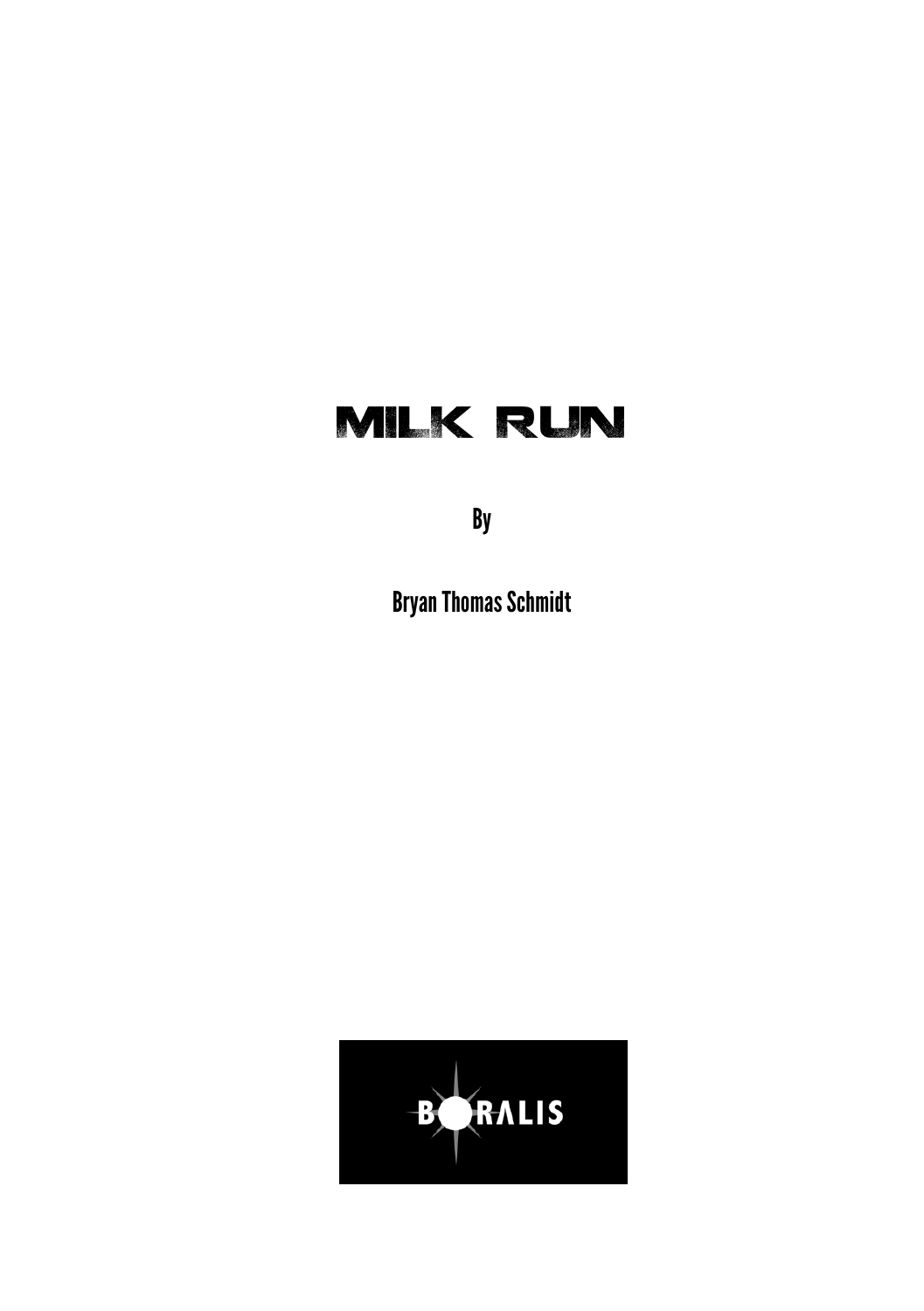## MILK RUN

By

Bryan Thomas Schmidt

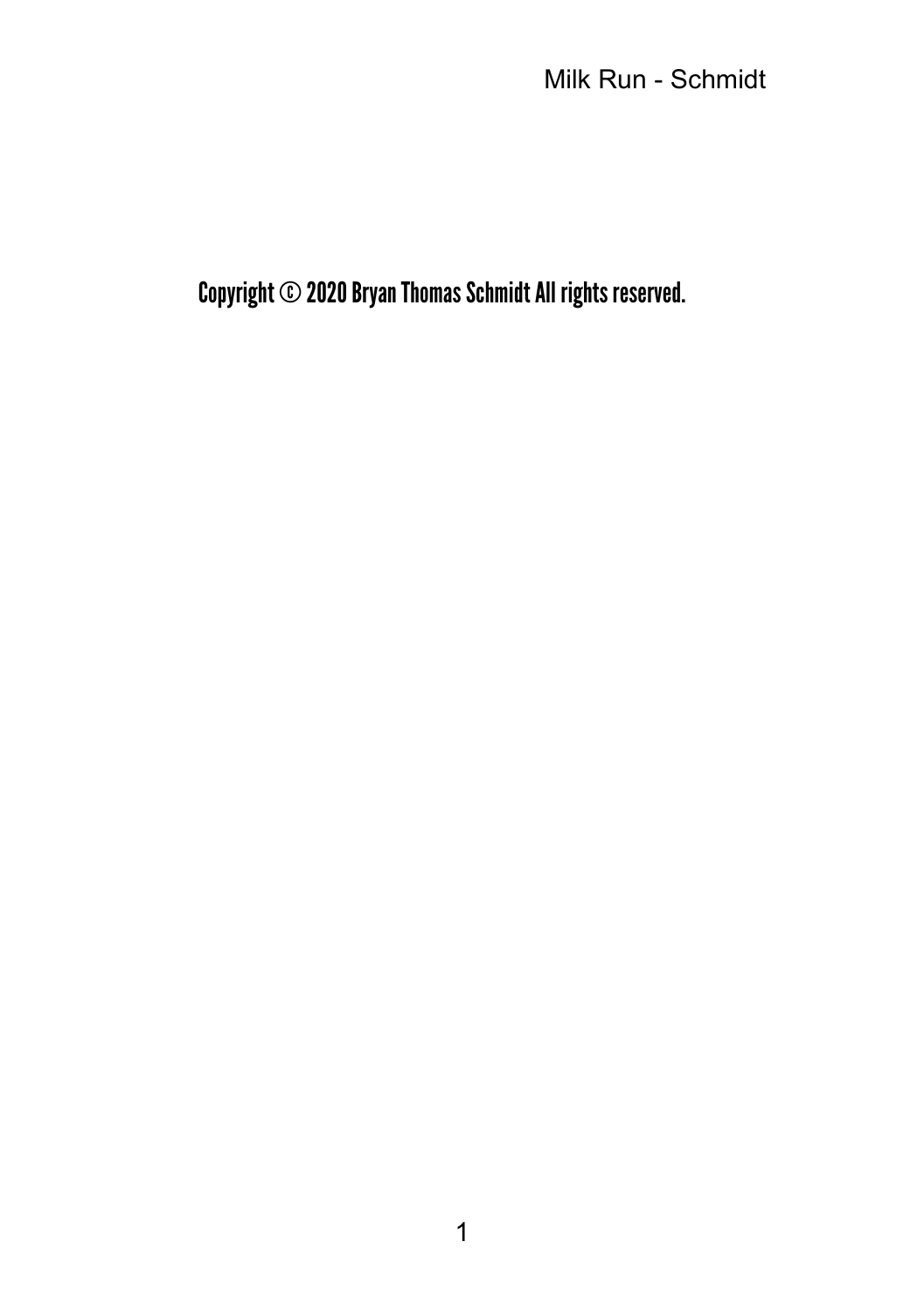Milk Run - Schmidt

Copyright © 2020 Bryan Thomas Schmidt All rights reserved.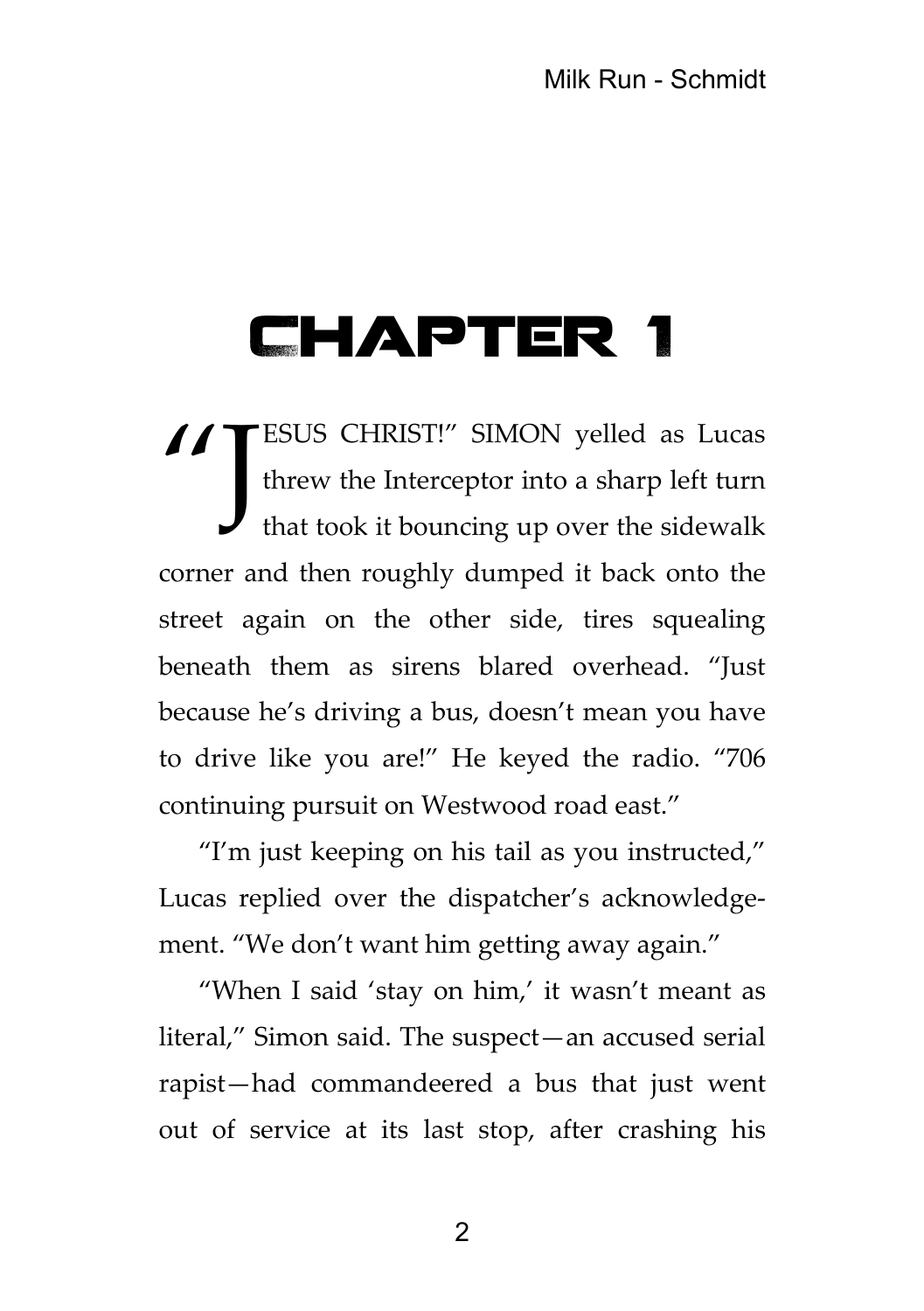## Chapter 1

ESUS CHRIST!" SIMON yelled as Lucas threw the Interceptor into a sharp left turn that took it bouncing up over the sidewalk corner and then roughly dumped it back onto the street again on the other side, tires squealing beneath them as sirens blared overhead. "Just because he's driving a bus, doesn't mean you have to drive like you are!" He keyed the radio. "706 continuing pursuit on Westwood road east." "J

"I'm just keeping on his tail as you instructed," Lucas replied over the dispatcher's acknowledgement. "We don't want him getting away again."

"When I said 'stay on him,' it wasn't meant as literal," Simon said. The suspect—an accused serial rapist—had commandeered a bus that just went out of service at its last stop, after crashing his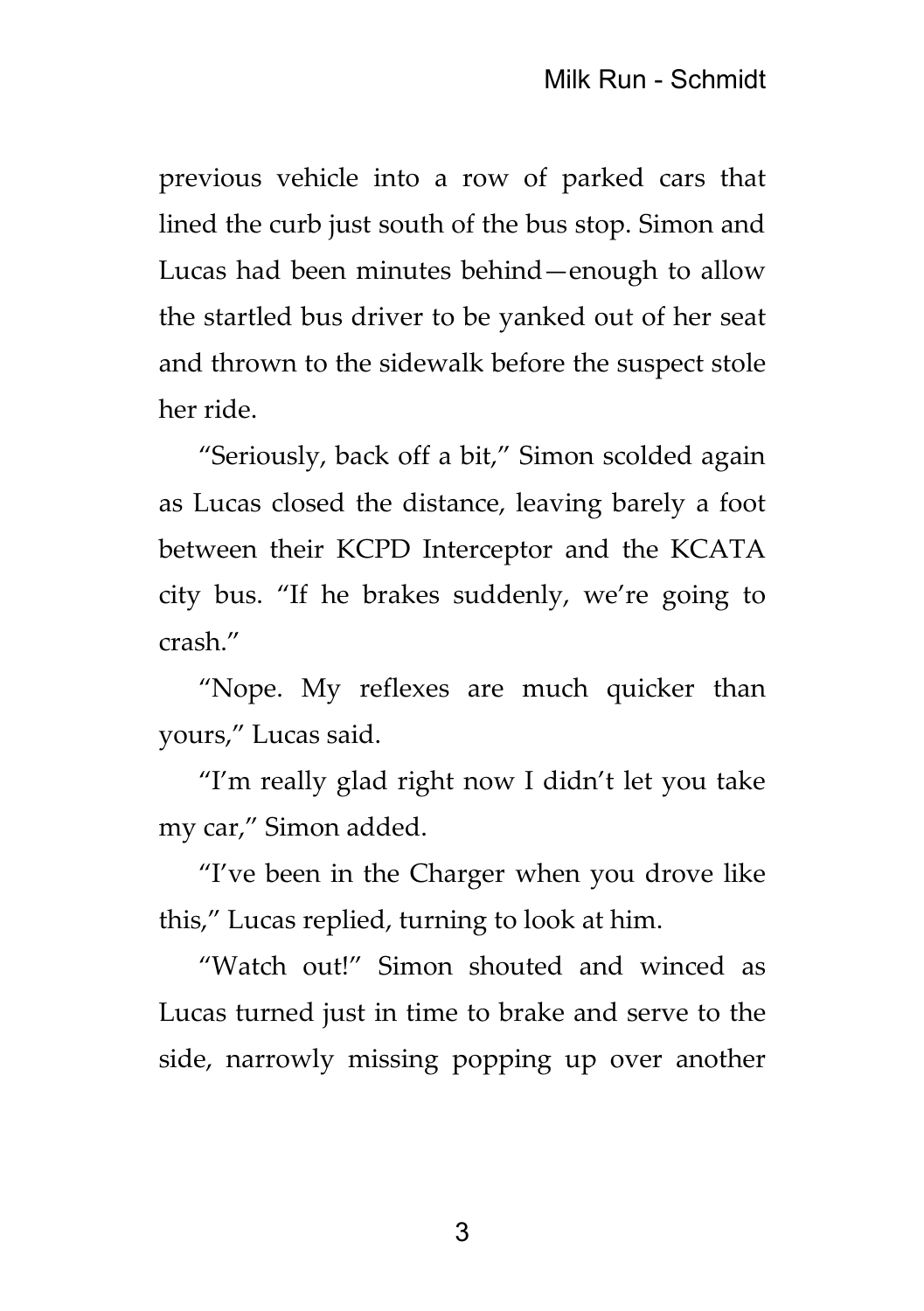previous vehicle into a row of parked cars that lined the curb just south of the bus stop. Simon and Lucas had been minutes behind—enough to allow the startled bus driver to be yanked out of her seat and thrown to the sidewalk before the suspect stole her ride.

"Seriously, back off a bit," Simon scolded again as Lucas closed the distance, leaving barely a foot between their KCPD Interceptor and the KCATA city bus. "If he brakes suddenly, we're going to crash."

"Nope. My reflexes are much quicker than yours," Lucas said.

"I'm really glad right now I didn't let you take my car," Simon added.

"I've been in the Charger when you drove like this," Lucas replied, turning to look at him.

"Watch out!" Simon shouted and winced as Lucas turned just in time to brake and serve to the side, narrowly missing popping up over another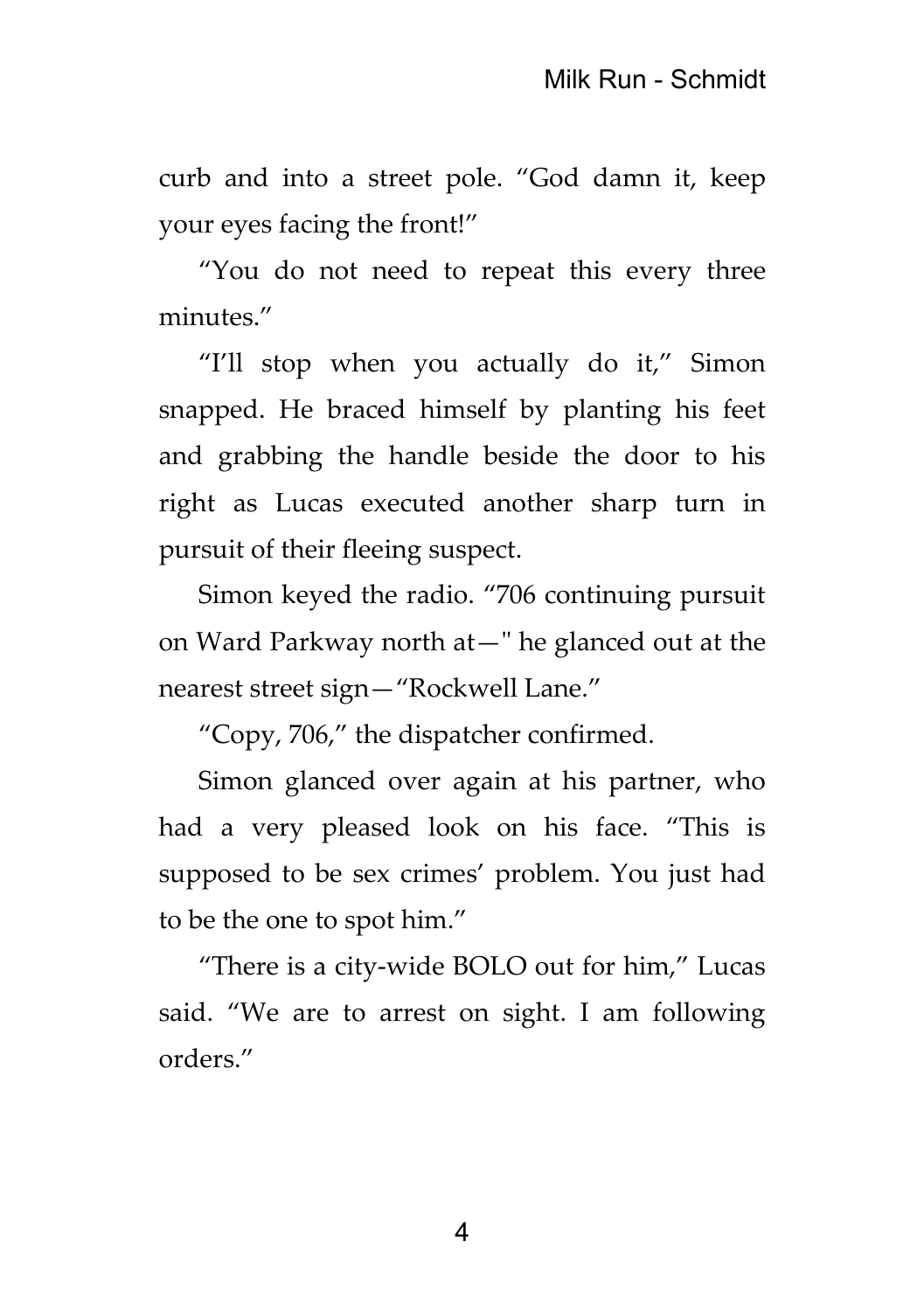curb and into a street pole. "God damn it, keep your eyes facing the front!"

"You do not need to repeat this every three minutes."

"I'll stop when you actually do it," Simon snapped. He braced himself by planting his feet and grabbing the handle beside the door to his right as Lucas executed another sharp turn in pursuit of their fleeing suspect.

Simon keyed the radio. "706 continuing pursuit on Ward Parkway north at—" he glanced out at the nearest street sign—"Rockwell Lane."

"Copy, 706," the dispatcher confirmed.

Simon glanced over again at his partner, who had a very pleased look on his face. "This is supposed to be sex crimes' problem. You just had to be the one to spot him."

"There is a city-wide BOLO out for him," Lucas said. "We are to arrest on sight. I am following orders."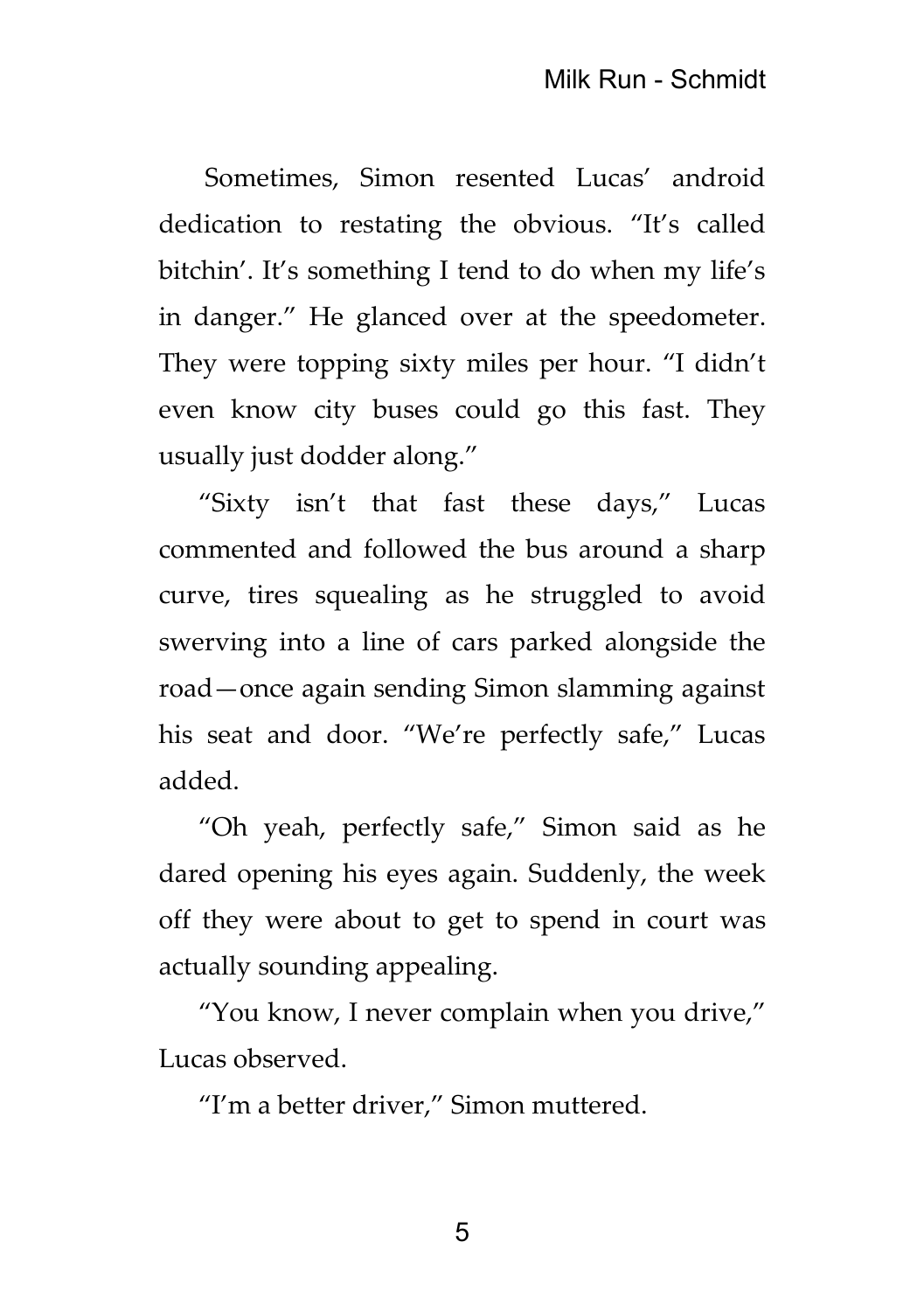Sometimes, Simon resented Lucas' android dedication to restating the obvious. "It's called bitchin'. It's something I tend to do when my life's in danger." He glanced over at the speedometer. They were topping sixty miles per hour. "I didn't even know city buses could go this fast. They usually just dodder along."

"Sixty isn't that fast these days," Lucas commented and followed the bus around a sharp curve, tires squealing as he struggled to avoid swerving into a line of cars parked alongside the road—once again sending Simon slamming against his seat and door. "We're perfectly safe," Lucas added.

"Oh yeah, perfectly safe," Simon said as he dared opening his eyes again. Suddenly, the week off they were about to get to spend in court was actually sounding appealing.

"You know, I never complain when you drive," Lucas observed.

"I'm a better driver," Simon muttered.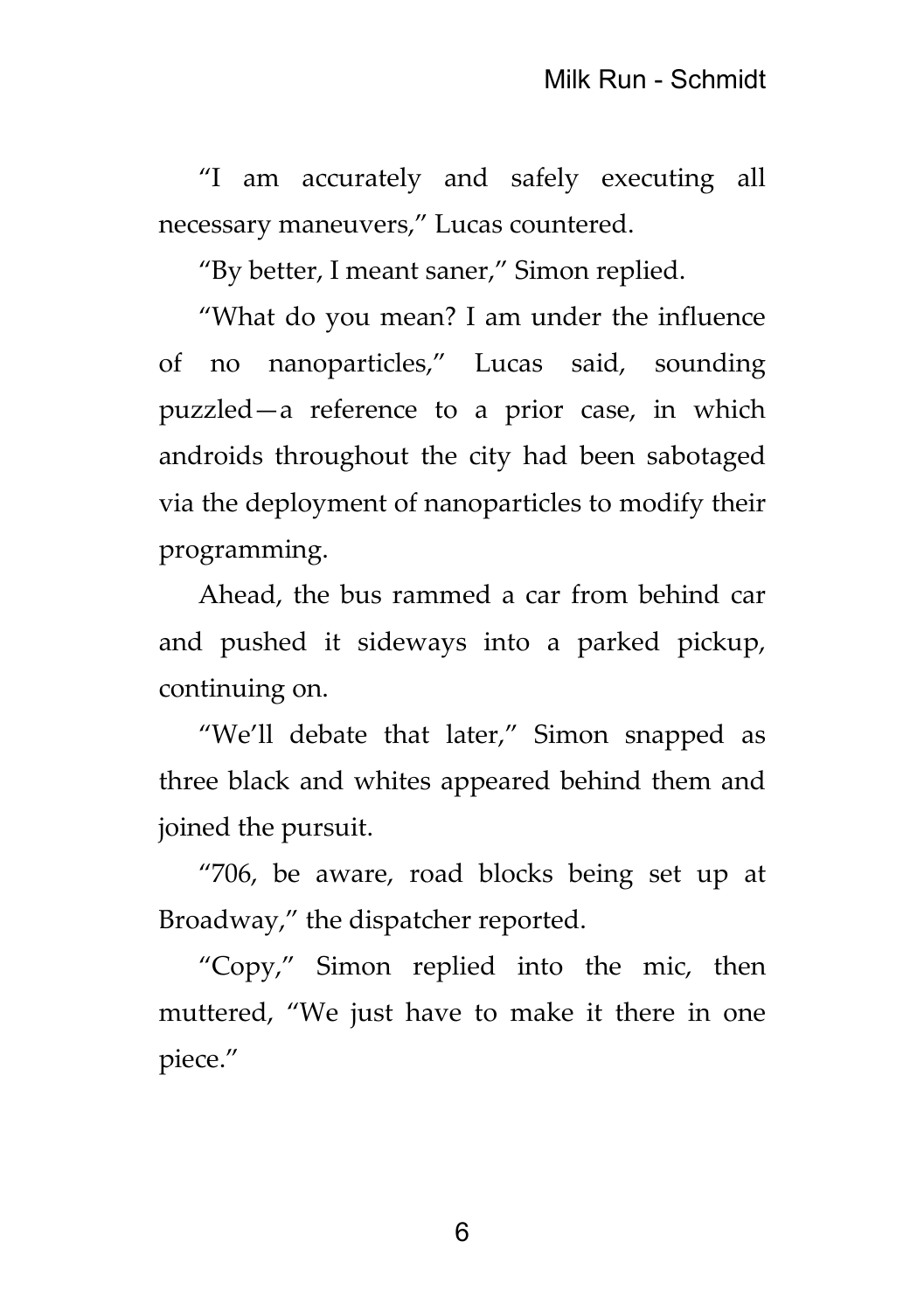"I am accurately and safely executing all necessary maneuvers," Lucas countered.

"By better, I meant saner," Simon replied.

"What do you mean? I am under the influence of no nanoparticles," Lucas said, sounding puzzled—a reference to a prior case, in which androids throughout the city had been sabotaged via the deployment of nanoparticles to modify their programming.

Ahead, the bus rammed a car from behind car and pushed it sideways into a parked pickup, continuing on.

"We'll debate that later," Simon snapped as three black and whites appeared behind them and joined the pursuit.

"706, be aware, road blocks being set up at Broadway," the dispatcher reported.

"Copy," Simon replied into the mic, then muttered, "We just have to make it there in one piece."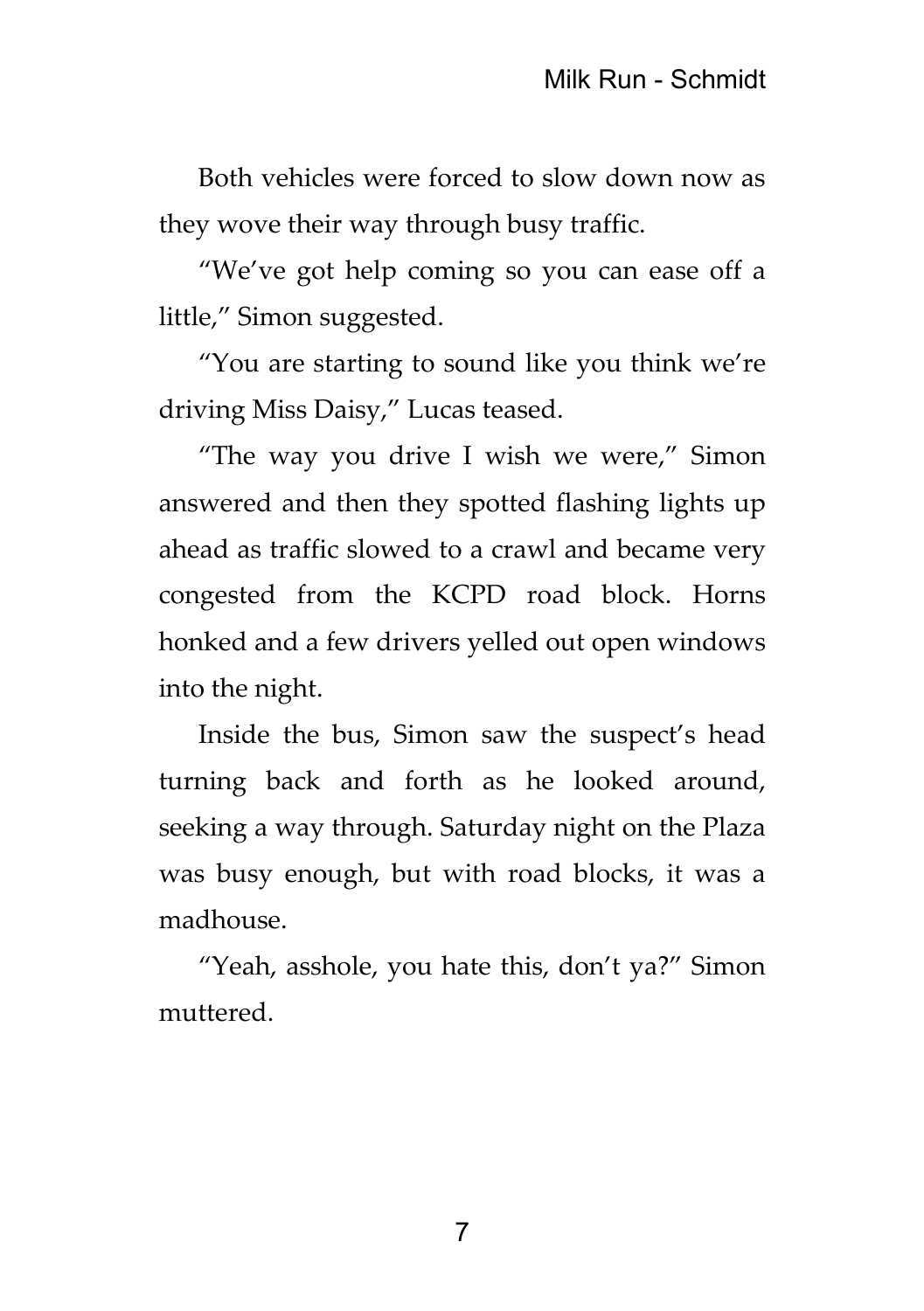Both vehicles were forced to slow down now as they wove their way through busy traffic.

"We've got help coming so you can ease off a little," Simon suggested.

"You are starting to sound like you think we're driving Miss Daisy," Lucas teased.

"The way you drive I wish we were," Simon answered and then they spotted flashing lights up ahead as traffic slowed to a crawl and became very congested from the KCPD road block. Horns honked and a few drivers yelled out open windows into the night.

Inside the bus, Simon saw the suspect's head turning back and forth as he looked around, seeking a way through. Saturday night on the Plaza was busy enough, but with road blocks, it was a madhouse.

"Yeah, asshole, you hate this, don't ya?" Simon muttered.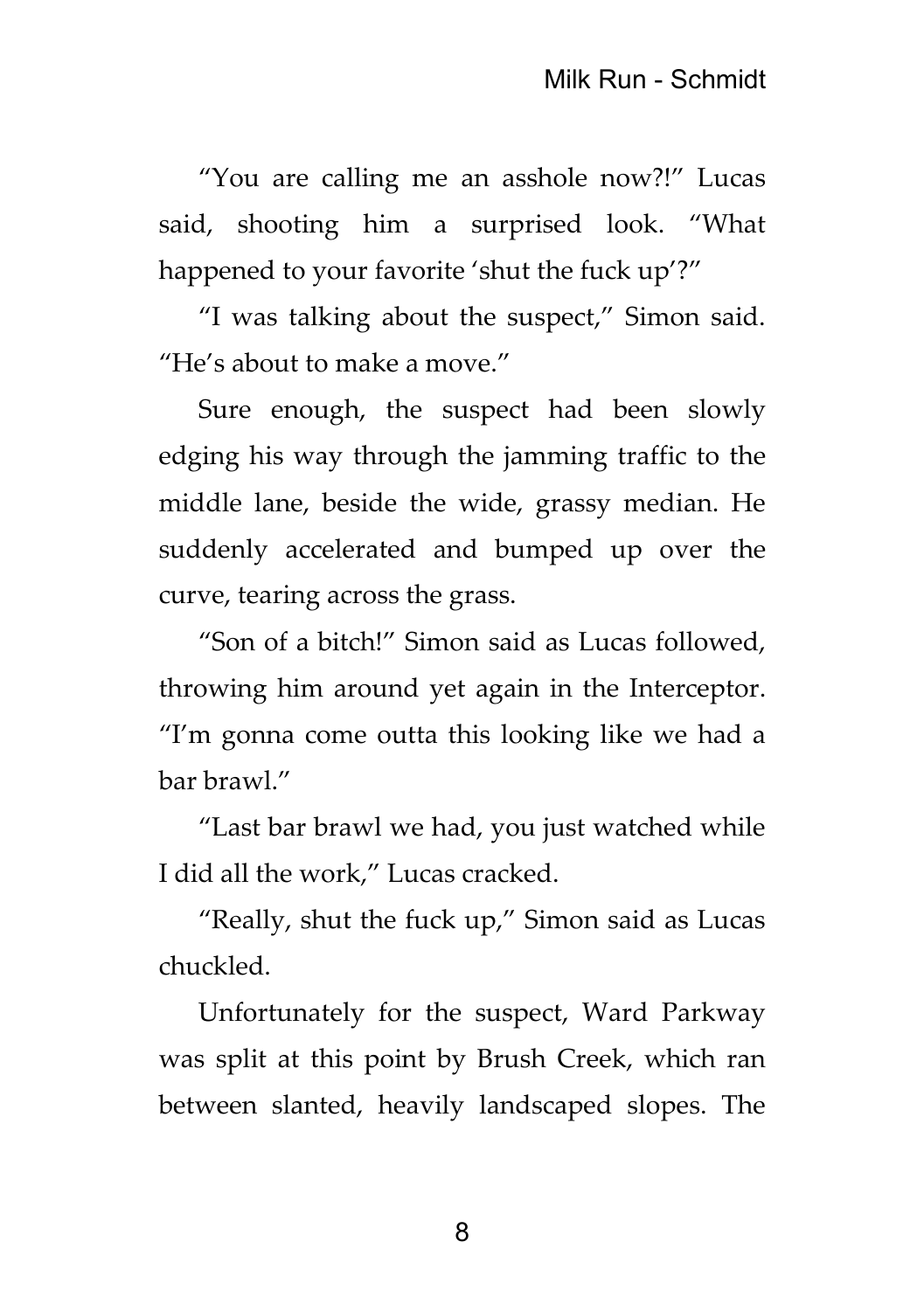"You are calling me an asshole now?!" Lucas said, shooting him a surprised look. "What happened to your favorite 'shut the fuck up'?"

"I was talking about the suspect," Simon said. "He's about to make a move."

Sure enough, the suspect had been slowly edging his way through the jamming traffic to the middle lane, beside the wide, grassy median. He suddenly accelerated and bumped up over the curve, tearing across the grass.

"Son of a bitch!" Simon said as Lucas followed, throwing him around yet again in the Interceptor. "I'm gonna come outta this looking like we had a bar brawl."

"Last bar brawl we had, you just watched while I did all the work," Lucas cracked.

"Really, shut the fuck up," Simon said as Lucas chuckled.

Unfortunately for the suspect, Ward Parkway was split at this point by Brush Creek, which ran between slanted, heavily landscaped slopes. The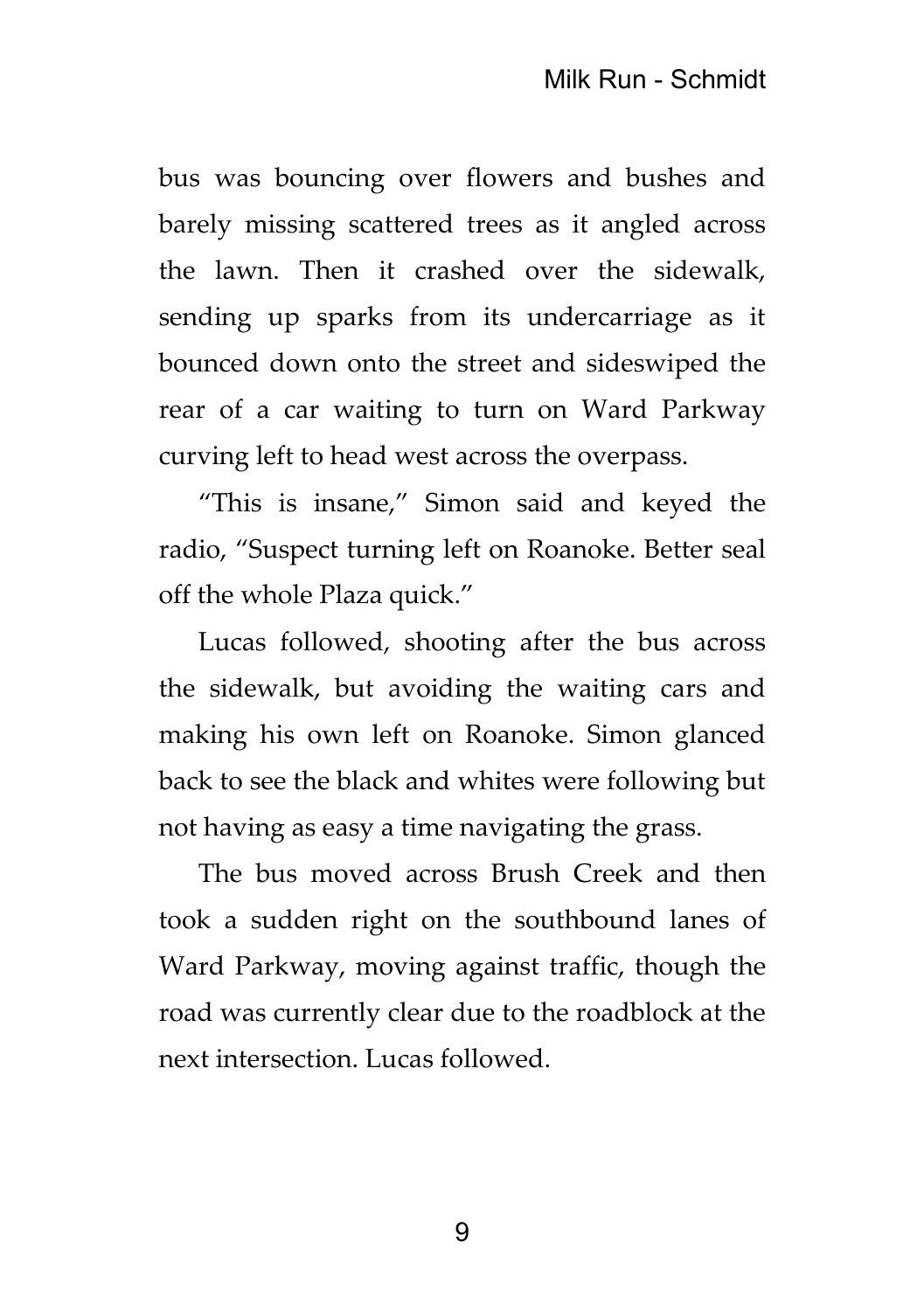bus was bouncing over flowers and bushes and barely missing scattered trees as it angled across the lawn. Then it crashed over the sidewalk, sending up sparks from its undercarriage as it bounced down onto the street and sideswiped the rear of a car waiting to turn on Ward Parkway curving left to head west across the overpass.

"This is insane," Simon said and keyed the radio, "Suspect turning left on Roanoke. Better seal off the whole Plaza quick."

Lucas followed, shooting after the bus across the sidewalk, but avoiding the waiting cars and making his own left on Roanoke. Simon glanced back to see the black and whites were following but not having as easy a time navigating the grass.

The bus moved across Brush Creek and then took a sudden right on the southbound lanes of Ward Parkway, moving against traffic, though the road was currently clear due to the roadblock at the next intersection. Lucas followed.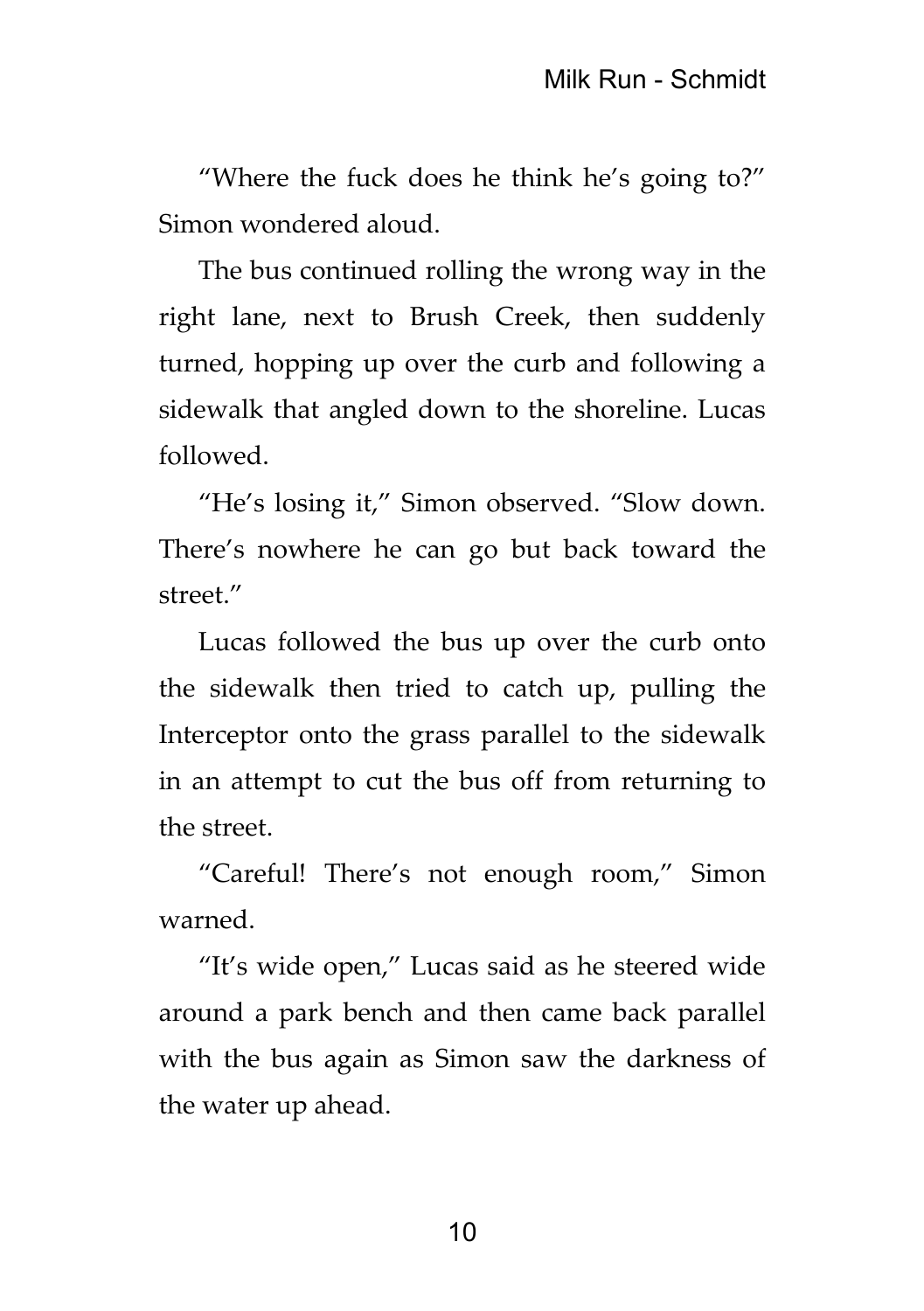"Where the fuck does he think he's going to?" Simon wondered aloud.

The bus continued rolling the wrong way in the right lane, next to Brush Creek, then suddenly turned, hopping up over the curb and following a sidewalk that angled down to the shoreline. Lucas followed.

"He's losing it," Simon observed. "Slow down. There's nowhere he can go but back toward the street."

Lucas followed the bus up over the curb onto the sidewalk then tried to catch up, pulling the Interceptor onto the grass parallel to the sidewalk in an attempt to cut the bus off from returning to the street.

"Careful! There's not enough room," Simon warned.

"It's wide open," Lucas said as he steered wide around a park bench and then came back parallel with the bus again as Simon saw the darkness of the water up ahead.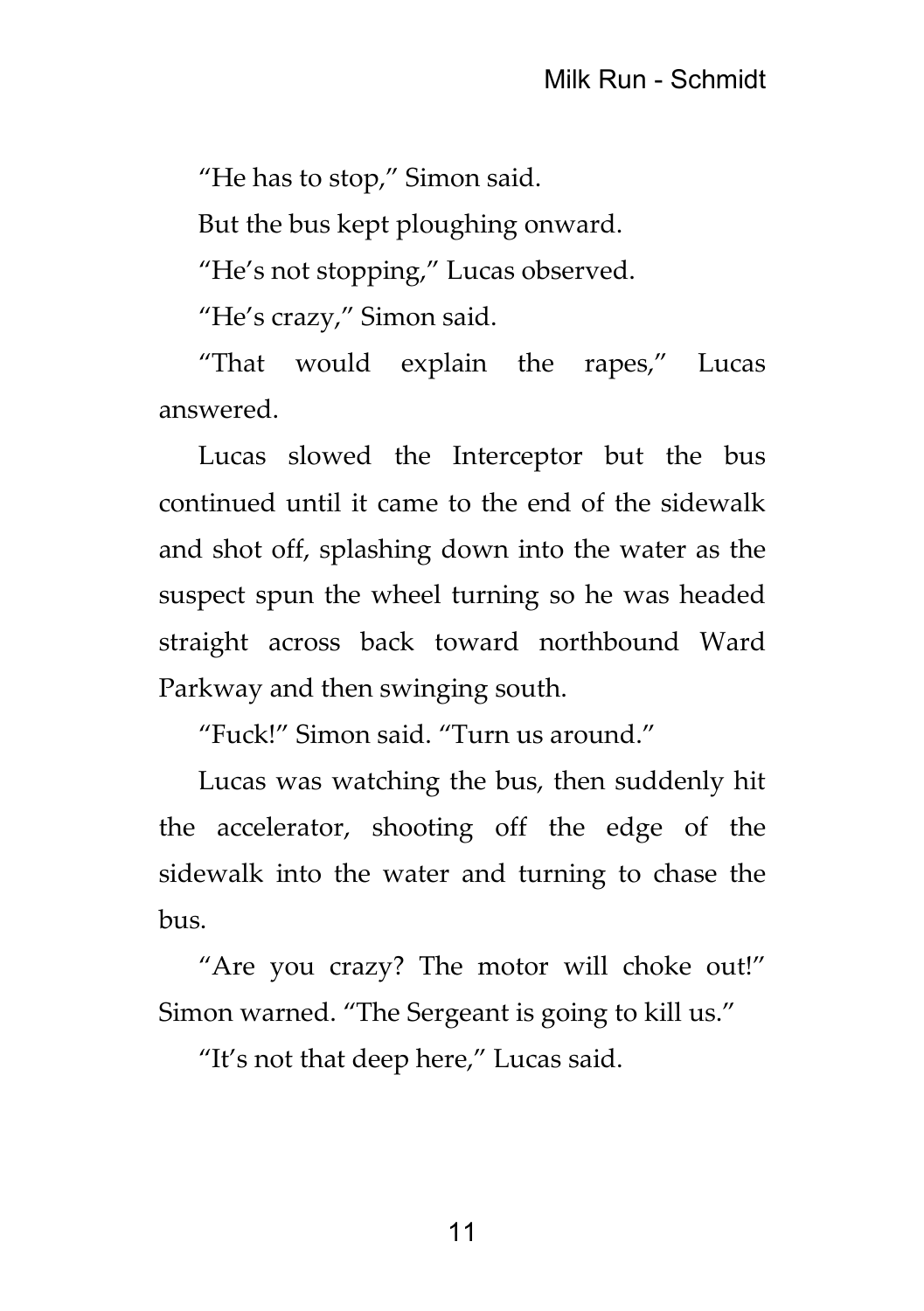"He has to stop," Simon said.

But the bus kept ploughing onward.

"He's not stopping," Lucas observed.

"He's crazy," Simon said.

"That would explain the rapes," Lucas answered.

Lucas slowed the Interceptor but the bus continued until it came to the end of the sidewalk and shot off, splashing down into the water as the suspect spun the wheel turning so he was headed straight across back toward northbound Ward Parkway and then swinging south.

"Fuck!" Simon said. "Turn us around."

Lucas was watching the bus, then suddenly hit the accelerator, shooting off the edge of the sidewalk into the water and turning to chase the bus.

"Are you crazy? The motor will choke out!" Simon warned. "The Sergeant is going to kill us."

"It's not that deep here," Lucas said.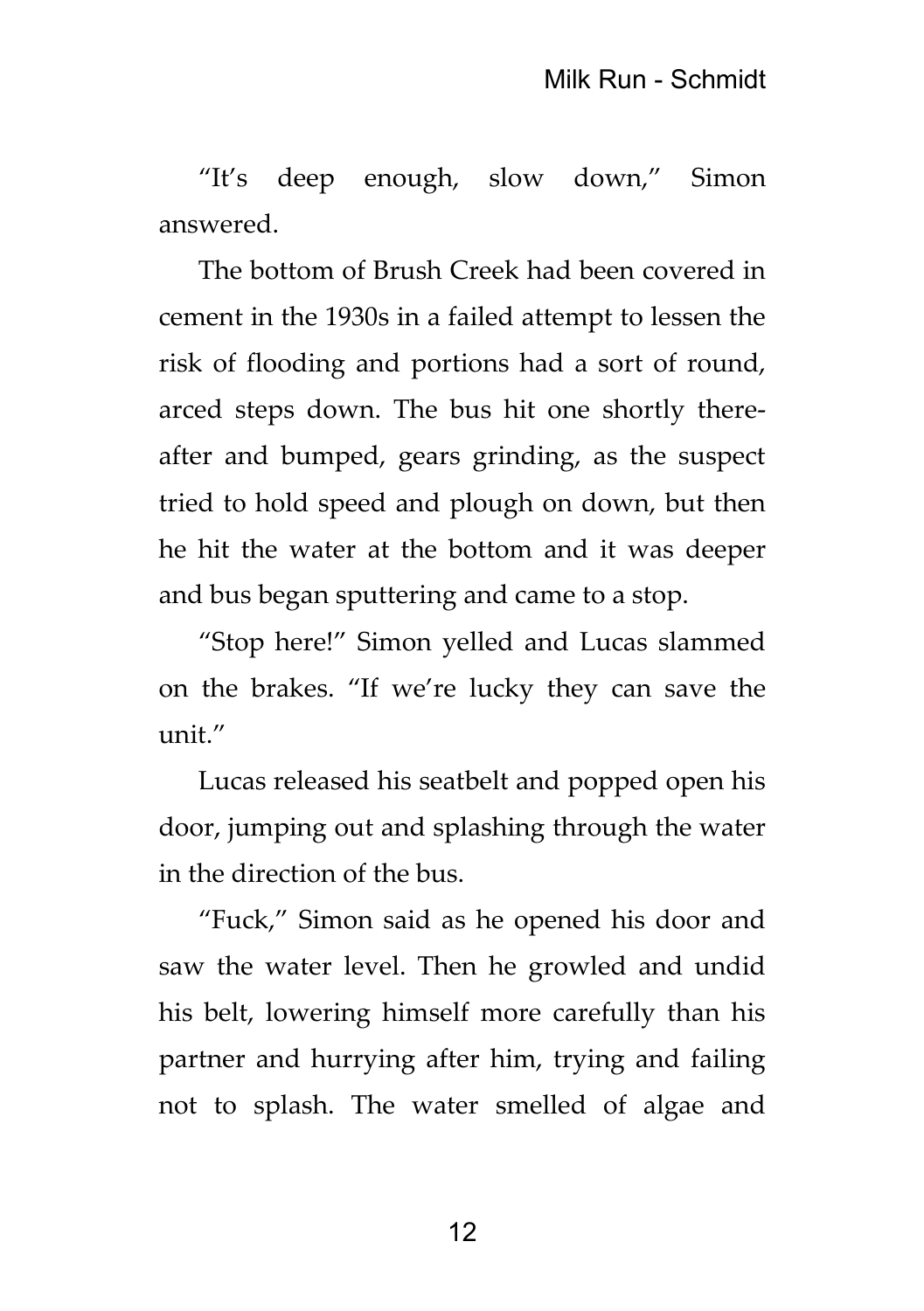"It's deep enough, slow down," Simon answered.

The bottom of Brush Creek had been covered in cement in the 1930s in a failed attempt to lessen the risk of flooding and portions had a sort of round, arced steps down. The bus hit one shortly thereafter and bumped, gears grinding, as the suspect tried to hold speed and plough on down, but then he hit the water at the bottom and it was deeper and bus began sputtering and came to a stop.

"Stop here!" Simon yelled and Lucas slammed on the brakes. "If we're lucky they can save the  $i$ unit $''$ 

Lucas released his seatbelt and popped open his door, jumping out and splashing through the water in the direction of the bus.

"Fuck," Simon said as he opened his door and saw the water level. Then he growled and undid his belt, lowering himself more carefully than his partner and hurrying after him, trying and failing not to splash. The water smelled of algae and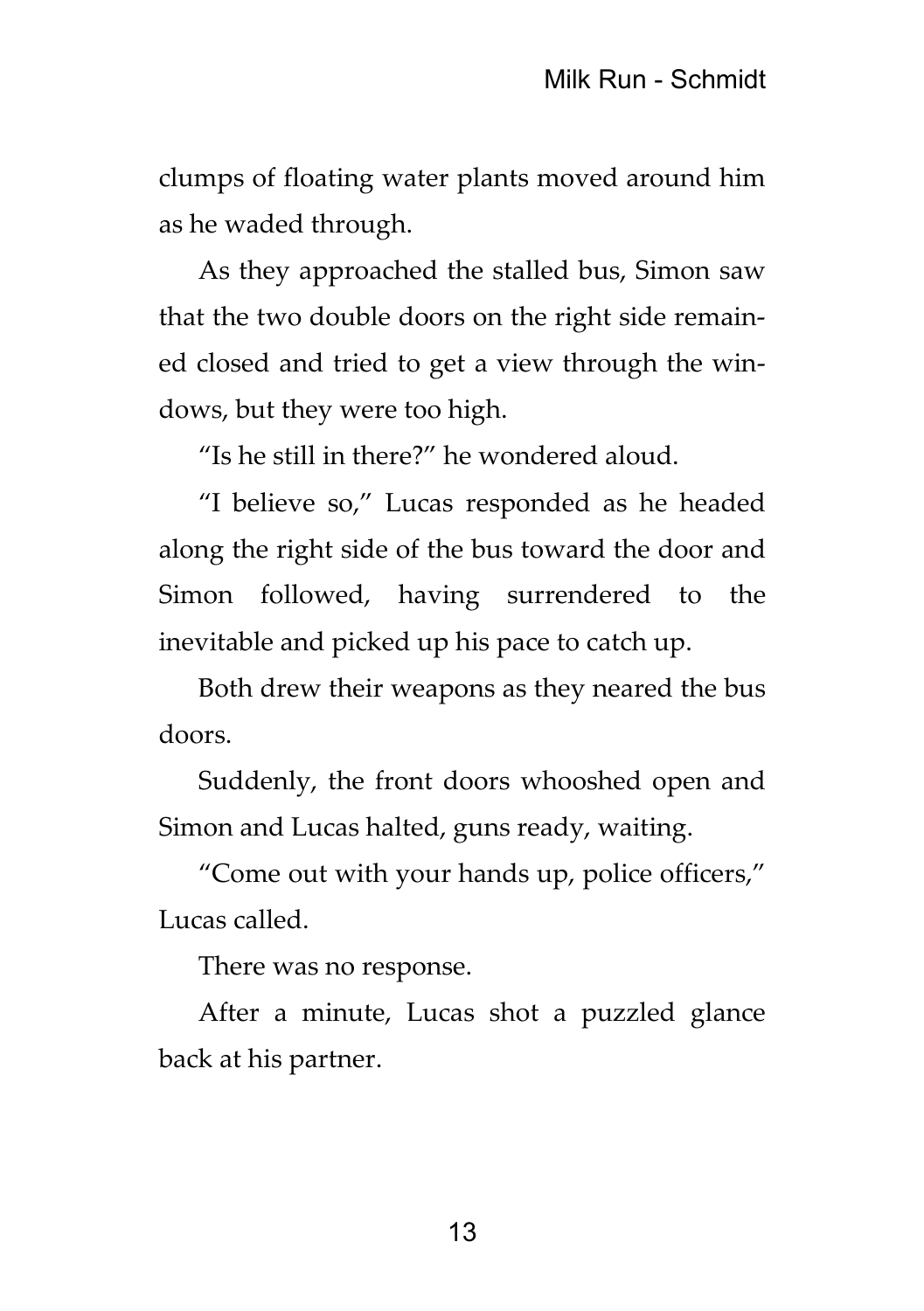clumps of floating water plants moved around him as he waded through.

As they approached the stalled bus, Simon saw that the two double doors on the right side remained closed and tried to get a view through the windows, but they were too high.

"Is he still in there?" he wondered aloud.

"I believe so," Lucas responded as he headed along the right side of the bus toward the door and Simon followed, having surrendered to the inevitable and picked up his pace to catch up.

Both drew their weapons as they neared the bus doors.

Suddenly, the front doors whooshed open and Simon and Lucas halted, guns ready, waiting.

"Come out with your hands up, police officers," Lucas called.

There was no response.

After a minute, Lucas shot a puzzled glance back at his partner.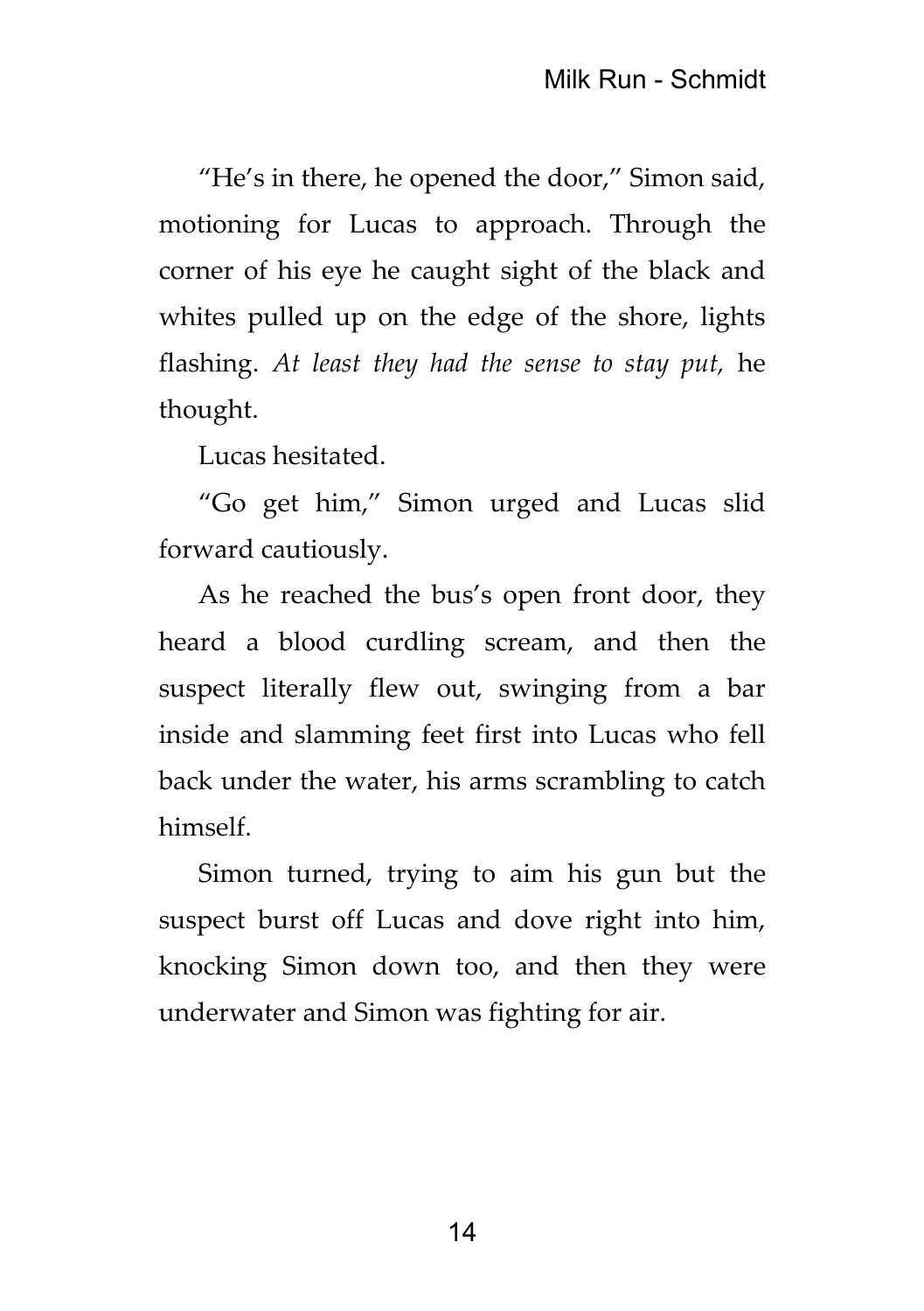"He's in there, he opened the door," Simon said, motioning for Lucas to approach. Through the corner of his eye he caught sight of the black and whites pulled up on the edge of the shore, lights flashing. *At least they had the sense to stay put,* he thought.

Lucas hesitated.

"Go get him," Simon urged and Lucas slid forward cautiously.

As he reached the bus's open front door, they heard a blood curdling scream, and then the suspect literally flew out, swinging from a bar inside and slamming feet first into Lucas who fell back under the water, his arms scrambling to catch himself.

Simon turned, trying to aim his gun but the suspect burst off Lucas and dove right into him, knocking Simon down too, and then they were underwater and Simon was fighting for air.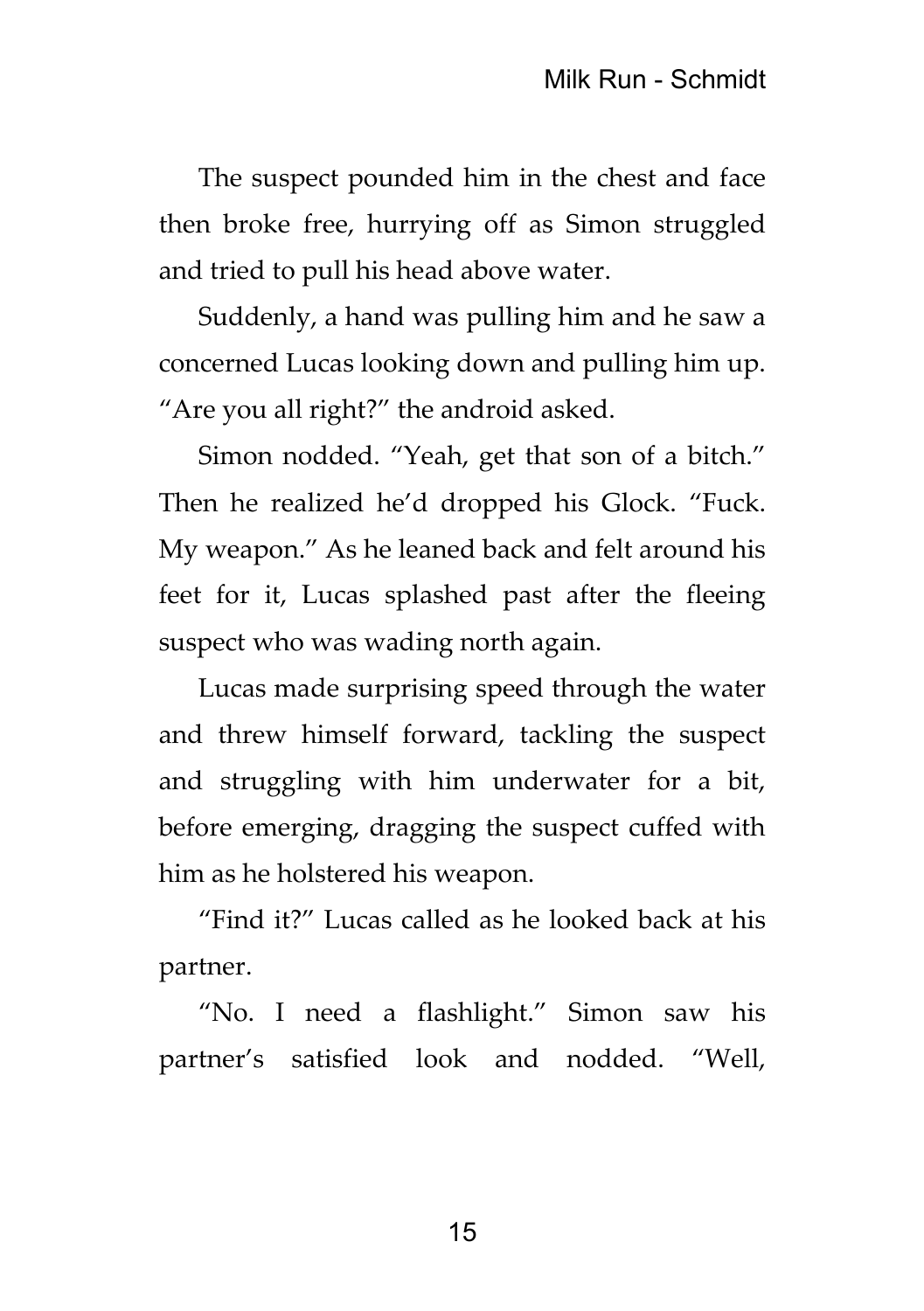The suspect pounded him in the chest and face then broke free, hurrying off as Simon struggled and tried to pull his head above water.

Suddenly, a hand was pulling him and he saw a concerned Lucas looking down and pulling him up. "Are you all right?" the android asked.

Simon nodded. "Yeah, get that son of a bitch." Then he realized he'd dropped his Glock. "Fuck. My weapon." As he leaned back and felt around his feet for it, Lucas splashed past after the fleeing suspect who was wading north again.

Lucas made surprising speed through the water and threw himself forward, tackling the suspect and struggling with him underwater for a bit, before emerging, dragging the suspect cuffed with him as he holstered his weapon.

"Find it?" Lucas called as he looked back at his partner.

"No. I need a flashlight." Simon saw his partner's satisfied look and nodded. "Well,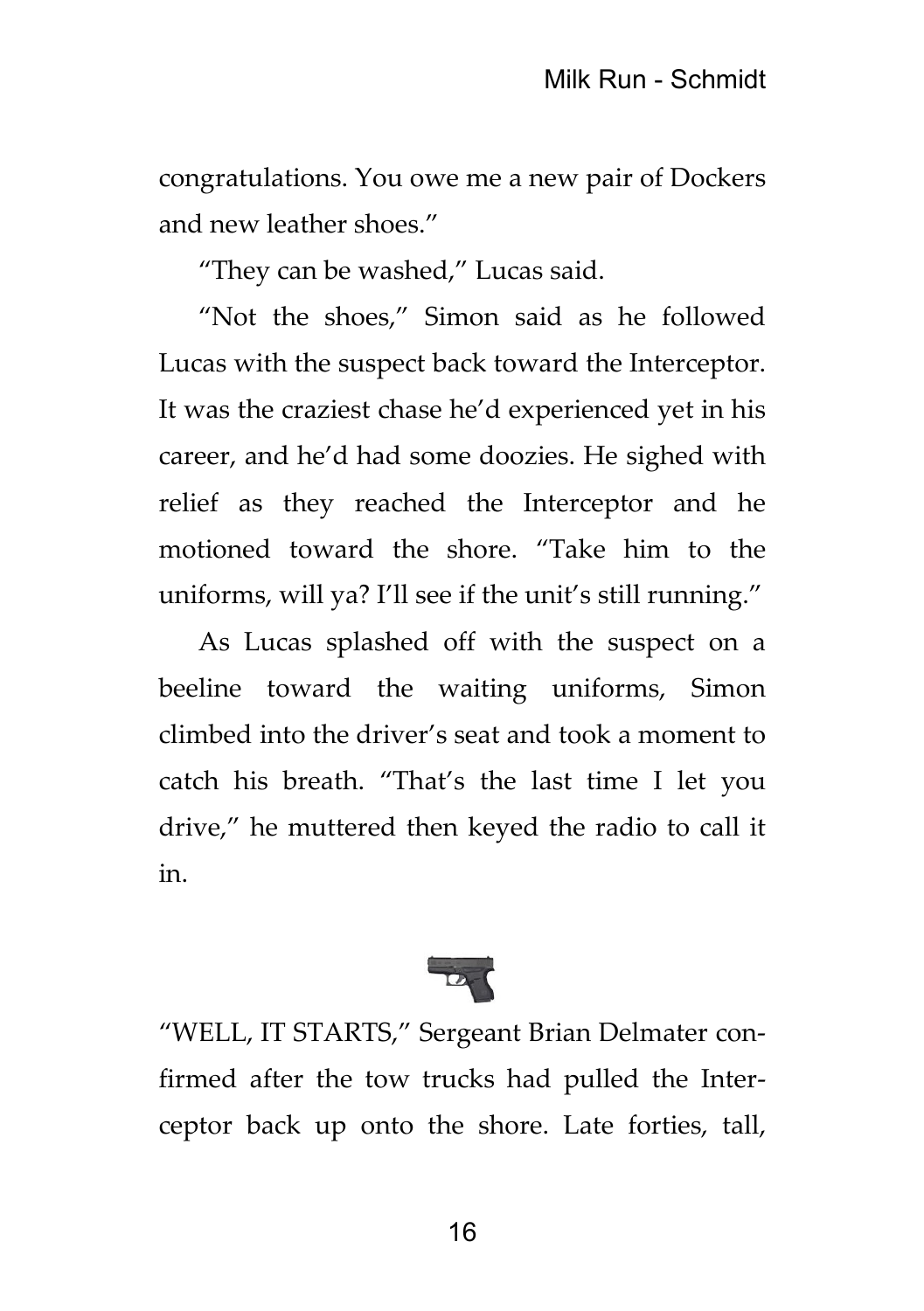congratulations. You owe me a new pair of Dockers and new leather shoes."

"They can be washed," Lucas said.

"Not the shoes," Simon said as he followed Lucas with the suspect back toward the Interceptor. It was the craziest chase he'd experienced yet in his career, and he'd had some doozies. He sighed with relief as they reached the Interceptor and he motioned toward the shore. "Take him to the uniforms, will ya? I'll see if the unit's still running."

As Lucas splashed off with the suspect on a beeline toward the waiting uniforms, Simon climbed into the driver's seat and took a moment to catch his breath. "That's the last time I let you drive," he muttered then keyed the radio to call it in.



"WELL, IT STARTS," Sergeant Brian Delmater confirmed after the tow trucks had pulled the Interceptor back up onto the shore. Late forties, tall,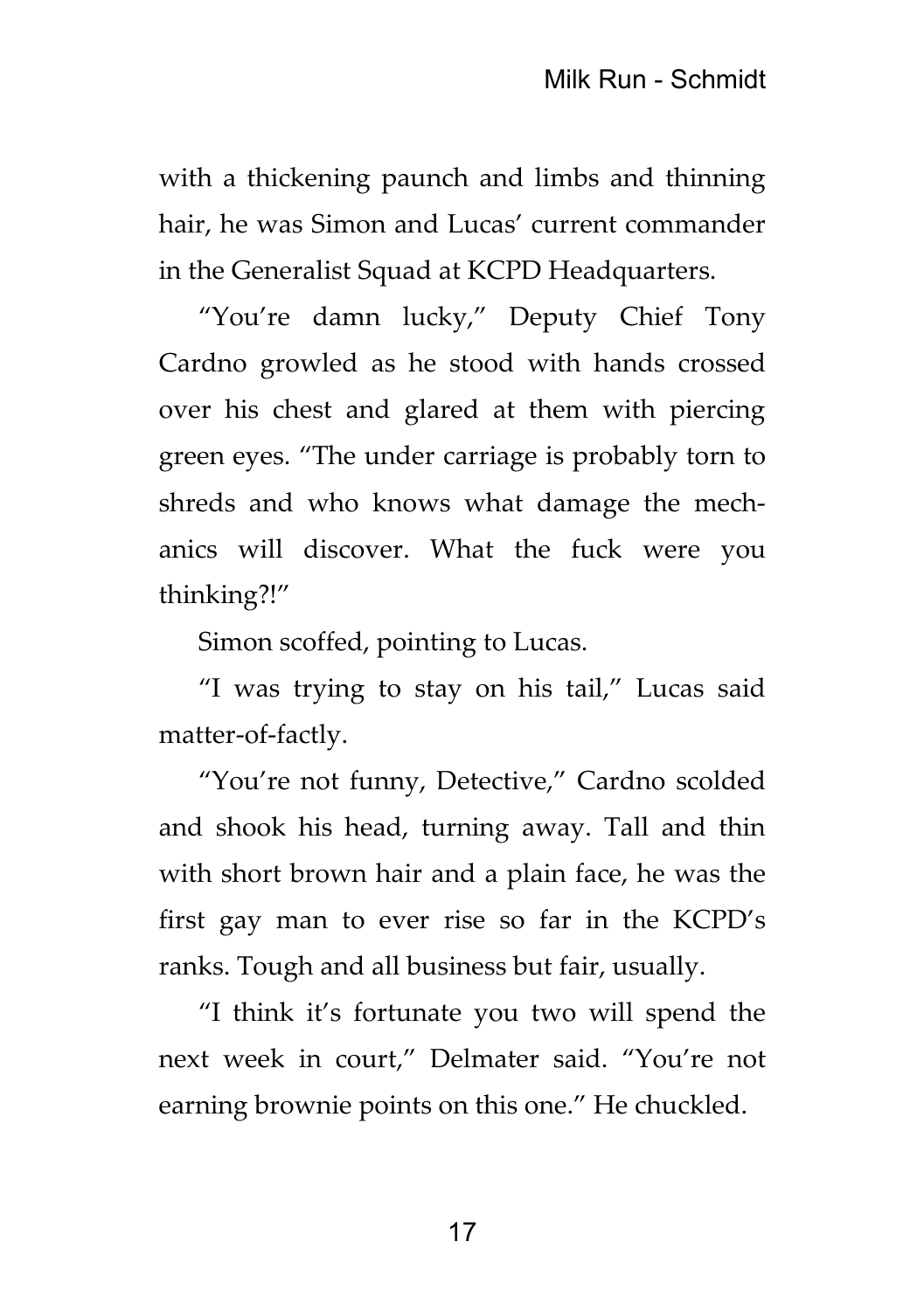with a thickening paunch and limbs and thinning hair, he was Simon and Lucas' current commander in the Generalist Squad at KCPD Headquarters.

"You're damn lucky," Deputy Chief Tony Cardno growled as he stood with hands crossed over his chest and glared at them with piercing green eyes. "The under carriage is probably torn to shreds and who knows what damage the mechanics will discover. What the fuck were you thinking?!"

Simon scoffed, pointing to Lucas.

"I was trying to stay on his tail," Lucas said matter-of-factly.

"You're not funny, Detective," Cardno scolded and shook his head, turning away. Tall and thin with short brown hair and a plain face, he was the first gay man to ever rise so far in the KCPD's ranks. Tough and all business but fair, usually.

"I think it's fortunate you two will spend the next week in court," Delmater said. "You're not earning brownie points on this one." He chuckled.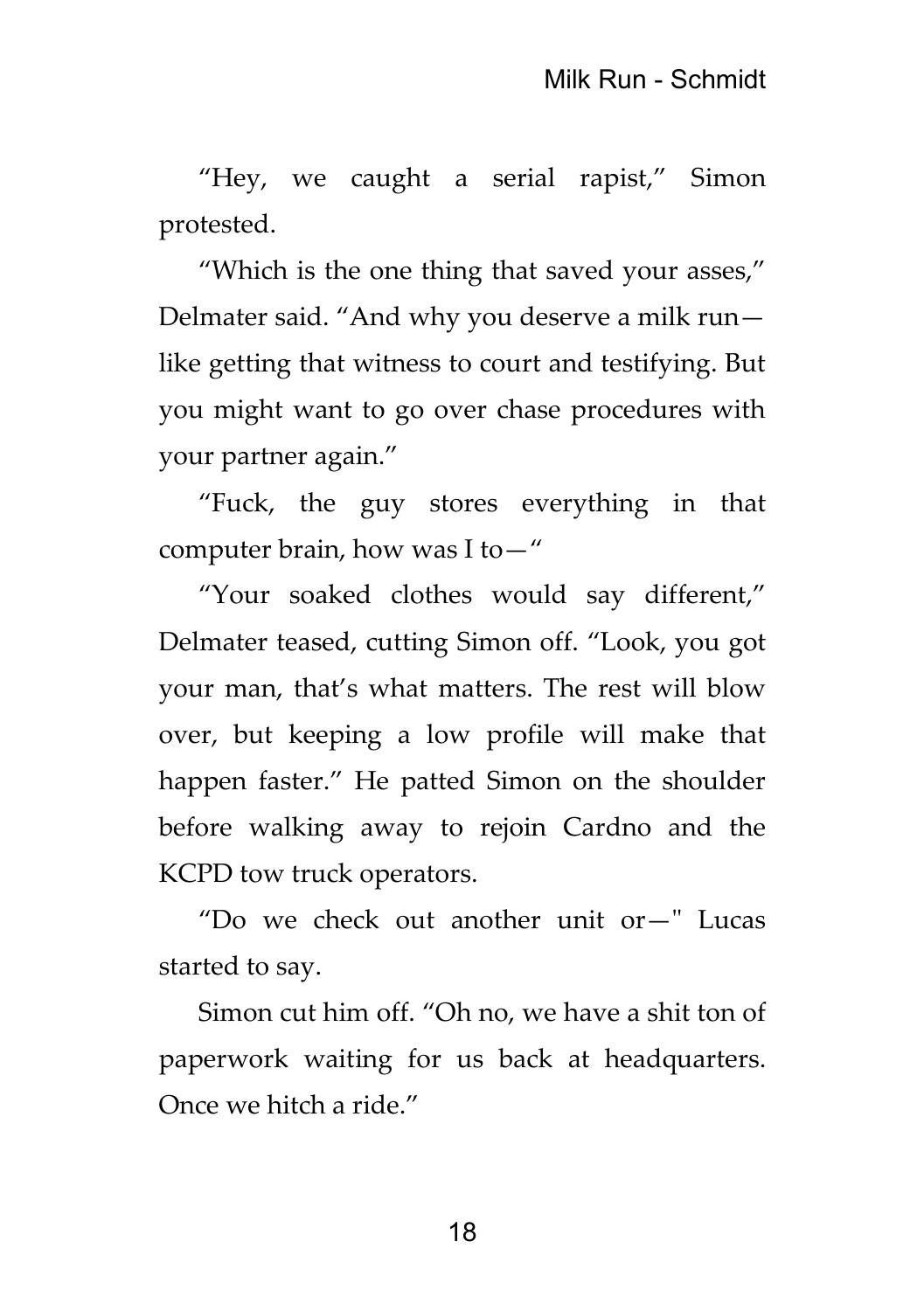"Hey, we caught a serial rapist," Simon protested.

"Which is the one thing that saved your asses," Delmater said. "And why you deserve a milk run like getting that witness to court and testifying. But you might want to go over chase procedures with your partner again."

"Fuck, the guy stores everything in that computer brain, how was I to—"

"Your soaked clothes would say different," Delmater teased, cutting Simon off. "Look, you got your man, that's what matters. The rest will blow over, but keeping a low profile will make that happen faster." He patted Simon on the shoulder before walking away to rejoin Cardno and the KCPD tow truck operators.

"Do we check out another unit or—" Lucas started to say.

Simon cut him off. "Oh no, we have a shit ton of paperwork waiting for us back at headquarters. Once we hitch a ride."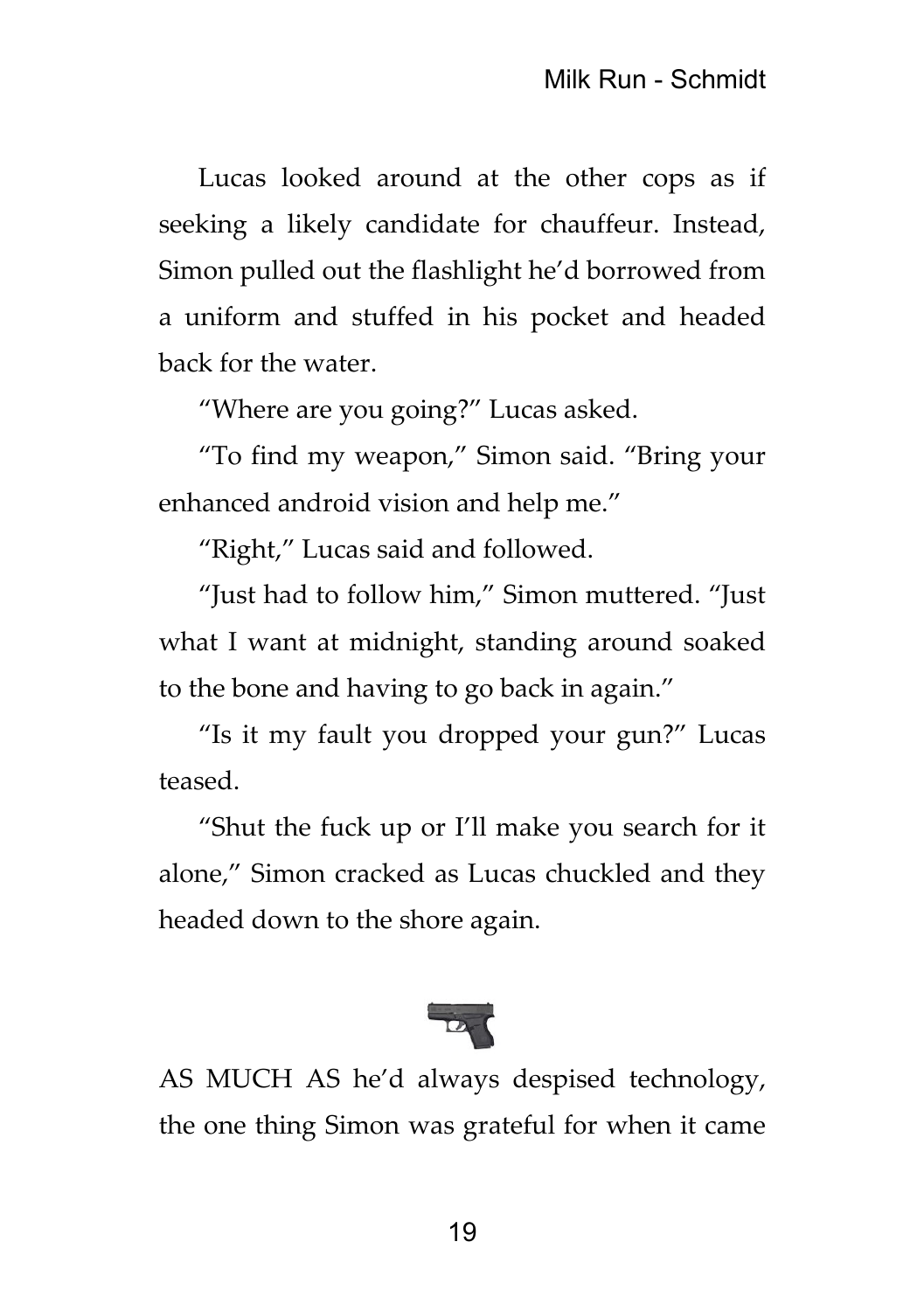Lucas looked around at the other cops as if seeking a likely candidate for chauffeur. Instead, Simon pulled out the flashlight he'd borrowed from a uniform and stuffed in his pocket and headed back for the water.

"Where are you going?" Lucas asked.

"To find my weapon," Simon said. "Bring your enhanced android vision and help me."

"Right," Lucas said and followed.

"Just had to follow him," Simon muttered. "Just what I want at midnight, standing around soaked to the bone and having to go back in again."

"Is it my fault you dropped your gun?" Lucas teased.

"Shut the fuck up or I'll make you search for it alone," Simon cracked as Lucas chuckled and they headed down to the shore again.



AS MUCH AS he'd always despised technology, the one thing Simon was grateful for when it came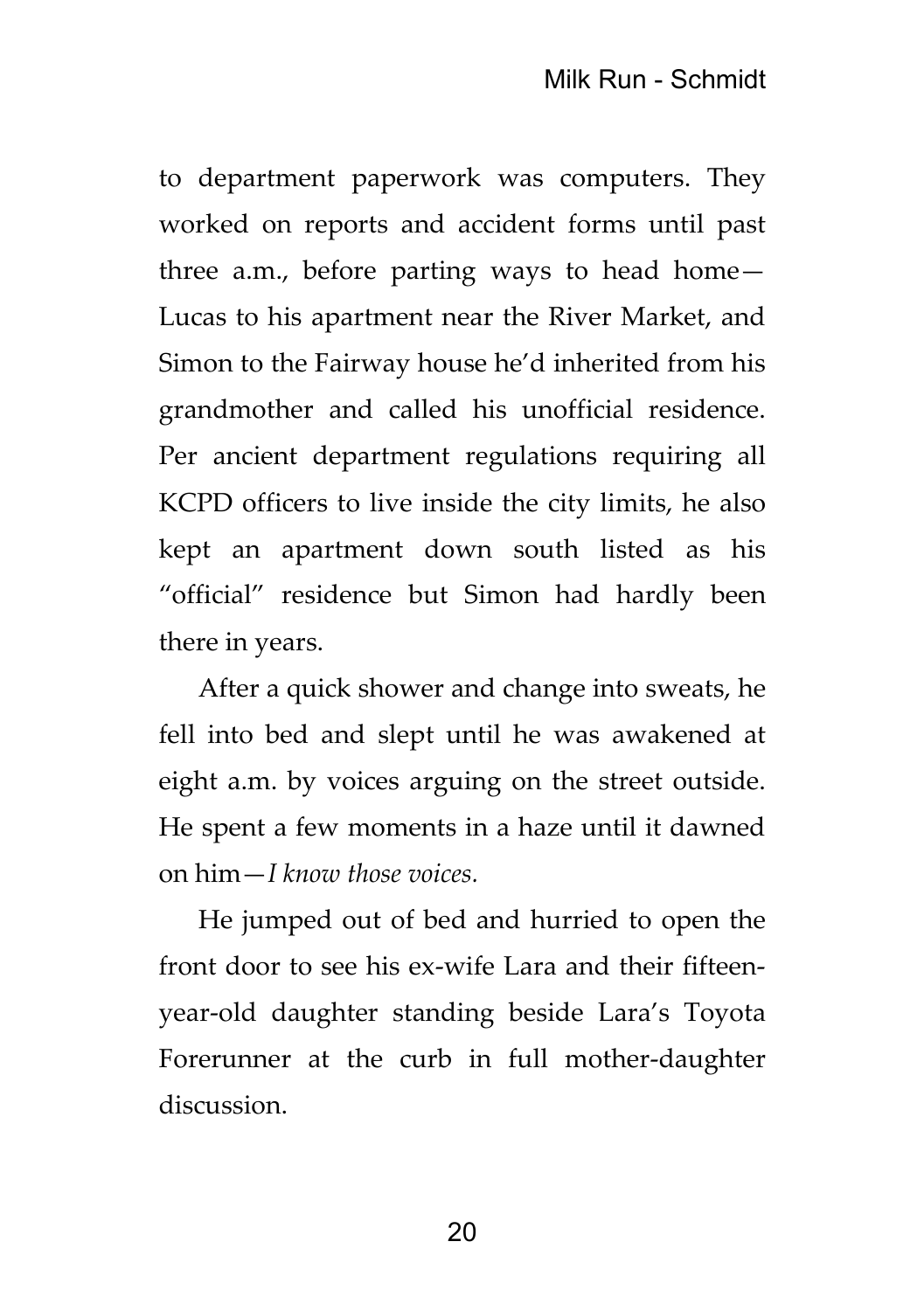to department paperwork was computers. They worked on reports and accident forms until past three a.m., before parting ways to head home— Lucas to his apartment near the River Market, and Simon to the Fairway house he'd inherited from his grandmother and called his unofficial residence. Per ancient department regulations requiring all KCPD officers to live inside the city limits, he also kept an apartment down south listed as his "official" residence but Simon had hardly been there in years.

After a quick shower and change into sweats, he fell into bed and slept until he was awakened at eight a.m. by voices arguing on the street outside. He spent a few moments in a haze until it dawned on him—*I know those voices.*

He jumped out of bed and hurried to open the front door to see his ex-wife Lara and their fifteenyear-old daughter standing beside Lara's Toyota Forerunner at the curb in full mother-daughter discussion.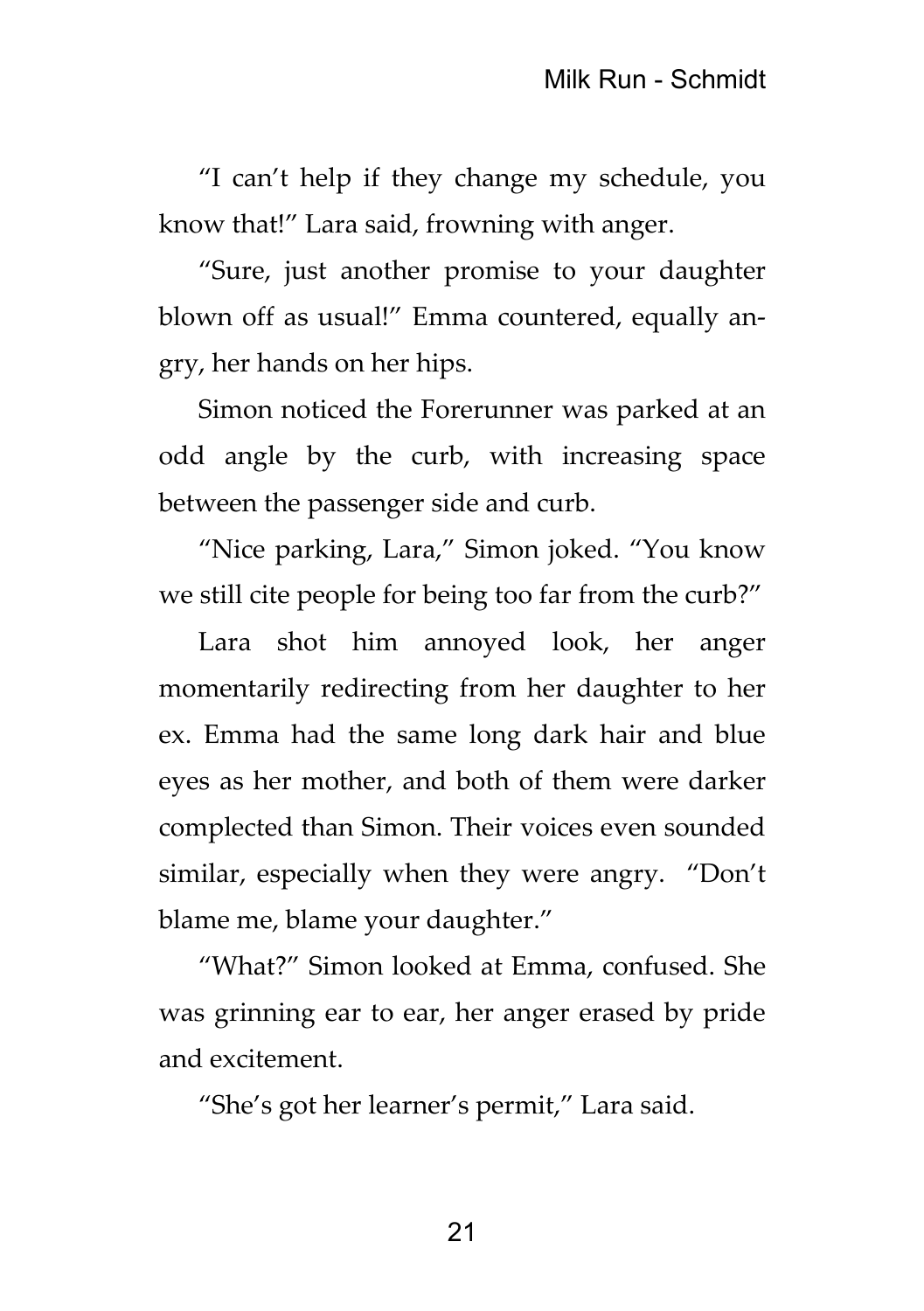"I can't help if they change my schedule, you know that!" Lara said, frowning with anger.

"Sure, just another promise to your daughter blown off as usual!" Emma countered, equally angry, her hands on her hips.

Simon noticed the Forerunner was parked at an odd angle by the curb, with increasing space between the passenger side and curb.

"Nice parking, Lara," Simon joked. "You know we still cite people for being too far from the curb?"

Lara shot him annoyed look, her anger momentarily redirecting from her daughter to her ex. Emma had the same long dark hair and blue eyes as her mother, and both of them were darker complected than Simon. Their voices even sounded similar, especially when they were angry. "Don't blame me, blame your daughter."

"What?" Simon looked at Emma, confused. She was grinning ear to ear, her anger erased by pride and excitement.

"She's got her learner's permit," Lara said.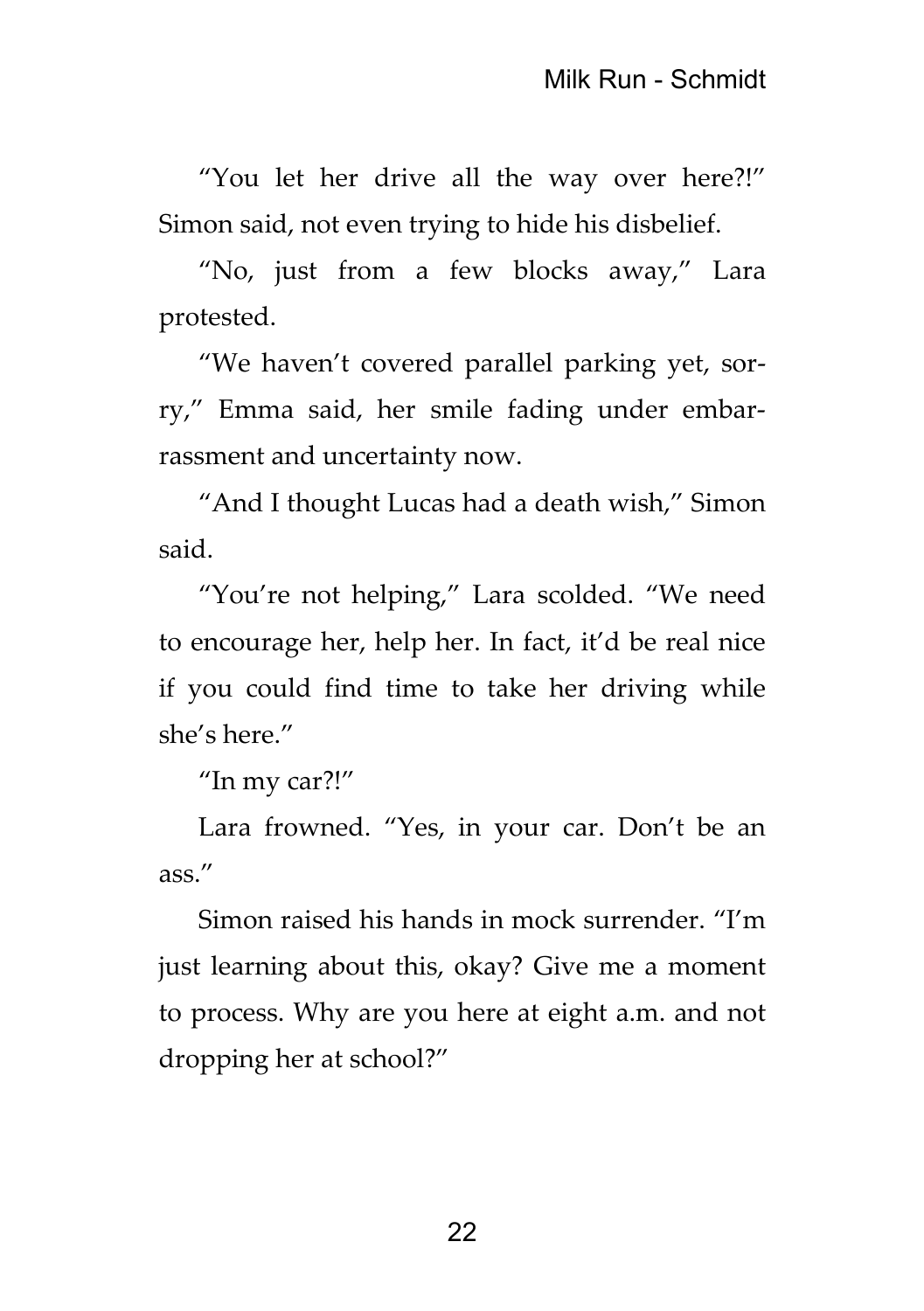"You let her drive all the way over here?!" Simon said, not even trying to hide his disbelief.

"No, just from a few blocks away," Lara protested.

"We haven't covered parallel parking yet, sorry," Emma said, her smile fading under embarrassment and uncertainty now.

"And I thought Lucas had a death wish," Simon said.

"You're not helping," Lara scolded. "We need to encourage her, help her. In fact, it'd be real nice if you could find time to take her driving while she's here."

"In my car?!"

Lara frowned. "Yes, in your car. Don't be an ass."

Simon raised his hands in mock surrender. "I'm just learning about this, okay? Give me a moment to process. Why are you here at eight a.m. and not dropping her at school?"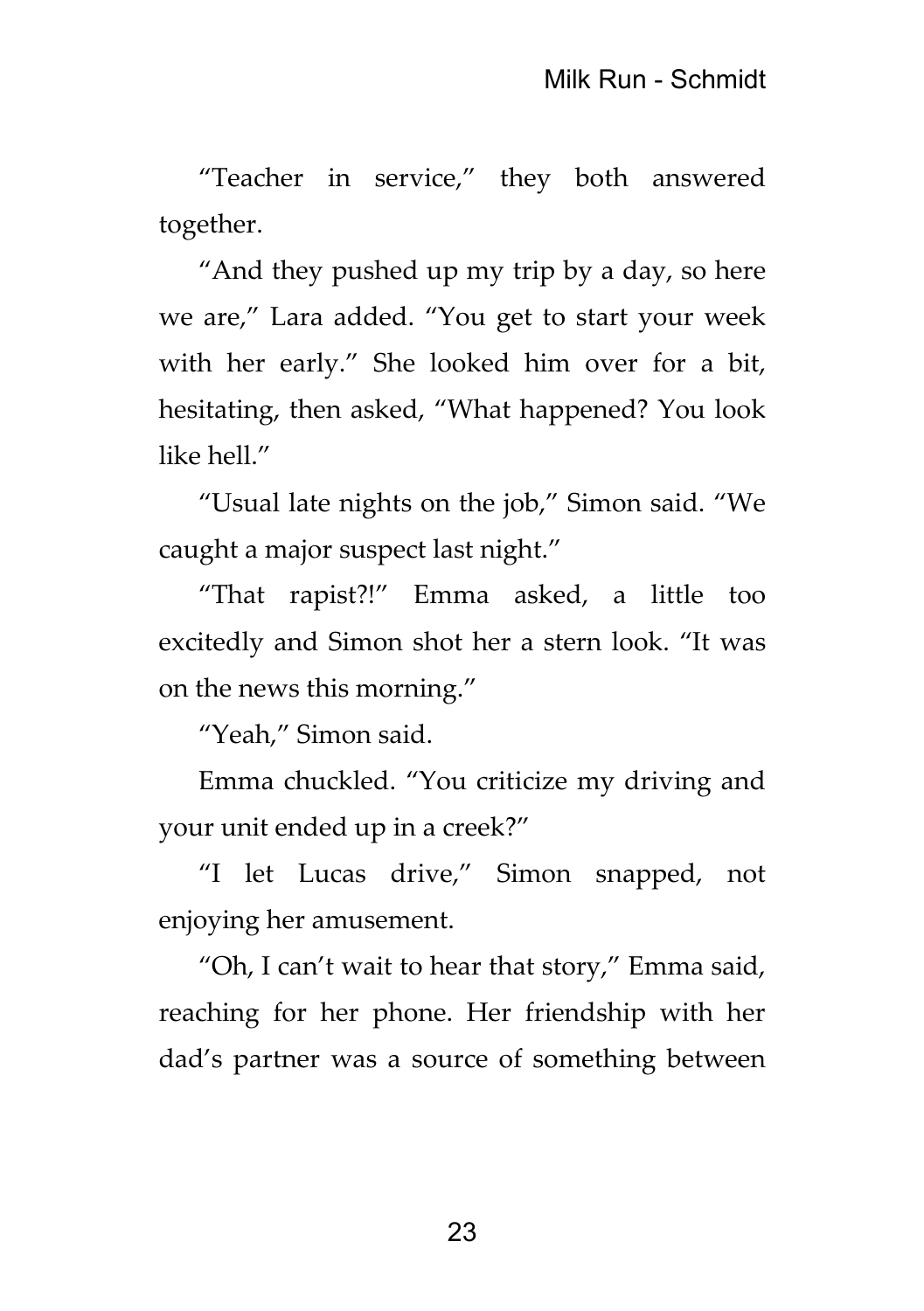"Teacher in service," they both answered together.

"And they pushed up my trip by a day, so here we are," Lara added. "You get to start your week with her early." She looked him over for a bit, hesitating, then asked, "What happened? You look like hell."

"Usual late nights on the job," Simon said. "We caught a major suspect last night."

"That rapist?!" Emma asked, a little too excitedly and Simon shot her a stern look. "It was on the news this morning."

"Yeah," Simon said.

Emma chuckled. "You criticize my driving and your unit ended up in a creek?"

"I let Lucas drive," Simon snapped, not enjoying her amusement.

"Oh, I can't wait to hear that story," Emma said, reaching for her phone. Her friendship with her dad's partner was a source of something between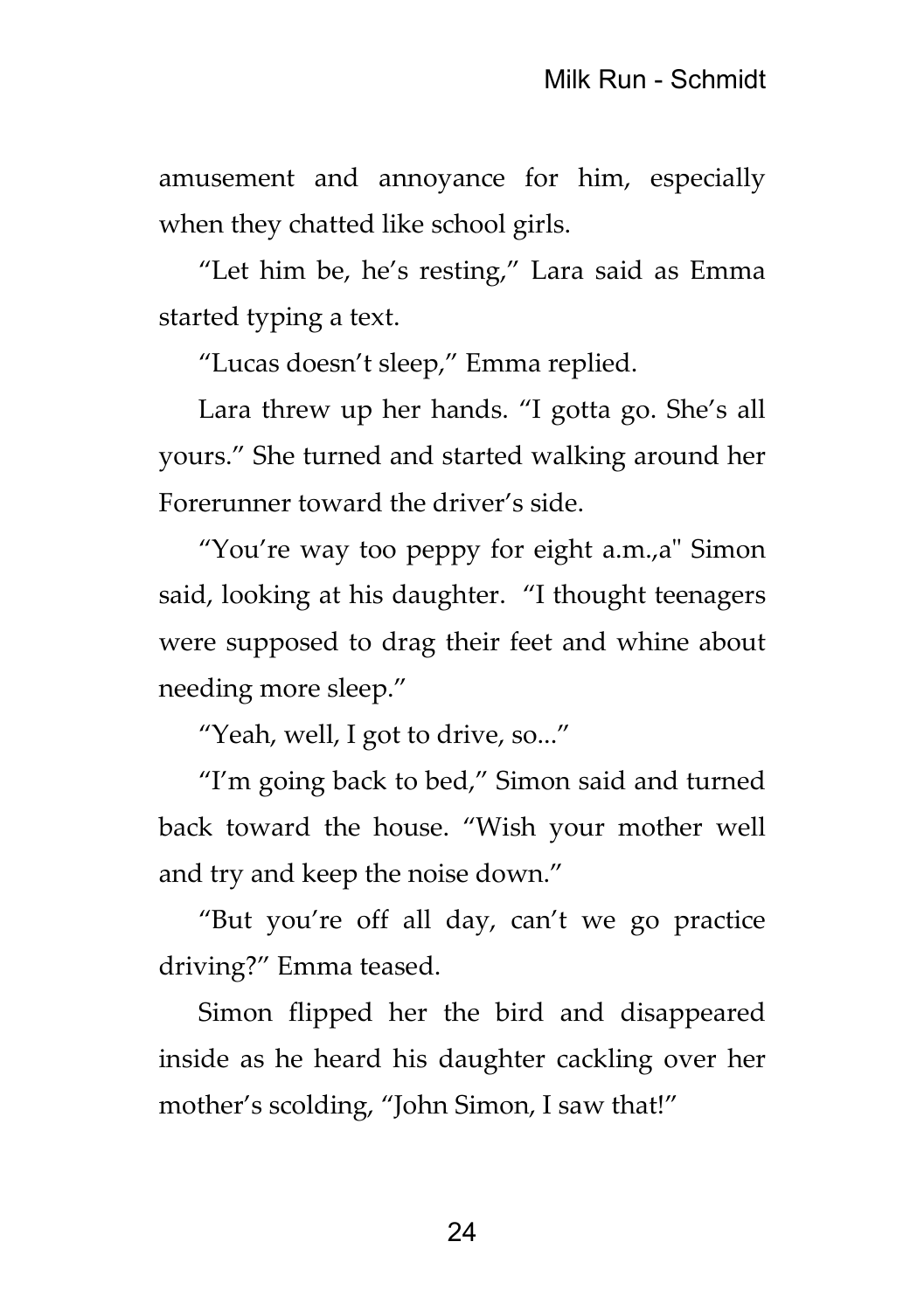amusement and annoyance for him, especially when they chatted like school girls.

"Let him be, he's resting," Lara said as Emma started typing a text.

"Lucas doesn't sleep," Emma replied.

Lara threw up her hands. "I gotta go. She's all yours." She turned and started walking around her Forerunner toward the driver's side.

"You're way too peppy for eight a.m.,a" Simon said, looking at his daughter. "I thought teenagers were supposed to drag their feet and whine about needing more sleep."

"Yeah, well, I got to drive, so..."

"I'm going back to bed," Simon said and turned back toward the house. "Wish your mother well and try and keep the noise down."

"But you're off all day, can't we go practice driving?" Emma teased.

Simon flipped her the bird and disappeared inside as he heard his daughter cackling over her mother's scolding, "John Simon, I saw that!"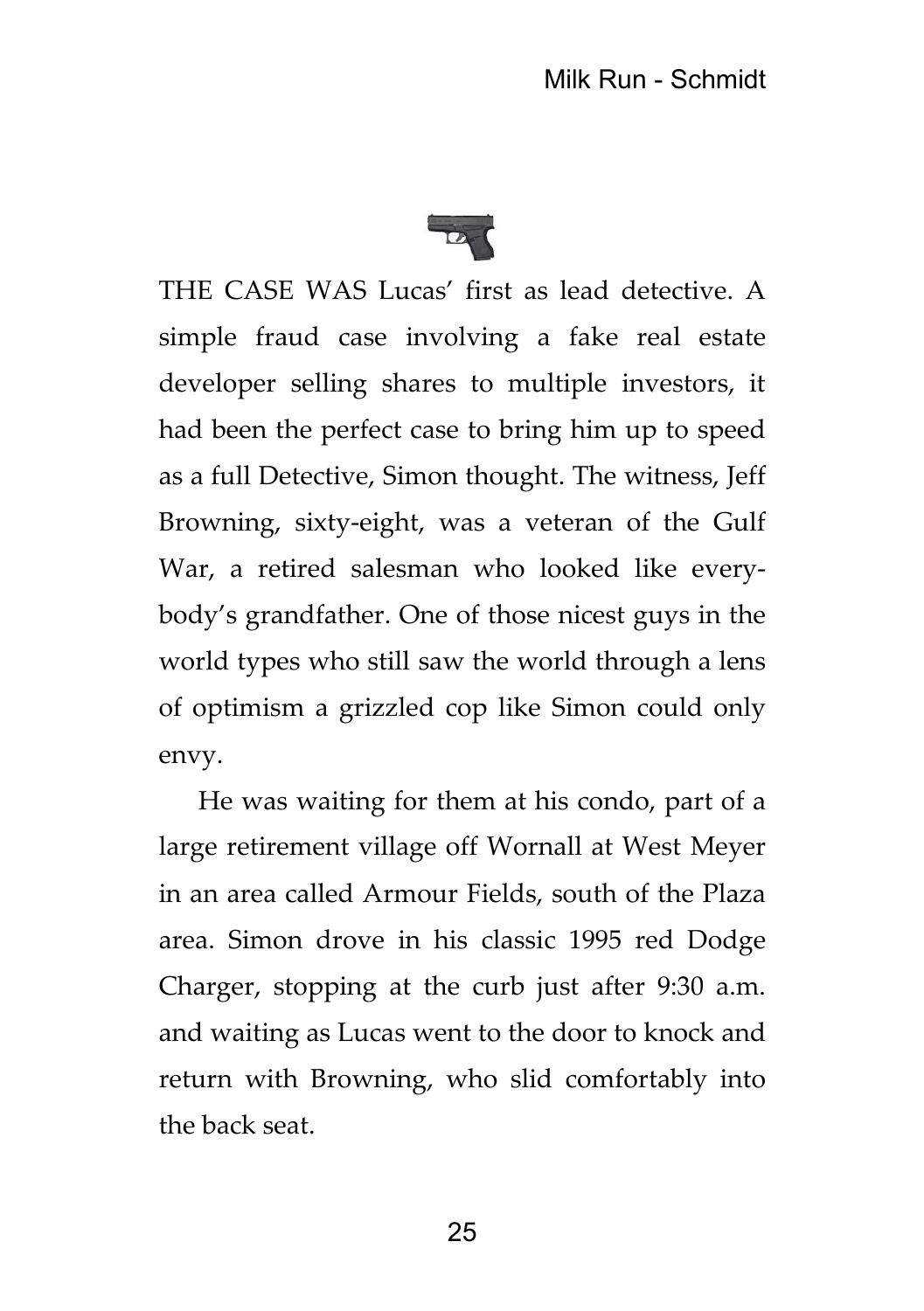

THE CASE WAS Lucas' first as lead detective. A simple fraud case involving a fake real estate developer selling shares to multiple investors, it had been the perfect case to bring him up to speed as a full Detective, Simon thought. The witness, Jeff Browning, sixty-eight, was a veteran of the Gulf War, a retired salesman who looked like everybody's grandfather. One of those nicest guys in the world types who still saw the world through a lens of optimism a grizzled cop like Simon could only envy.

He was waiting for them at his condo, part of a large retirement village off Wornall at West Meyer in an area called Armour Fields, south of the Plaza area. Simon drove in his classic 1995 red Dodge Charger, stopping at the curb just after 9:30 a.m. and waiting as Lucas went to the door to knock and return with Browning, who slid comfortably into the back seat.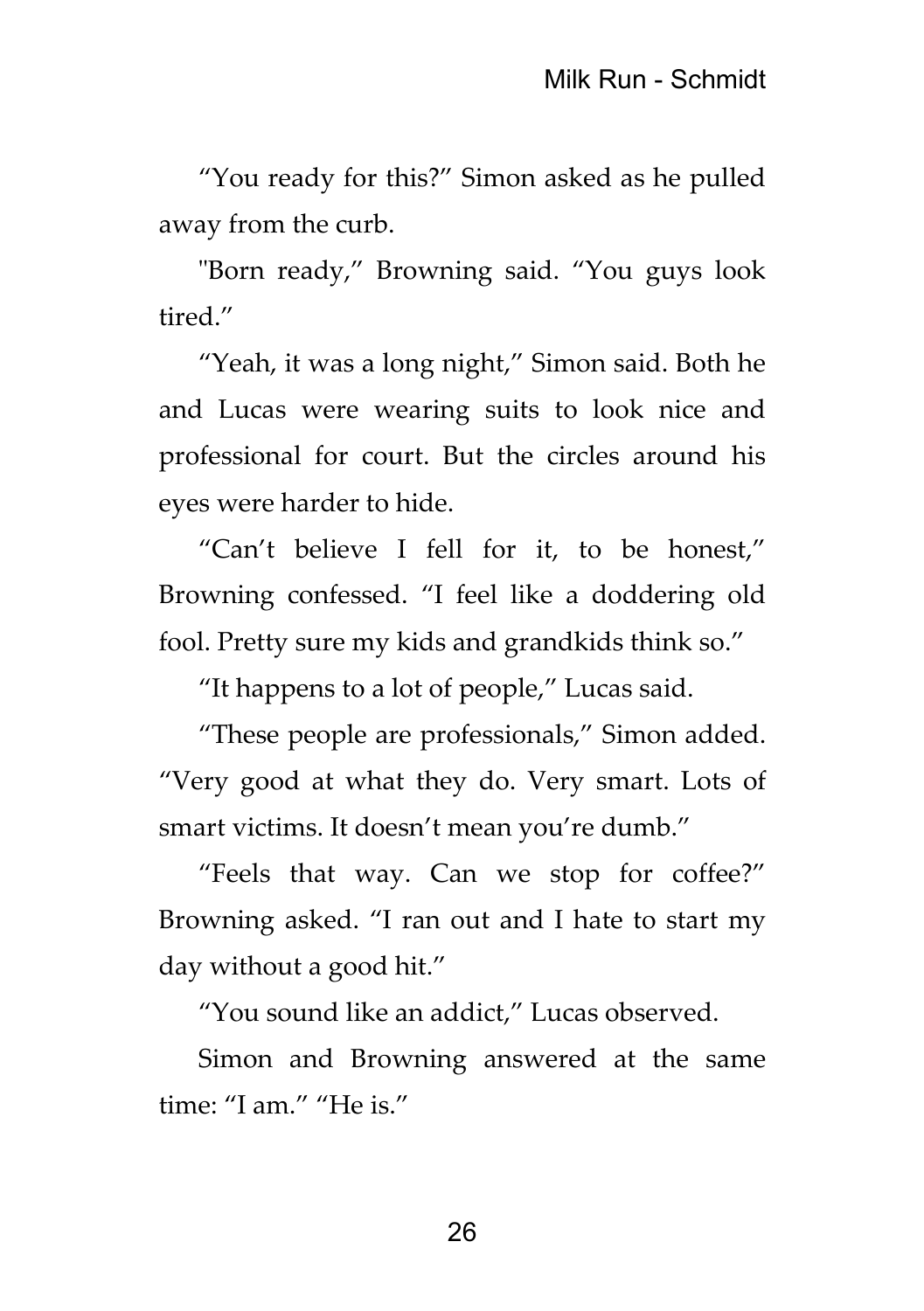"You ready for this?" Simon asked as he pulled away from the curb.

"Born ready," Browning said. "You guys look tired."

"Yeah, it was a long night," Simon said. Both he and Lucas were wearing suits to look nice and professional for court. But the circles around his eyes were harder to hide.

"Can't believe I fell for it, to be honest," Browning confessed. "I feel like a doddering old fool. Pretty sure my kids and grandkids think so."

"It happens to a lot of people," Lucas said.

"These people are professionals," Simon added. "Very good at what they do. Very smart. Lots of smart victims. It doesn't mean you're dumb."

"Feels that way. Can we stop for coffee?" Browning asked. "I ran out and I hate to start my day without a good hit."

"You sound like an addict," Lucas observed.

Simon and Browning answered at the same time: "I am." "He is."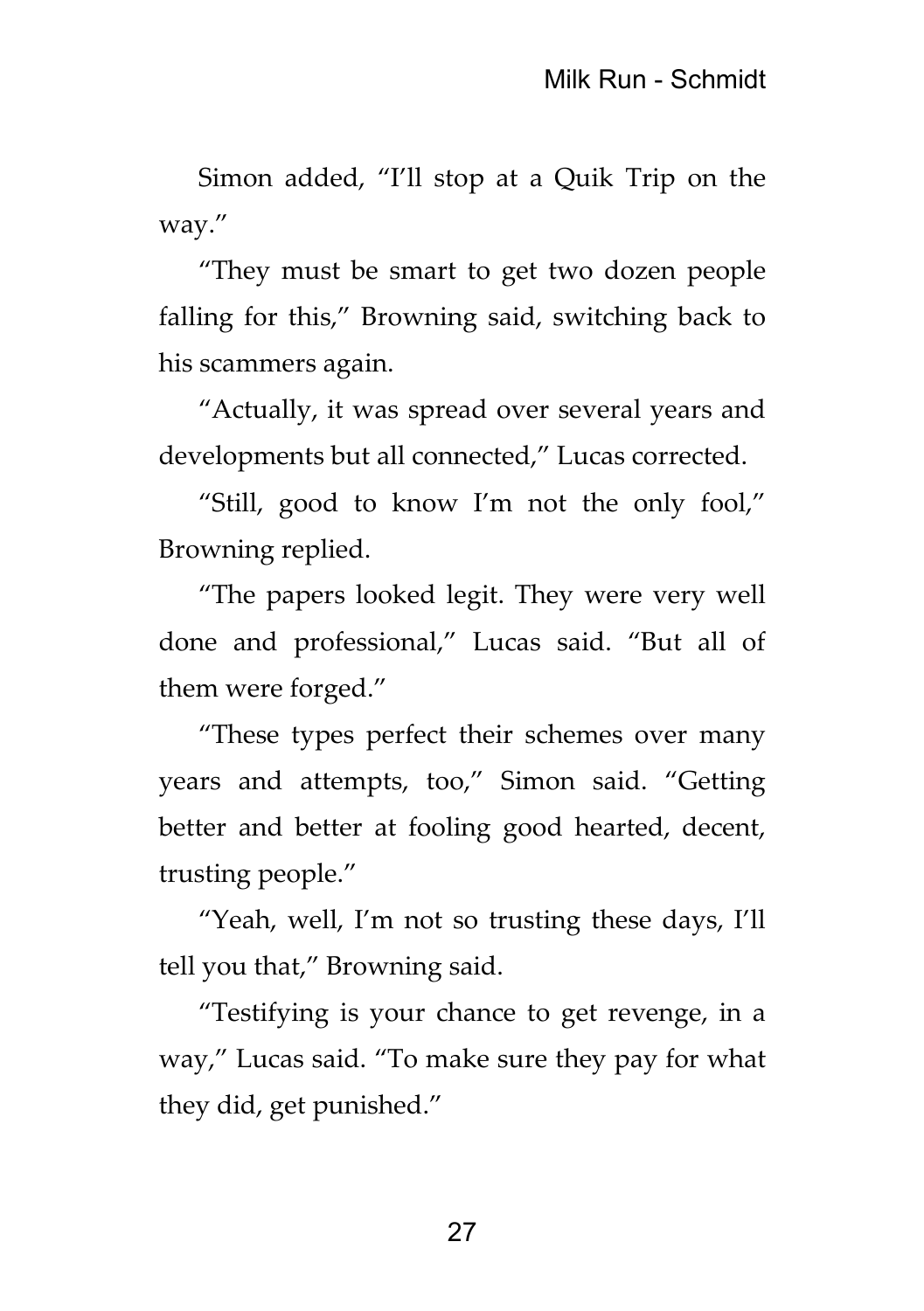Simon added, "I'll stop at a Quik Trip on the way."

"They must be smart to get two dozen people falling for this," Browning said, switching back to his scammers again.

"Actually, it was spread over several years and developments but all connected," Lucas corrected.

"Still, good to know I'm not the only fool," Browning replied.

"The papers looked legit. They were very well done and professional," Lucas said. "But all of them were forged."

"These types perfect their schemes over many years and attempts, too," Simon said. "Getting better and better at fooling good hearted, decent, trusting people."

"Yeah, well, I'm not so trusting these days, I'll tell you that," Browning said.

"Testifying is your chance to get revenge, in a way," Lucas said. "To make sure they pay for what they did, get punished."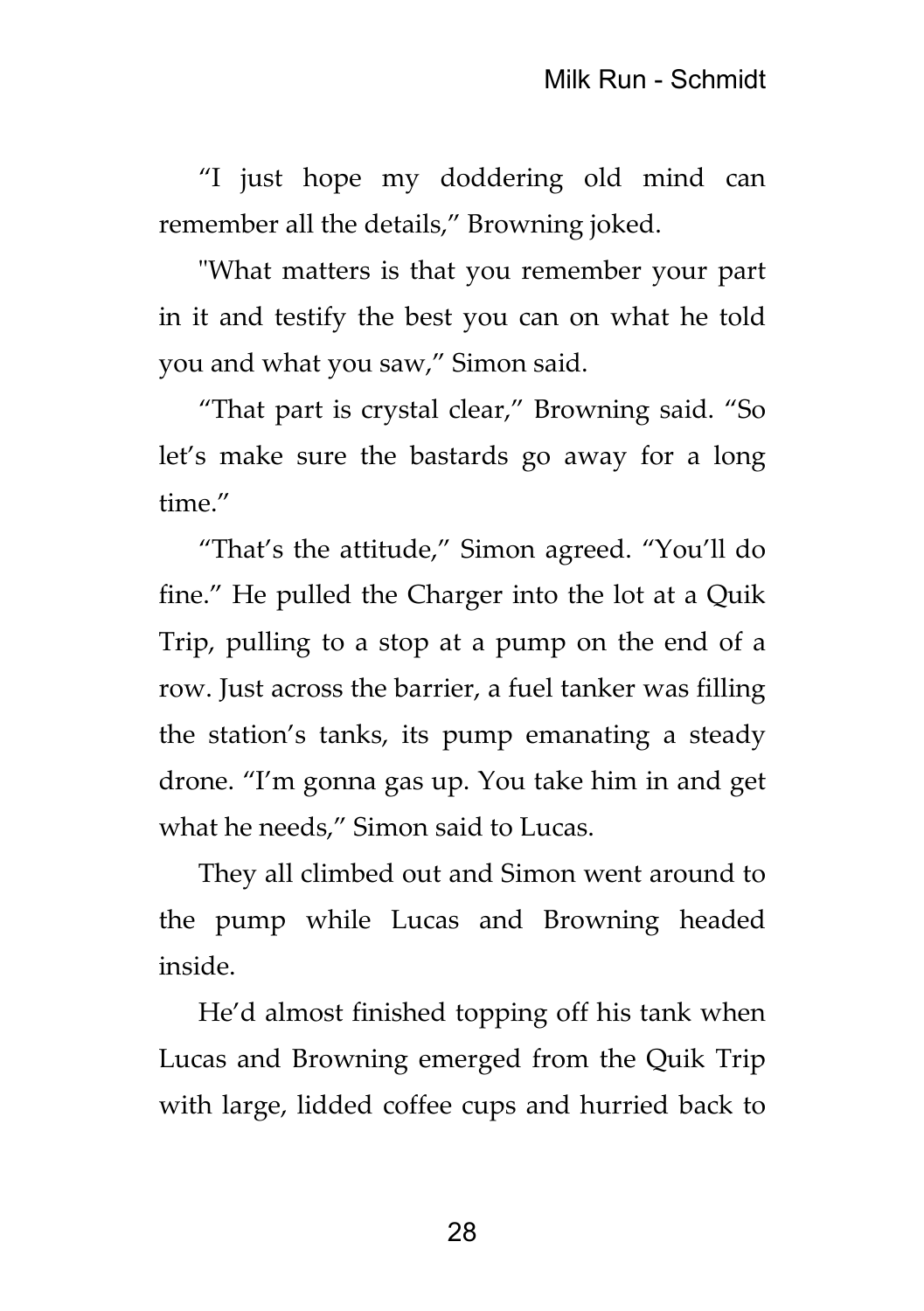"I just hope my doddering old mind can remember all the details," Browning joked.

"What matters is that you remember your part in it and testify the best you can on what he told you and what you saw," Simon said.

"That part is crystal clear," Browning said. "So let's make sure the bastards go away for a long time."

"That's the attitude," Simon agreed. "You'll do fine." He pulled the Charger into the lot at a Quik Trip, pulling to a stop at a pump on the end of a row. Just across the barrier, a fuel tanker was filling the station's tanks, its pump emanating a steady drone. "I'm gonna gas up. You take him in and get what he needs," Simon said to Lucas.

They all climbed out and Simon went around to the pump while Lucas and Browning headed inside.

He'd almost finished topping off his tank when Lucas and Browning emerged from the Quik Trip with large, lidded coffee cups and hurried back to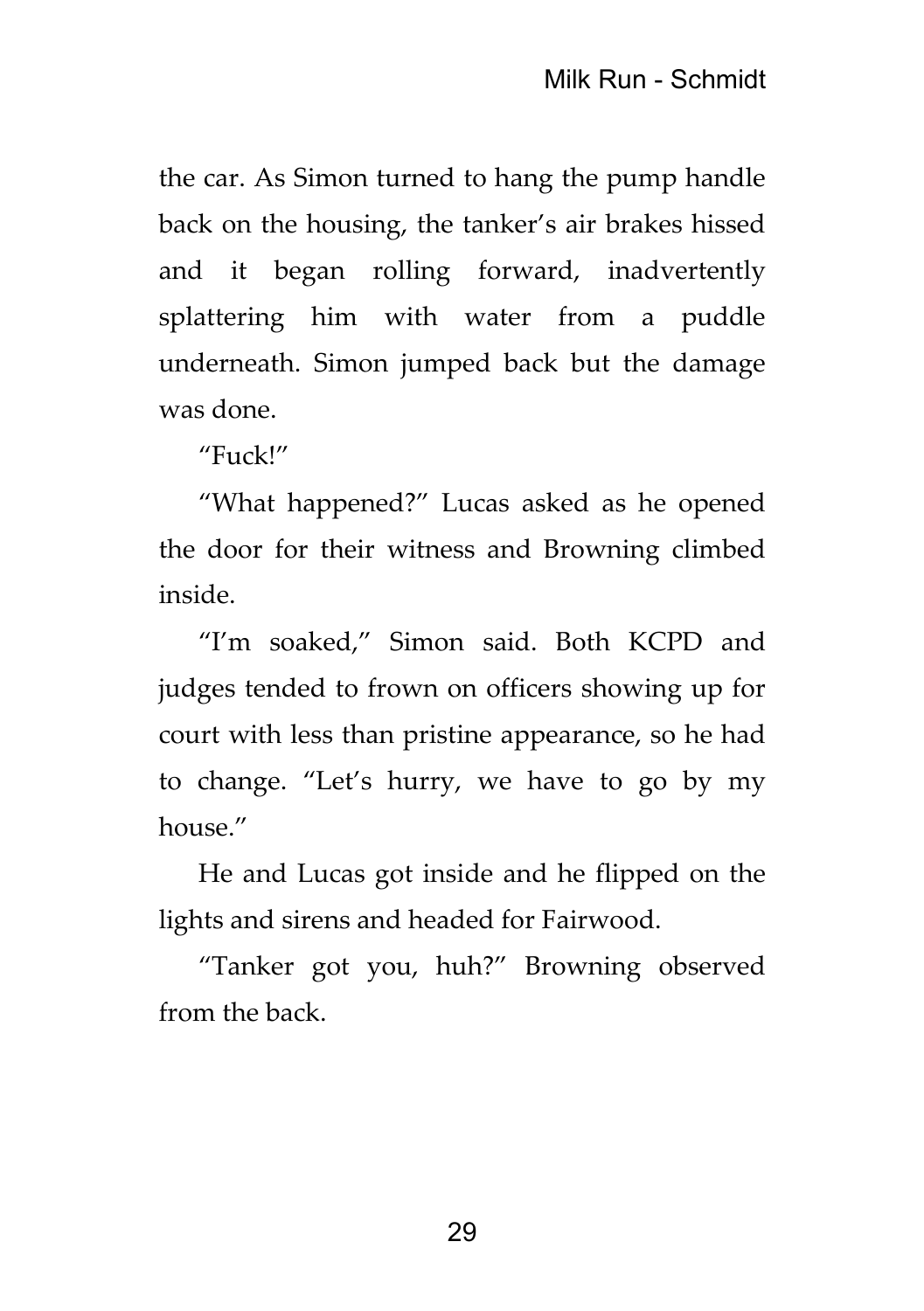the car. As Simon turned to hang the pump handle back on the housing, the tanker's air brakes hissed and it began rolling forward, inadvertently splattering him with water from a puddle underneath. Simon jumped back but the damage was done.

"Fuck!"

"What happened?" Lucas asked as he opened the door for their witness and Browning climbed inside.

"I'm soaked," Simon said. Both KCPD and judges tended to frown on officers showing up for court with less than pristine appearance, so he had to change. "Let's hurry, we have to go by my house."

He and Lucas got inside and he flipped on the lights and sirens and headed for Fairwood.

"Tanker got you, huh?" Browning observed from the back.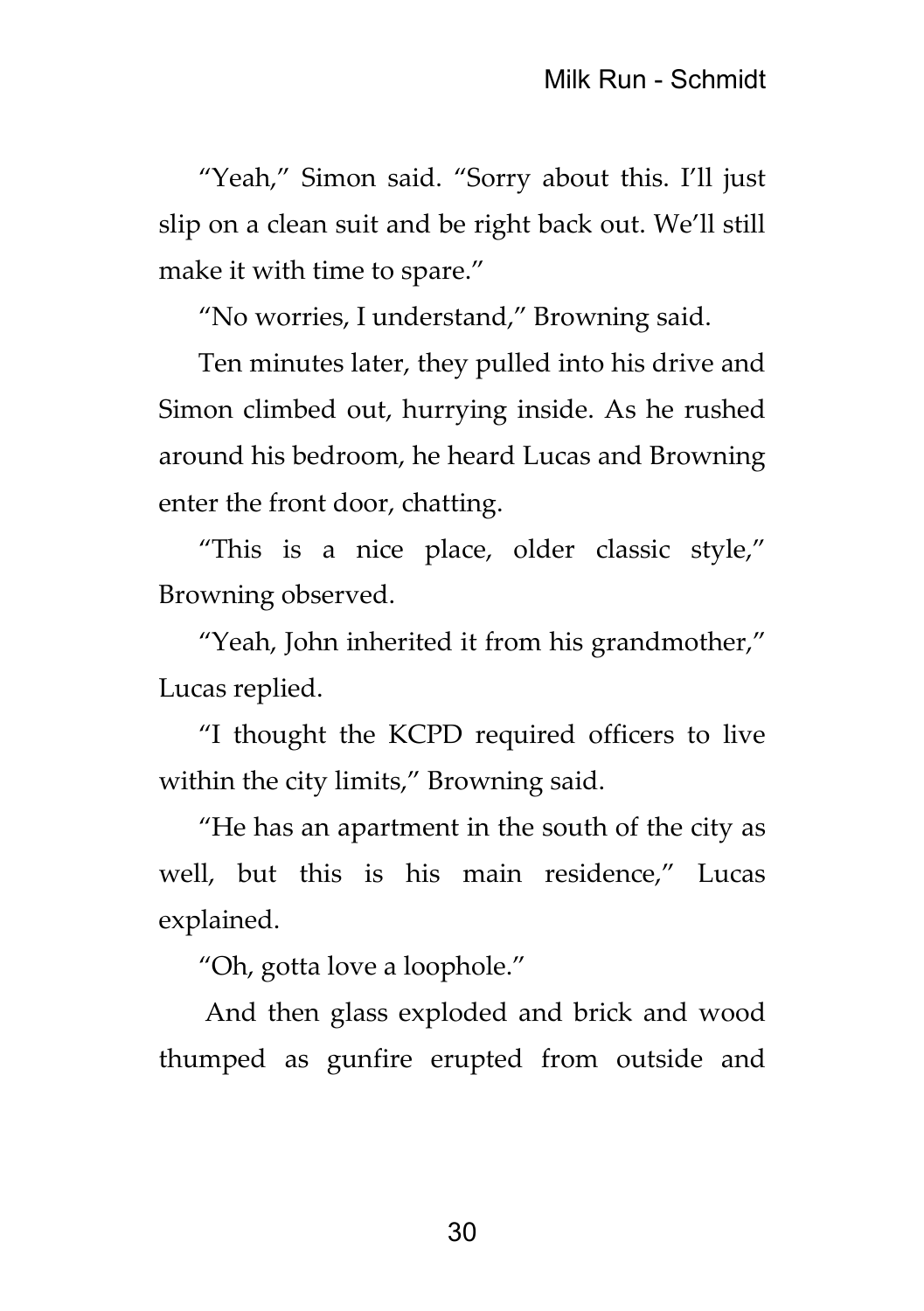"Yeah," Simon said. "Sorry about this. I'll just slip on a clean suit and be right back out. We'll still make it with time to spare."

"No worries, I understand," Browning said.

Ten minutes later, they pulled into his drive and Simon climbed out, hurrying inside. As he rushed around his bedroom, he heard Lucas and Browning enter the front door, chatting.

"This is a nice place, older classic style," Browning observed.

"Yeah, John inherited it from his grandmother," Lucas replied.

"I thought the KCPD required officers to live within the city limits," Browning said.

"He has an apartment in the south of the city as well, but this is his main residence," Lucas explained.

"Oh, gotta love a loophole."

And then glass exploded and brick and wood thumped as gunfire erupted from outside and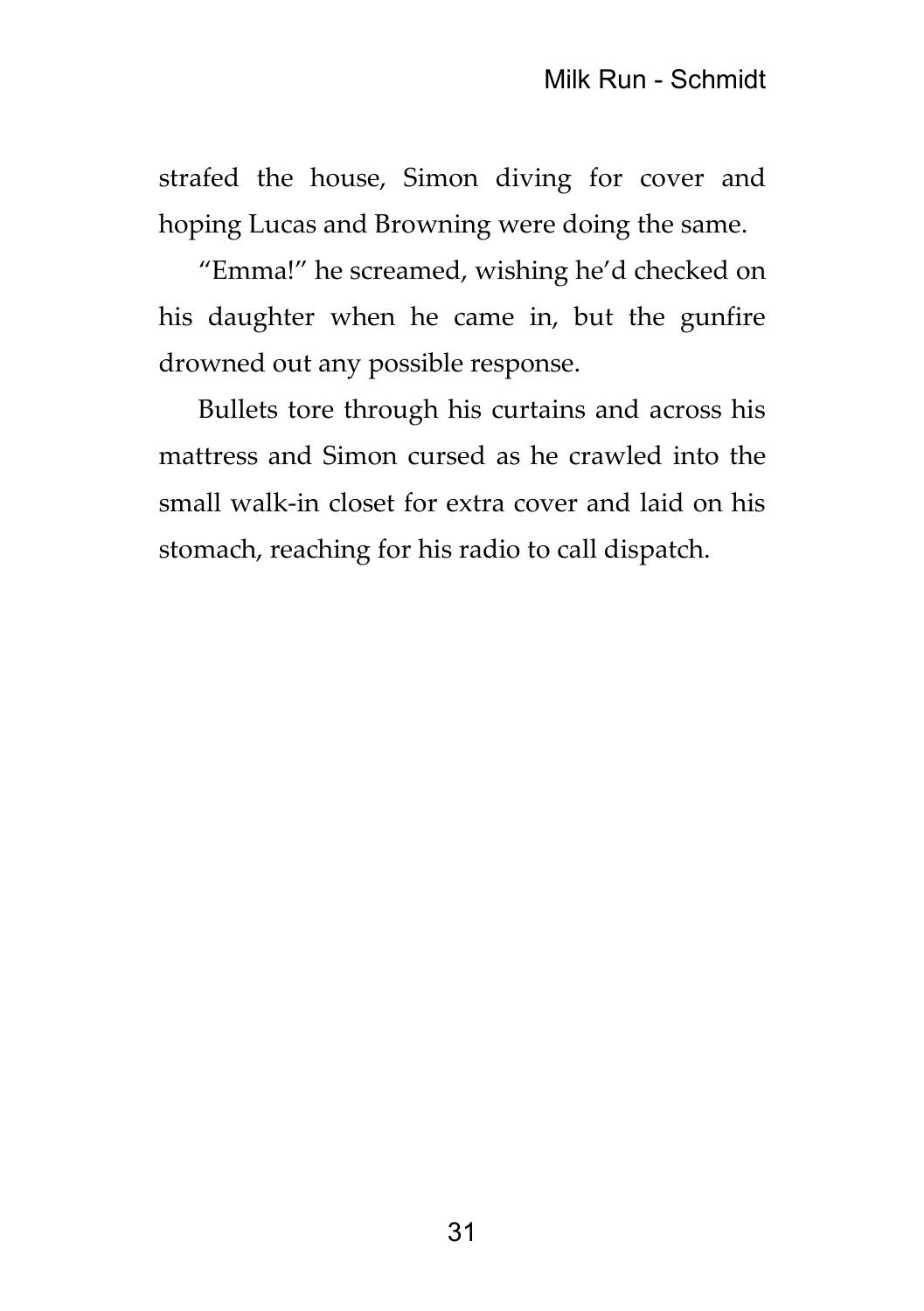strafed the house, Simon diving for cover and hoping Lucas and Browning were doing the same.

"Emma!" he screamed, wishing he'd checked on his daughter when he came in, but the gunfire drowned out any possible response.

Bullets tore through his curtains and across his mattress and Simon cursed as he crawled into the small walk-in closet for extra cover and laid on his stomach, reaching for his radio to call dispatch.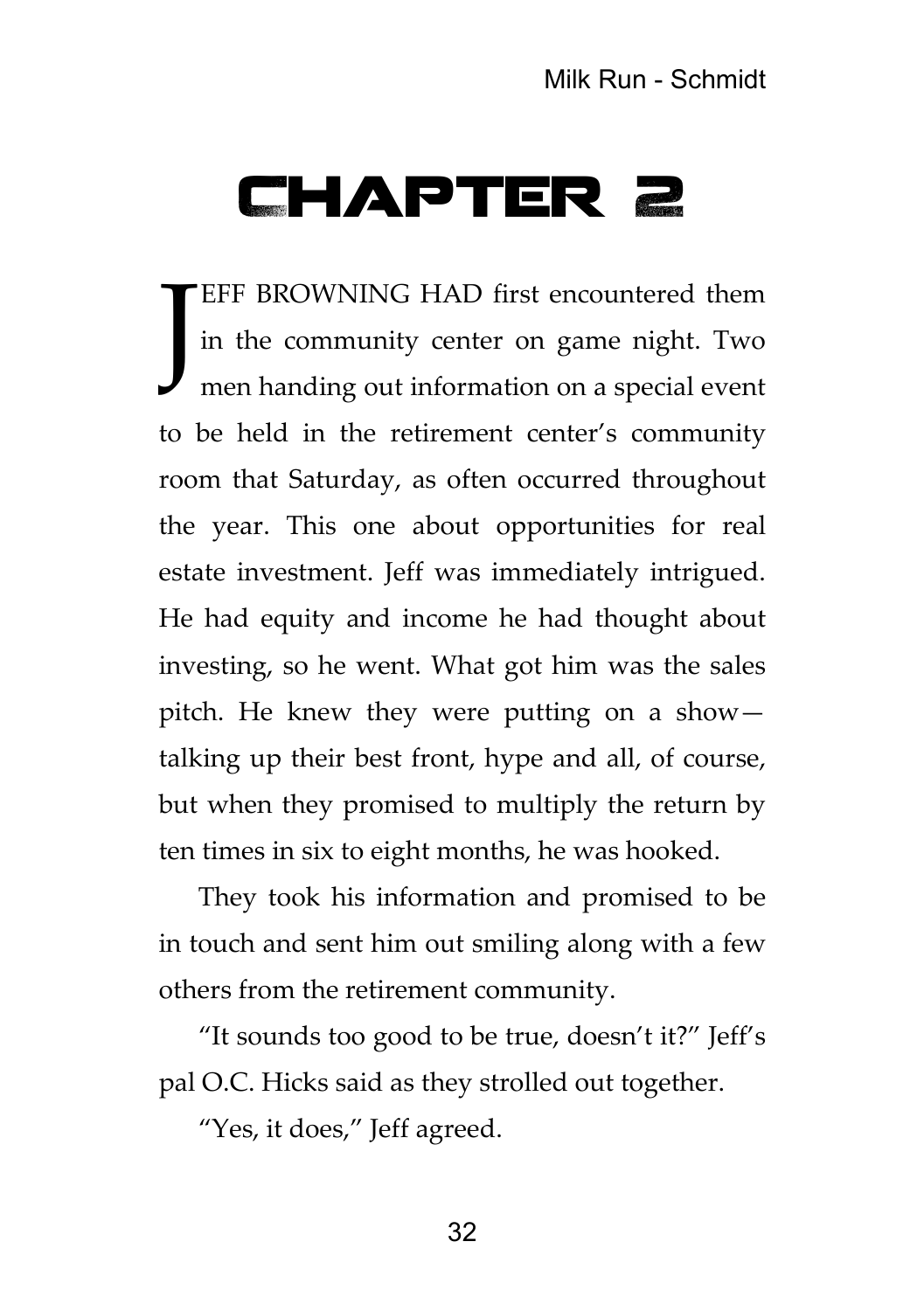## Chapter 2

EFF BROWNING HAD first encountered them in the community center on game night. Two men handing out information on a special event to be held in the retirement center's community room that Saturday, as often occurred throughout the year. This one about opportunities for real estate investment. Jeff was immediately intrigued. He had equity and income he had thought about investing, so he went. What got him was the sales pitch. He knew they were putting on a show talking up their best front, hype and all, of course, but when they promised to multiply the return by ten times in six to eight months, he was hooked. J

They took his information and promised to be in touch and sent him out smiling along with a few others from the retirement community.

"It sounds too good to be true, doesn't it?" Jeff's pal O.C. Hicks said as they strolled out together.

"Yes, it does," Jeff agreed.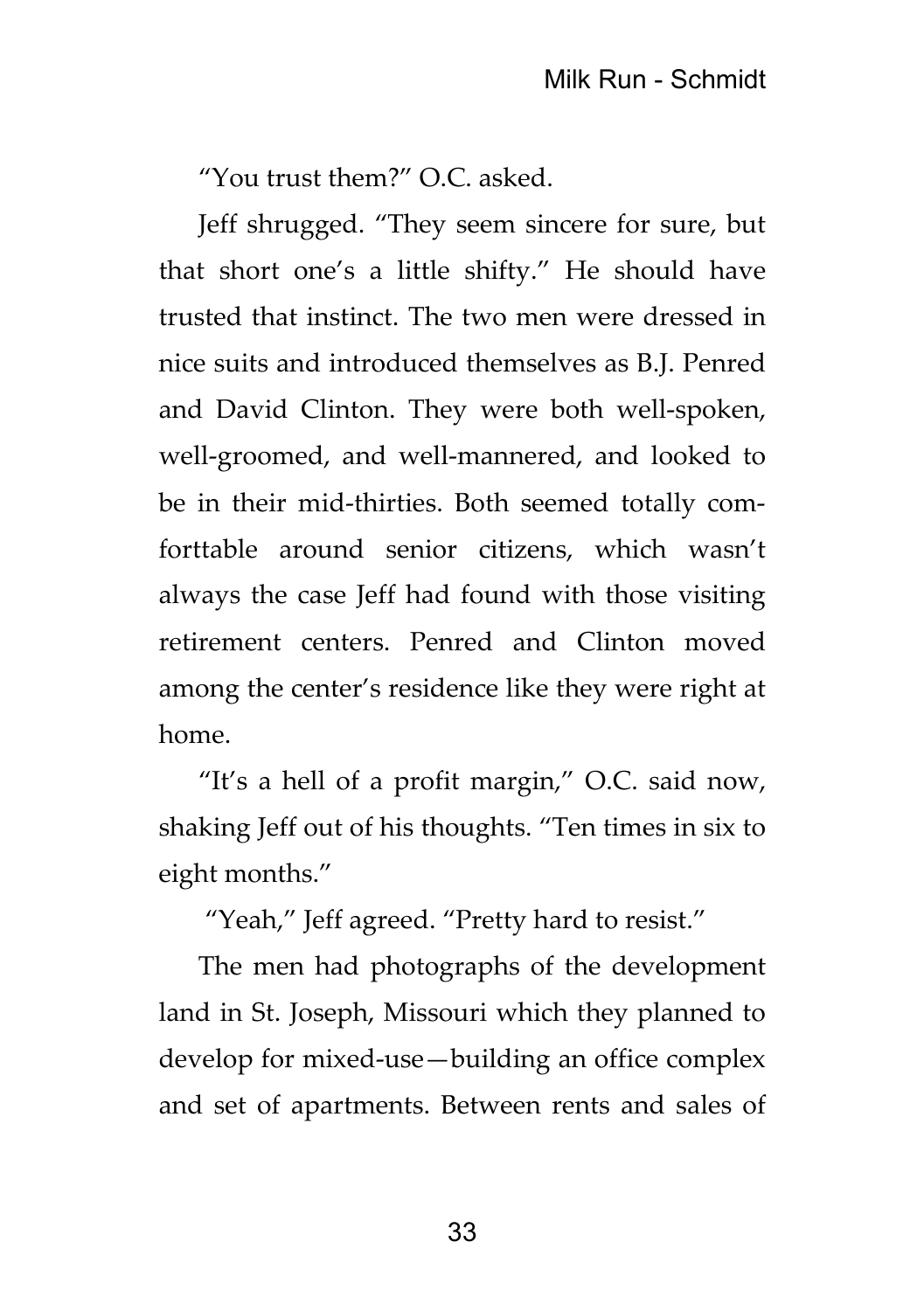"You trust them?" O.C. asked.

Jeff shrugged. "They seem sincere for sure, but that short one's a little shifty." He should have trusted that instinct. The two men were dressed in nice suits and introduced themselves as B.J. Penred and David Clinton. They were both well-spoken, well-groomed, and well-mannered, and looked to be in their mid-thirties. Both seemed totally comforttable around senior citizens, which wasn't always the case Jeff had found with those visiting retirement centers. Penred and Clinton moved among the center's residence like they were right at home.

"It's a hell of a profit margin," O.C. said now, shaking Jeff out of his thoughts. "Ten times in six to eight months."

"Yeah," Jeff agreed. "Pretty hard to resist."

The men had photographs of the development land in St. Joseph, Missouri which they planned to develop for mixed-use—building an office complex and set of apartments. Between rents and sales of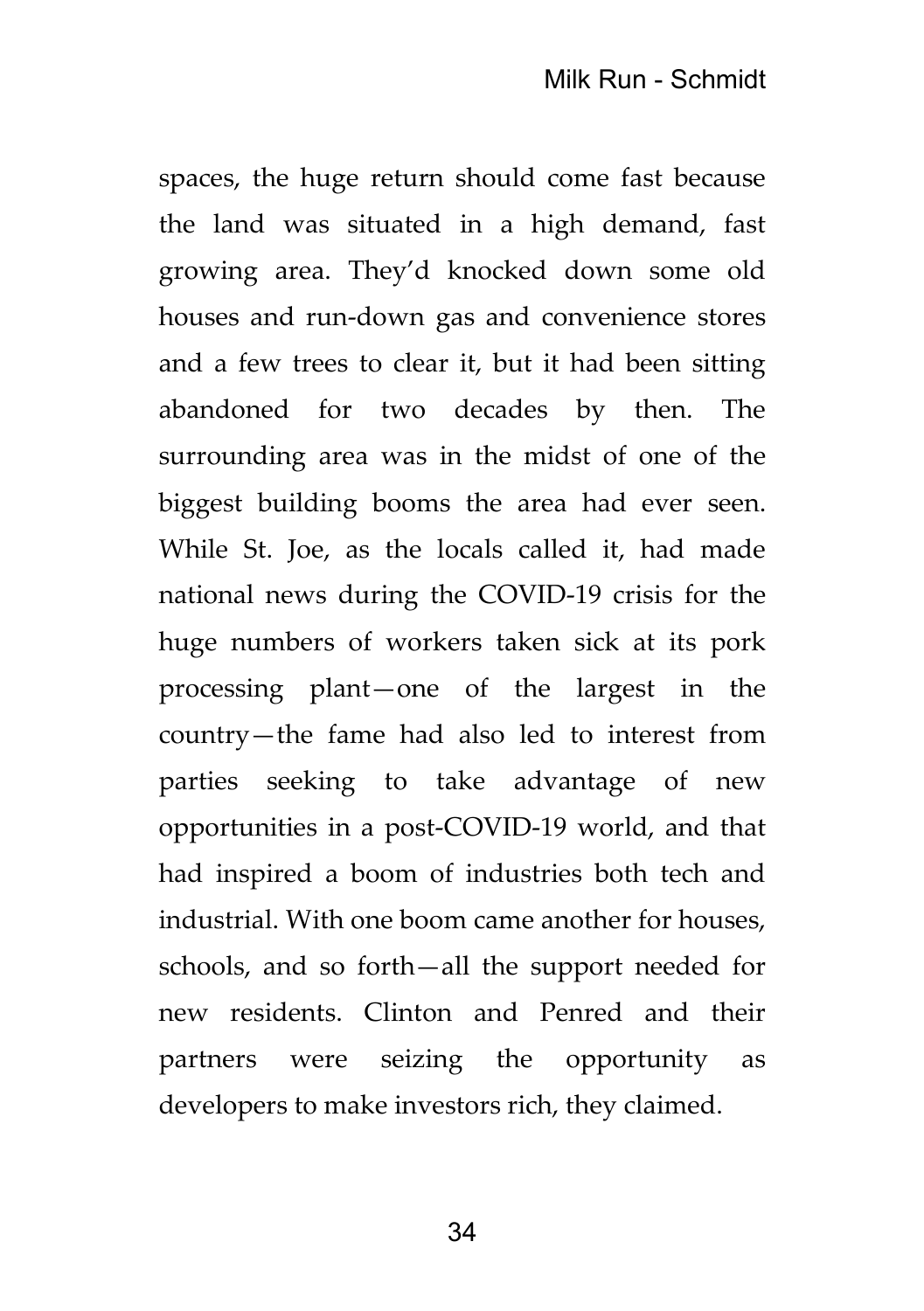spaces, the huge return should come fast because the land was situated in a high demand, fast growing area. They'd knocked down some old houses and run-down gas and convenience stores and a few trees to clear it, but it had been sitting abandoned for two decades by then. The surrounding area was in the midst of one of the biggest building booms the area had ever seen. While St. Joe, as the locals called it, had made national news during the COVID-19 crisis for the huge numbers of workers taken sick at its pork processing plant—one of the largest in the country—the fame had also led to interest from parties seeking to take advantage of new opportunities in a post-COVID-19 world, and that had inspired a boom of industries both tech and industrial. With one boom came another for houses, schools, and so forth—all the support needed for new residents. Clinton and Penred and their partners were seizing the opportunity as developers to make investors rich, they claimed.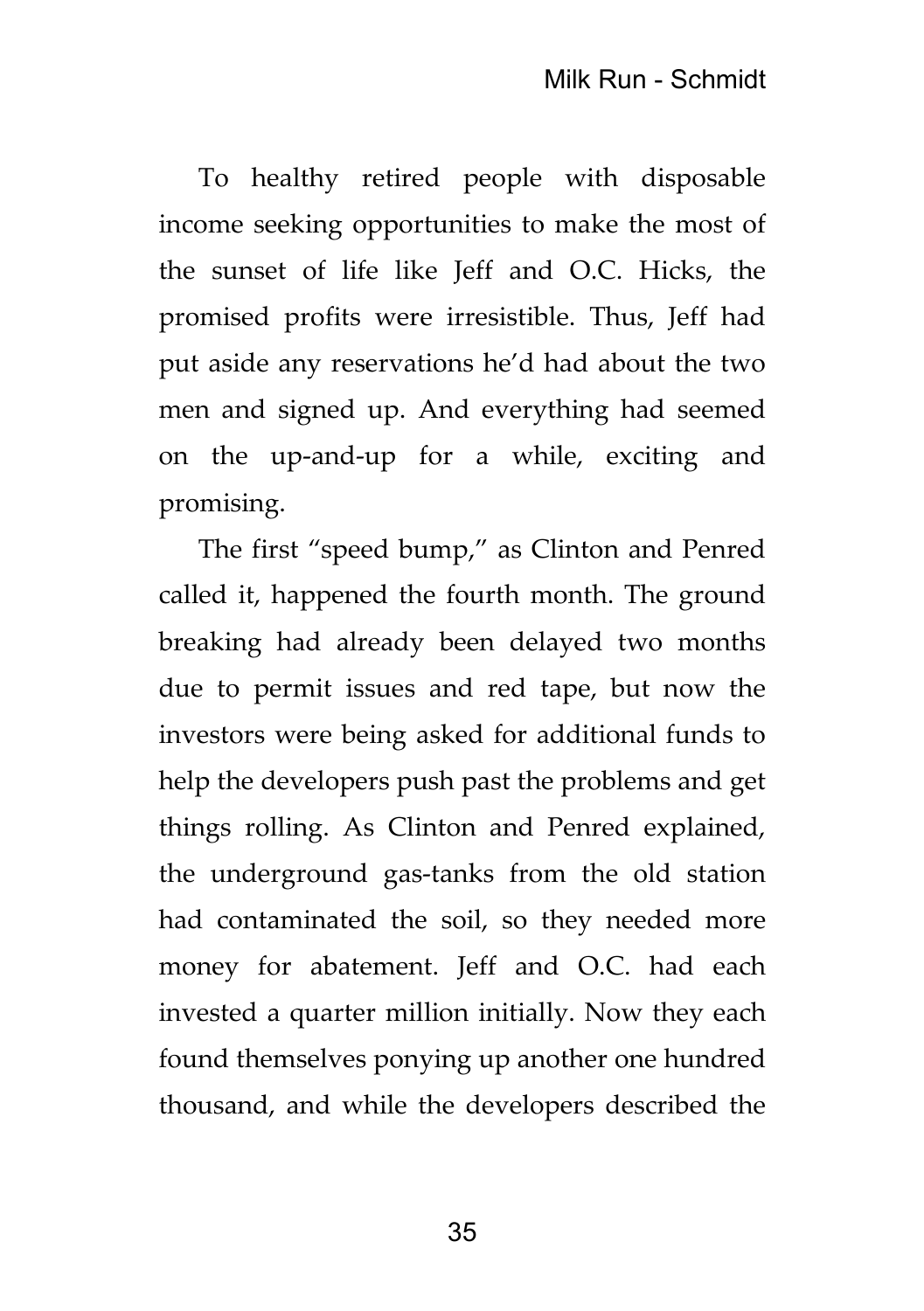To healthy retired people with disposable income seeking opportunities to make the most of the sunset of life like Jeff and O.C. Hicks, the promised profits were irresistible. Thus, Jeff had put aside any reservations he'd had about the two men and signed up. And everything had seemed on the up-and-up for a while, exciting and promising.

The first "speed bump," as Clinton and Penred called it, happened the fourth month. The ground breaking had already been delayed two months due to permit issues and red tape, but now the investors were being asked for additional funds to help the developers push past the problems and get things rolling. As Clinton and Penred explained, the underground gas-tanks from the old station had contaminated the soil, so they needed more money for abatement. Jeff and O.C. had each invested a quarter million initially. Now they each found themselves ponying up another one hundred thousand, and while the developers described the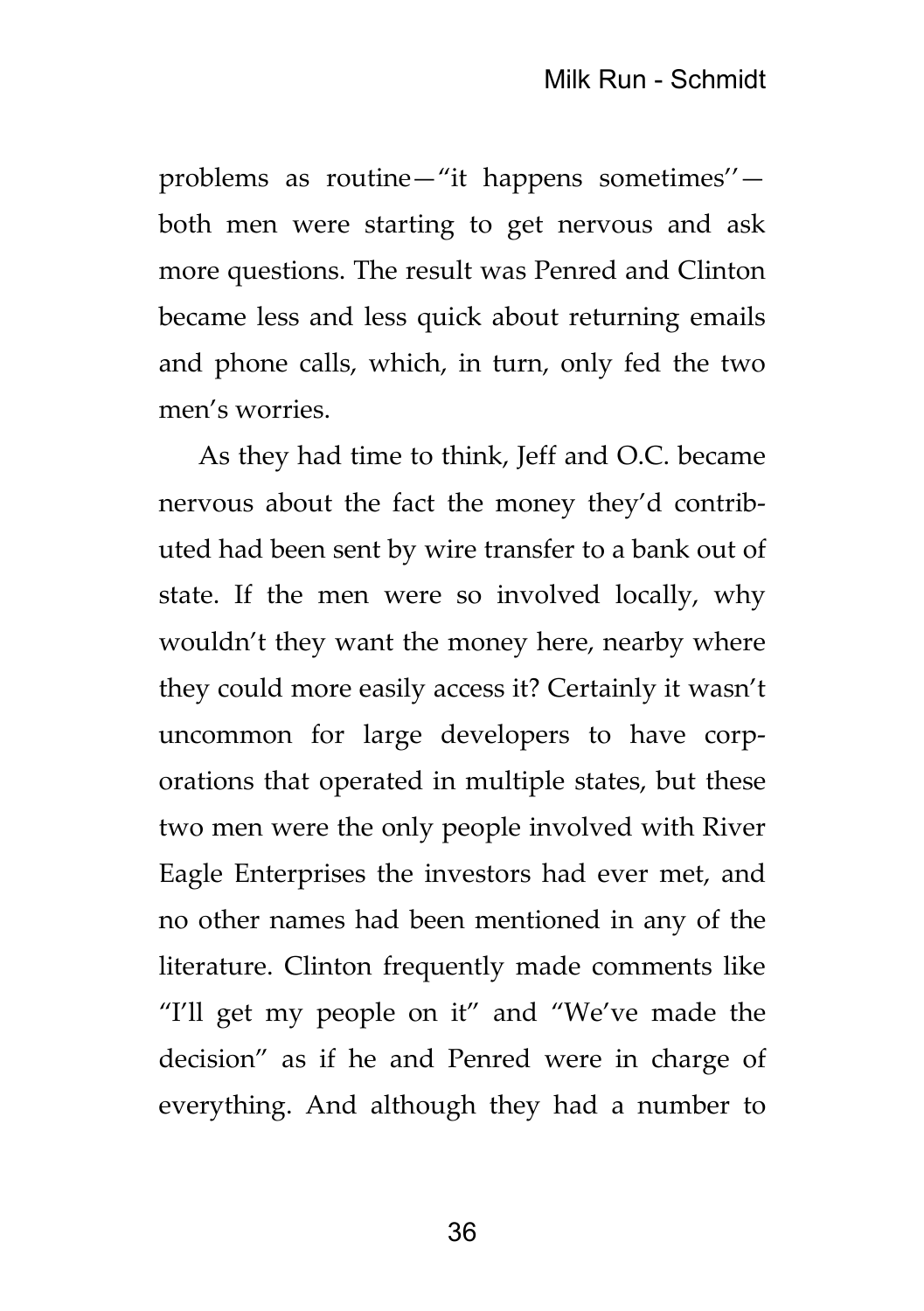problems as routine—"it happens sometimes'' both men were starting to get nervous and ask more questions. The result was Penred and Clinton became less and less quick about returning emails and phone calls, which, in turn, only fed the two men's worries.

As they had time to think, Jeff and O.C. became nervous about the fact the money they'd contributed had been sent by wire transfer to a bank out of state. If the men were so involved locally, why wouldn't they want the money here, nearby where they could more easily access it? Certainly it wasn't uncommon for large developers to have corporations that operated in multiple states, but these two men were the only people involved with River Eagle Enterprises the investors had ever met, and no other names had been mentioned in any of the literature. Clinton frequently made comments like "I'll get my people on it" and "We've made the decision" as if he and Penred were in charge of everything. And although they had a number to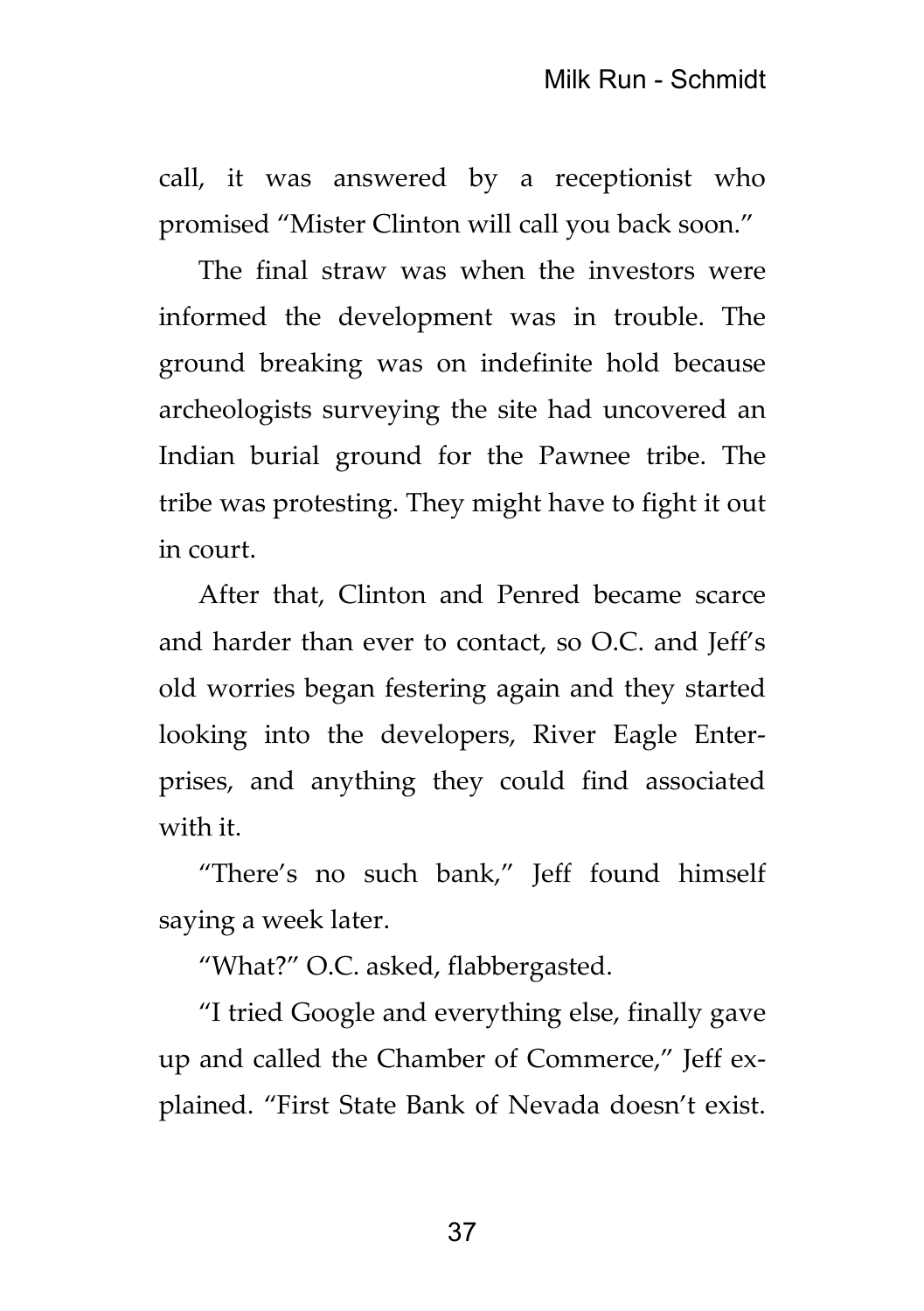call, it was answered by a receptionist who promised "Mister Clinton will call you back soon."

The final straw was when the investors were informed the development was in trouble. The ground breaking was on indefinite hold because archeologists surveying the site had uncovered an Indian burial ground for the Pawnee tribe. The tribe was protesting. They might have to fight it out in court.

After that, Clinton and Penred became scarce and harder than ever to contact, so O.C. and Jeff's old worries began festering again and they started looking into the developers, River Eagle Enterprises, and anything they could find associated with it.

"There's no such bank," Jeff found himself saying a week later.

"What?" O.C. asked, flabbergasted.

"I tried Google and everything else, finally gave up and called the Chamber of Commerce," Jeff explained. "First State Bank of Nevada doesn't exist.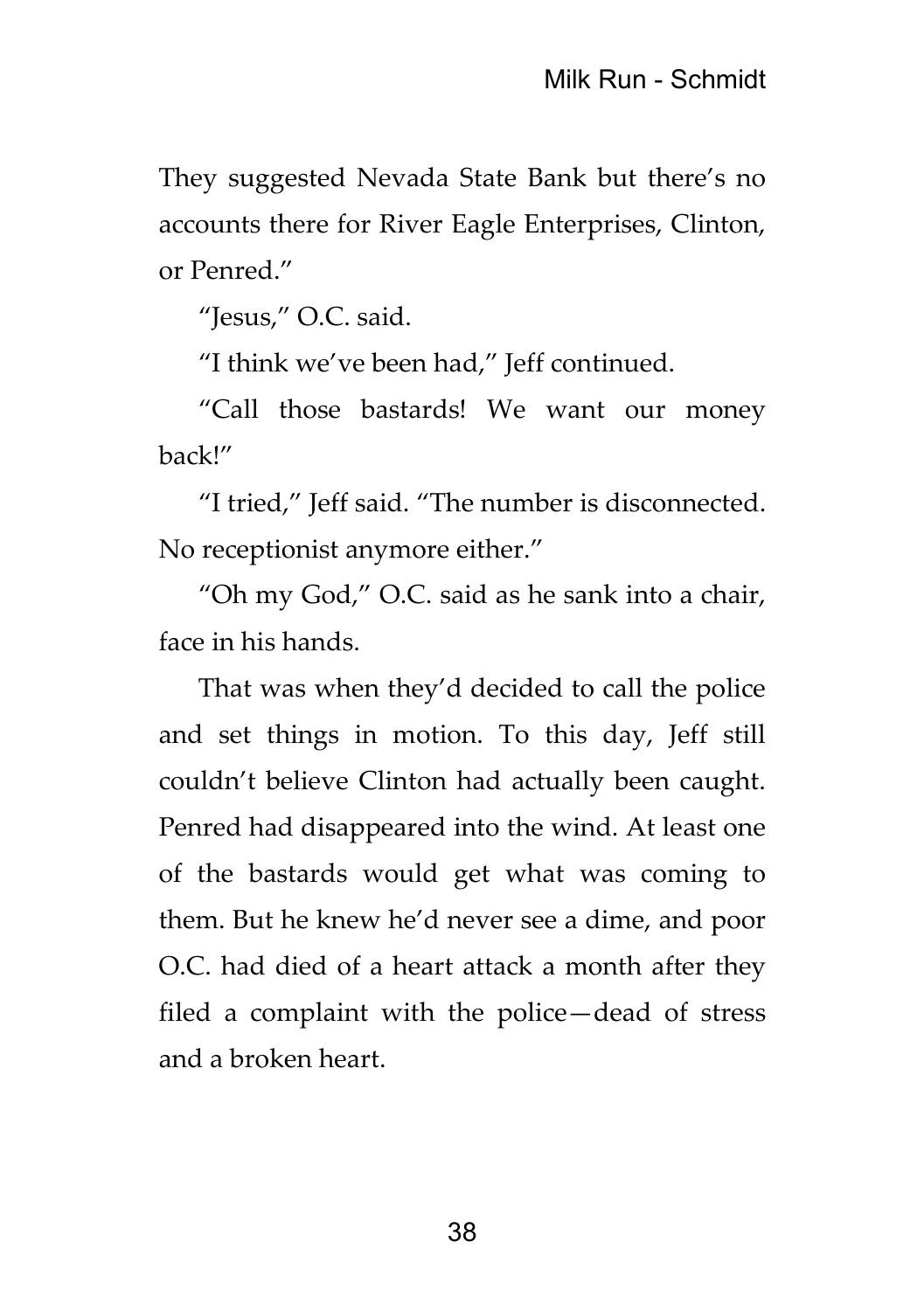They suggested Nevada State Bank but there's no accounts there for River Eagle Enterprises, Clinton, or Penred."

"Jesus," O.C. said.

"I think we've been had," Jeff continued.

"Call those bastards! We want our money back!"

"I tried," Jeff said. "The number is disconnected. No receptionist anymore either."

"Oh my God," O.C. said as he sank into a chair, face in his hands.

That was when they'd decided to call the police and set things in motion. To this day, Jeff still couldn't believe Clinton had actually been caught. Penred had disappeared into the wind. At least one of the bastards would get what was coming to them. But he knew he'd never see a dime, and poor O.C. had died of a heart attack a month after they filed a complaint with the police—dead of stress and a broken heart.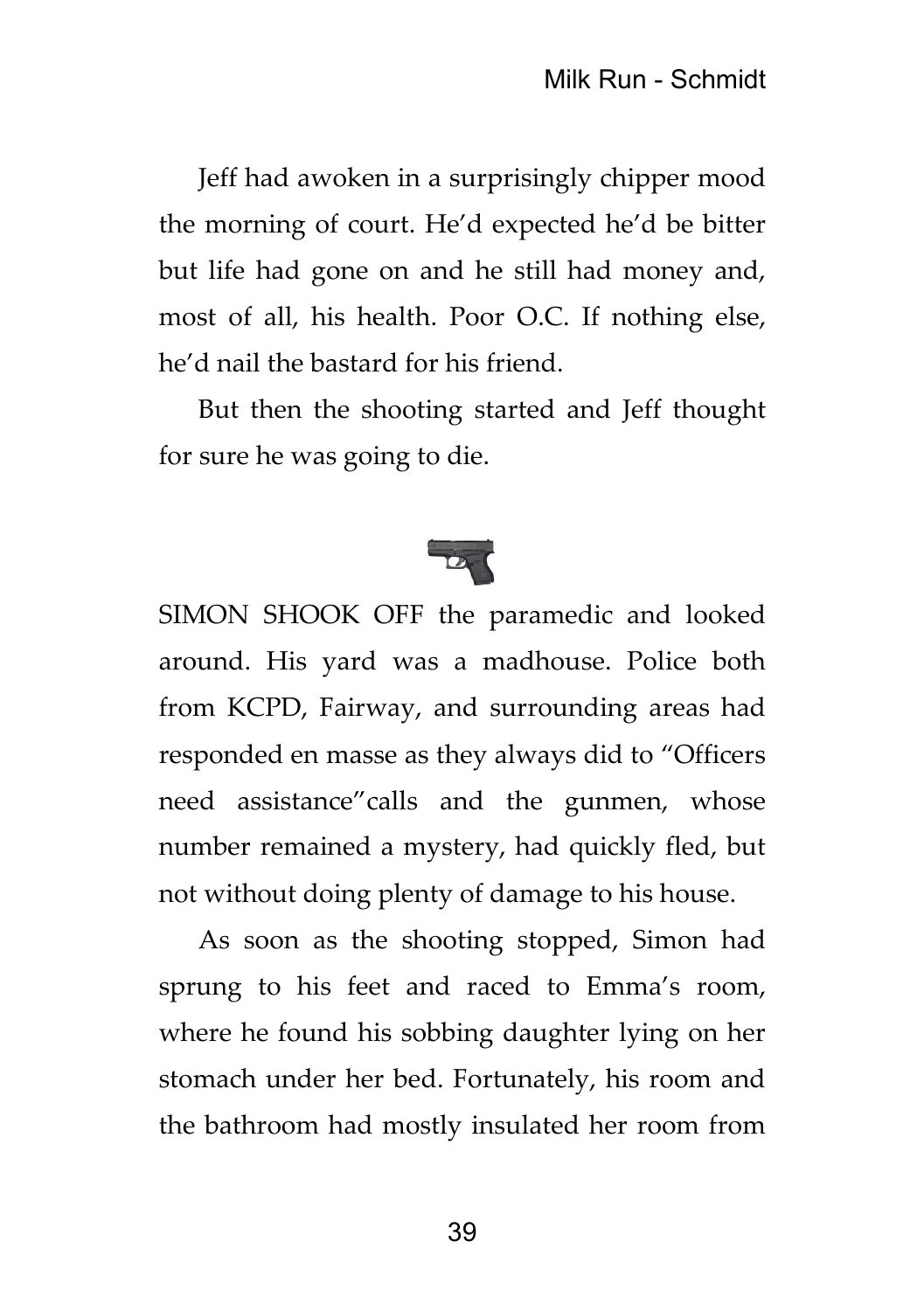Jeff had awoken in a surprisingly chipper mood the morning of court. He'd expected he'd be bitter but life had gone on and he still had money and, most of all, his health. Poor O.C. If nothing else, he'd nail the bastard for his friend.

But then the shooting started and Jeff thought for sure he was going to die.



SIMON SHOOK OFF the paramedic and looked around. His yard was a madhouse. Police both from KCPD, Fairway, and surrounding areas had responded en masse as they always did to "Officers need assistance"calls and the gunmen, whose number remained a mystery, had quickly fled, but not without doing plenty of damage to his house.

As soon as the shooting stopped, Simon had sprung to his feet and raced to Emma's room, where he found his sobbing daughter lying on her stomach under her bed. Fortunately, his room and the bathroom had mostly insulated her room from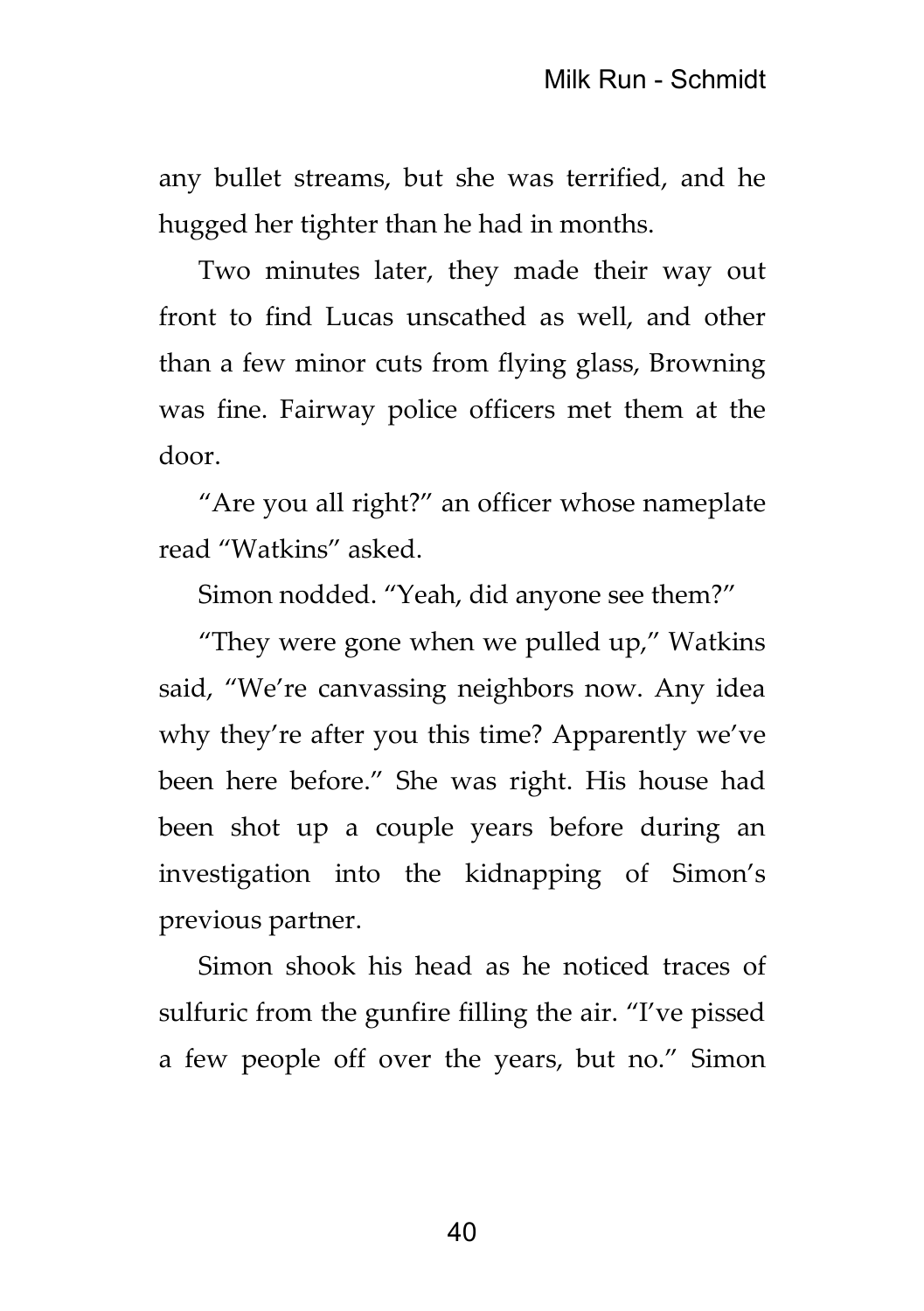any bullet streams, but she was terrified, and he hugged her tighter than he had in months.

Two minutes later, they made their way out front to find Lucas unscathed as well, and other than a few minor cuts from flying glass, Browning was fine. Fairway police officers met them at the door.

"Are you all right?" an officer whose nameplate read "Watkins" asked.

Simon nodded. "Yeah, did anyone see them?"

"They were gone when we pulled up," Watkins said, "We're canvassing neighbors now. Any idea why they're after you this time? Apparently we've been here before." She was right. His house had been shot up a couple years before during an investigation into the kidnapping of Simon's previous partner.

Simon shook his head as he noticed traces of sulfuric from the gunfire filling the air. "I've pissed a few people off over the years, but no." Simon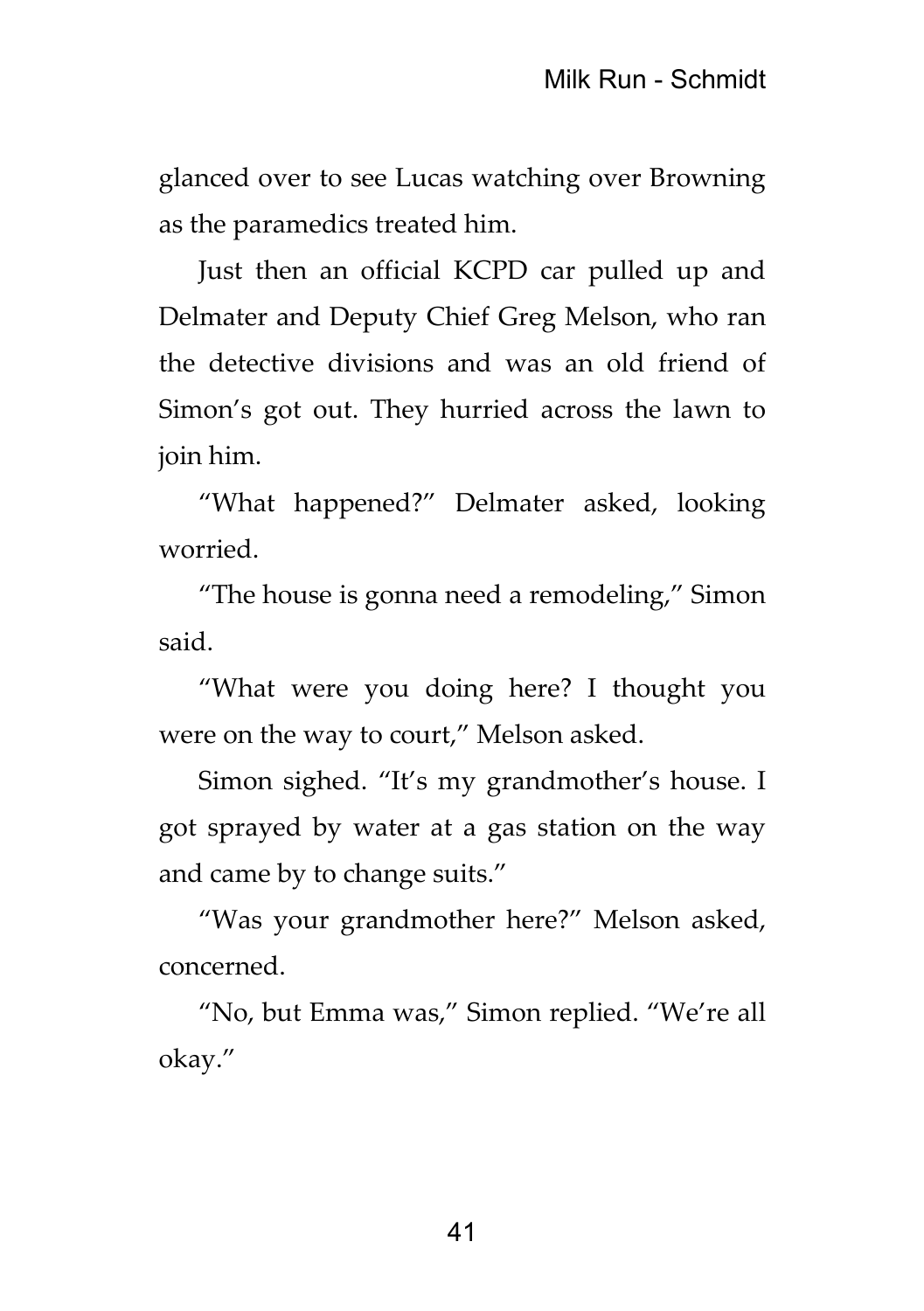glanced over to see Lucas watching over Browning as the paramedics treated him.

Just then an official KCPD car pulled up and Delmater and Deputy Chief Greg Melson, who ran the detective divisions and was an old friend of Simon's got out. They hurried across the lawn to join him.

"What happened?" Delmater asked, looking worried.

"The house is gonna need a remodeling," Simon said.

"What were you doing here? I thought you were on the way to court," Melson asked.

Simon sighed. "It's my grandmother's house. I got sprayed by water at a gas station on the way and came by to change suits."

"Was your grandmother here?" Melson asked, concerned.

"No, but Emma was," Simon replied. "We're all okay."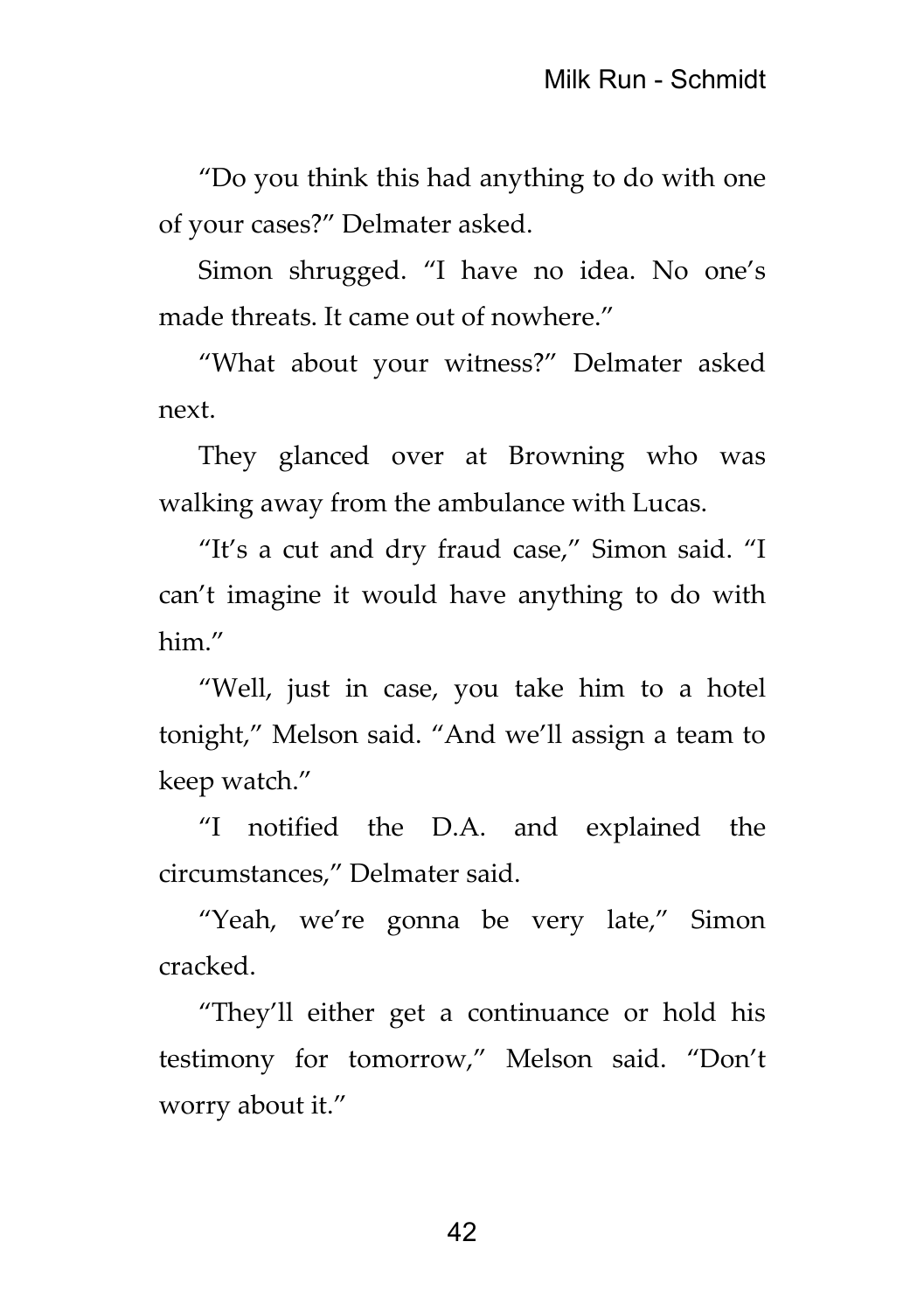"Do you think this had anything to do with one of your cases?" Delmater asked.

Simon shrugged. "I have no idea. No one's made threats. It came out of nowhere."

"What about your witness?" Delmater asked next.

They glanced over at Browning who was walking away from the ambulance with Lucas.

"It's a cut and dry fraud case," Simon said. "I can't imagine it would have anything to do with him."

"Well, just in case, you take him to a hotel tonight," Melson said. "And we'll assign a team to keep watch."

"I notified the D.A. and explained the circumstances," Delmater said.

"Yeah, we're gonna be very late," Simon cracked.

"They'll either get a continuance or hold his testimony for tomorrow," Melson said. "Don't worry about it."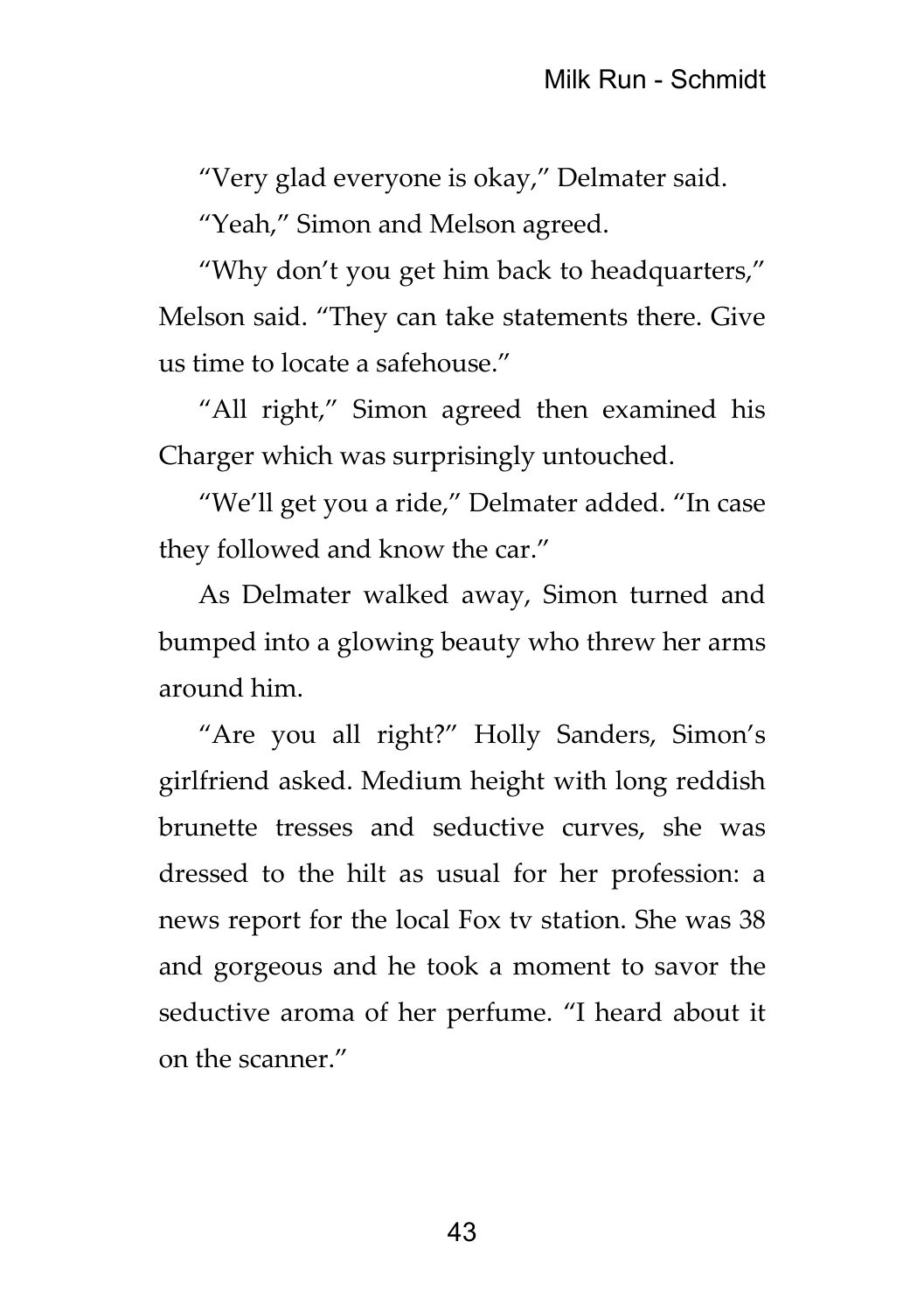"Very glad everyone is okay," Delmater said.

"Yeah," Simon and Melson agreed.

"Why don't you get him back to headquarters," Melson said. "They can take statements there. Give us time to locate a safehouse."

"All right," Simon agreed then examined his Charger which was surprisingly untouched.

"We'll get you a ride," Delmater added. "In case they followed and know the car."

As Delmater walked away, Simon turned and bumped into a glowing beauty who threw her arms around him.

"Are you all right?" Holly Sanders, Simon's girlfriend asked. Medium height with long reddish brunette tresses and seductive curves, she was dressed to the hilt as usual for her profession: a news report for the local Fox tv station. She was 38 and gorgeous and he took a moment to savor the seductive aroma of her perfume. "I heard about it on the scanner."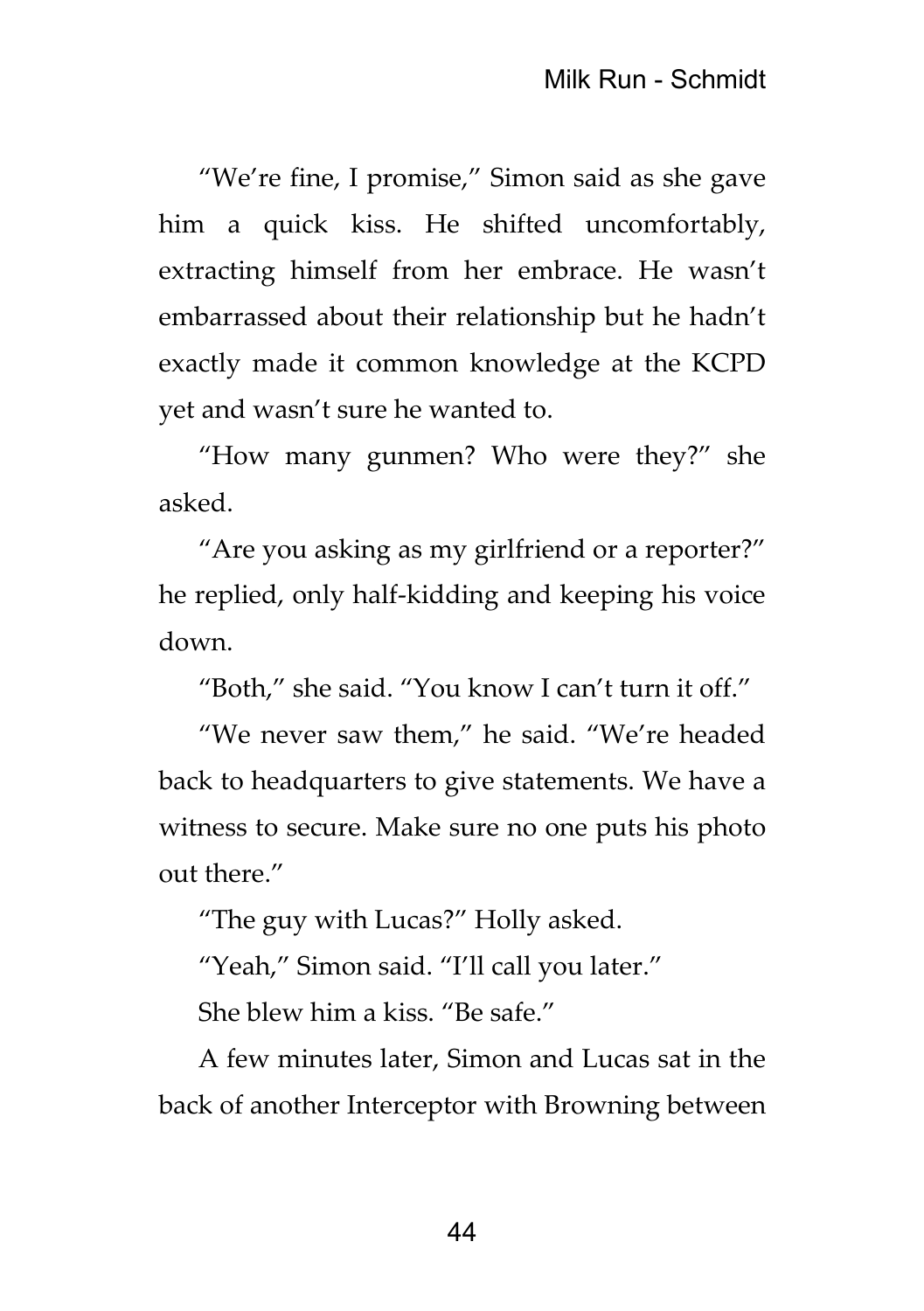"We're fine, I promise," Simon said as she gave him a quick kiss. He shifted uncomfortably, extracting himself from her embrace. He wasn't embarrassed about their relationship but he hadn't exactly made it common knowledge at the KCPD yet and wasn't sure he wanted to.

"How many gunmen? Who were they?" she asked.

"Are you asking as my girlfriend or a reporter?" he replied, only half-kidding and keeping his voice down.

"Both," she said. "You know I can't turn it off."

"We never saw them," he said. "We're headed back to headquarters to give statements. We have a witness to secure. Make sure no one puts his photo out there."

"The guy with Lucas?" Holly asked.

"Yeah," Simon said. "I'll call you later."

She blew him a kiss. "Be safe."

A few minutes later, Simon and Lucas sat in the back of another Interceptor with Browning between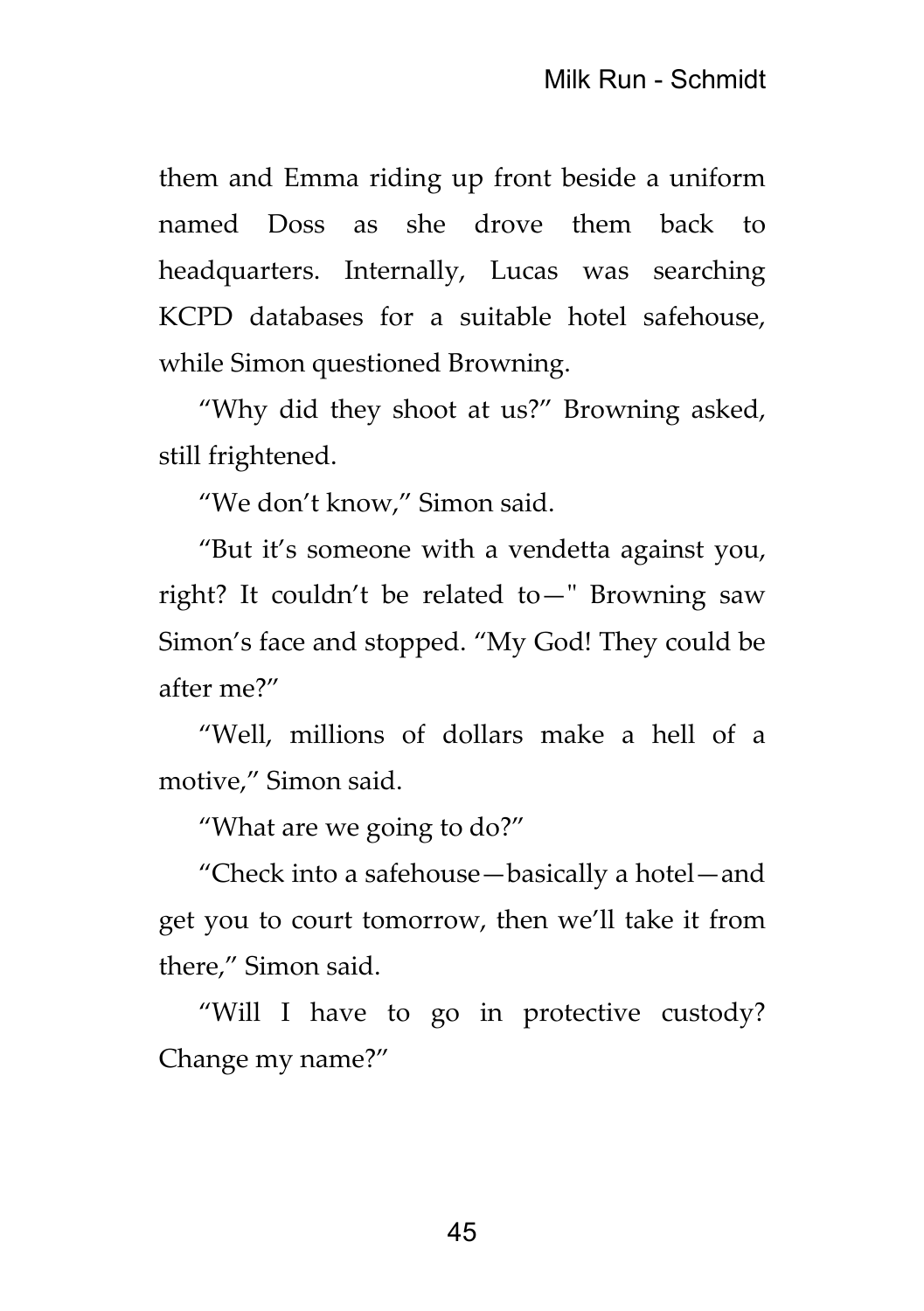them and Emma riding up front beside a uniform named Doss as she drove them back to headquarters. Internally, Lucas was searching KCPD databases for a suitable hotel safehouse, while Simon questioned Browning.

"Why did they shoot at us?" Browning asked, still frightened.

"We don't know," Simon said.

"But it's someone with a vendetta against you, right? It couldn't be related to—" Browning saw Simon's face and stopped. "My God! They could be after me?"

"Well, millions of dollars make a hell of a motive," Simon said.

"What are we going to do?"

"Check into a safehouse—basically a hotel—and get you to court tomorrow, then we'll take it from there," Simon said.

"Will I have to go in protective custody? Change my name?"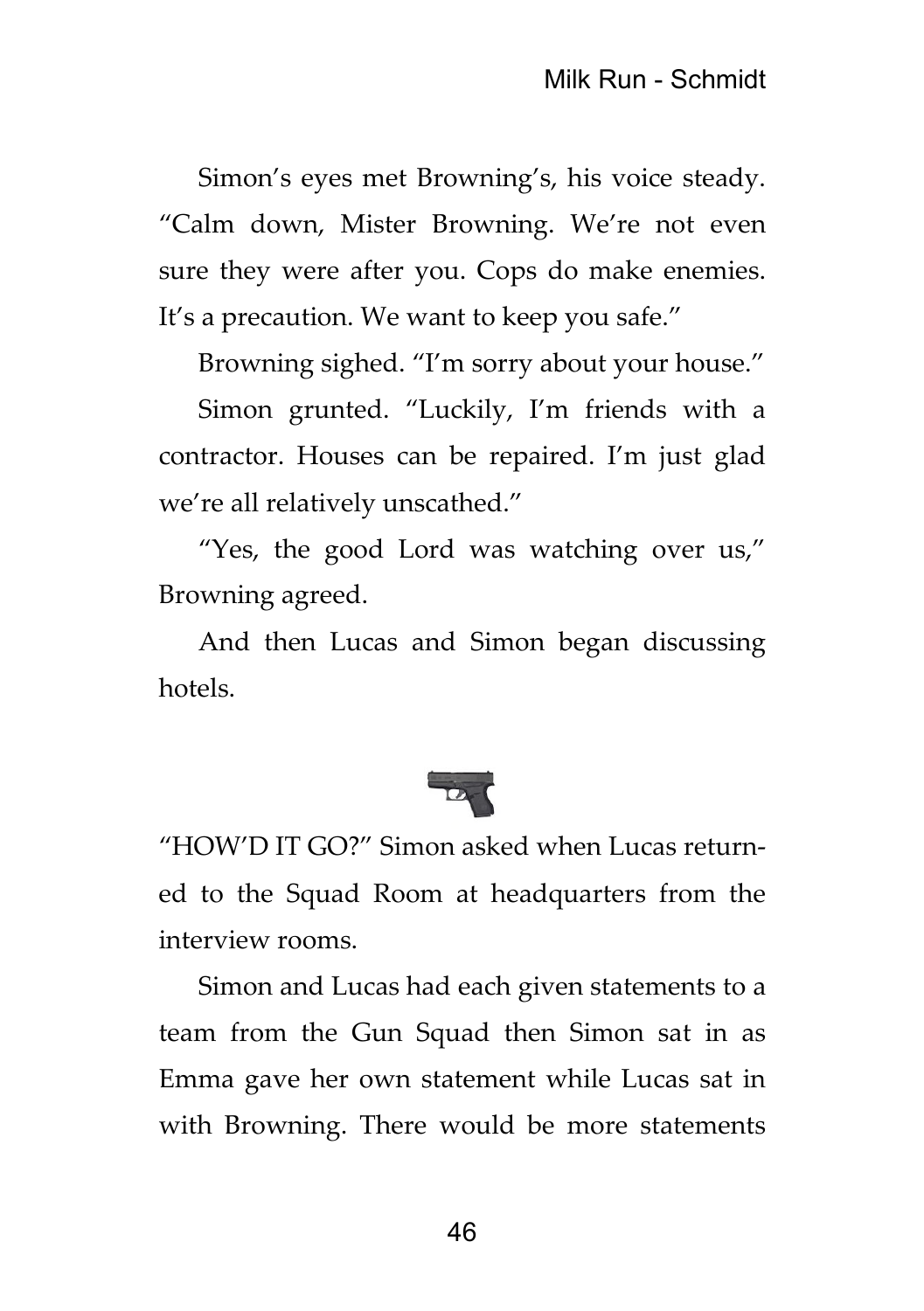Simon's eyes met Browning's, his voice steady. "Calm down, Mister Browning. We're not even sure they were after you. Cops do make enemies. It's a precaution. We want to keep you safe."

Browning sighed. "I'm sorry about your house."

Simon grunted. "Luckily, I'm friends with a contractor. Houses can be repaired. I'm just glad we're all relatively unscathed."

"Yes, the good Lord was watching over us," Browning agreed.

And then Lucas and Simon began discussing hotels.



"HOW'D IT GO?" Simon asked when Lucas returned to the Squad Room at headquarters from the interview rooms.

Simon and Lucas had each given statements to a team from the Gun Squad then Simon sat in as Emma gave her own statement while Lucas sat in with Browning. There would be more statements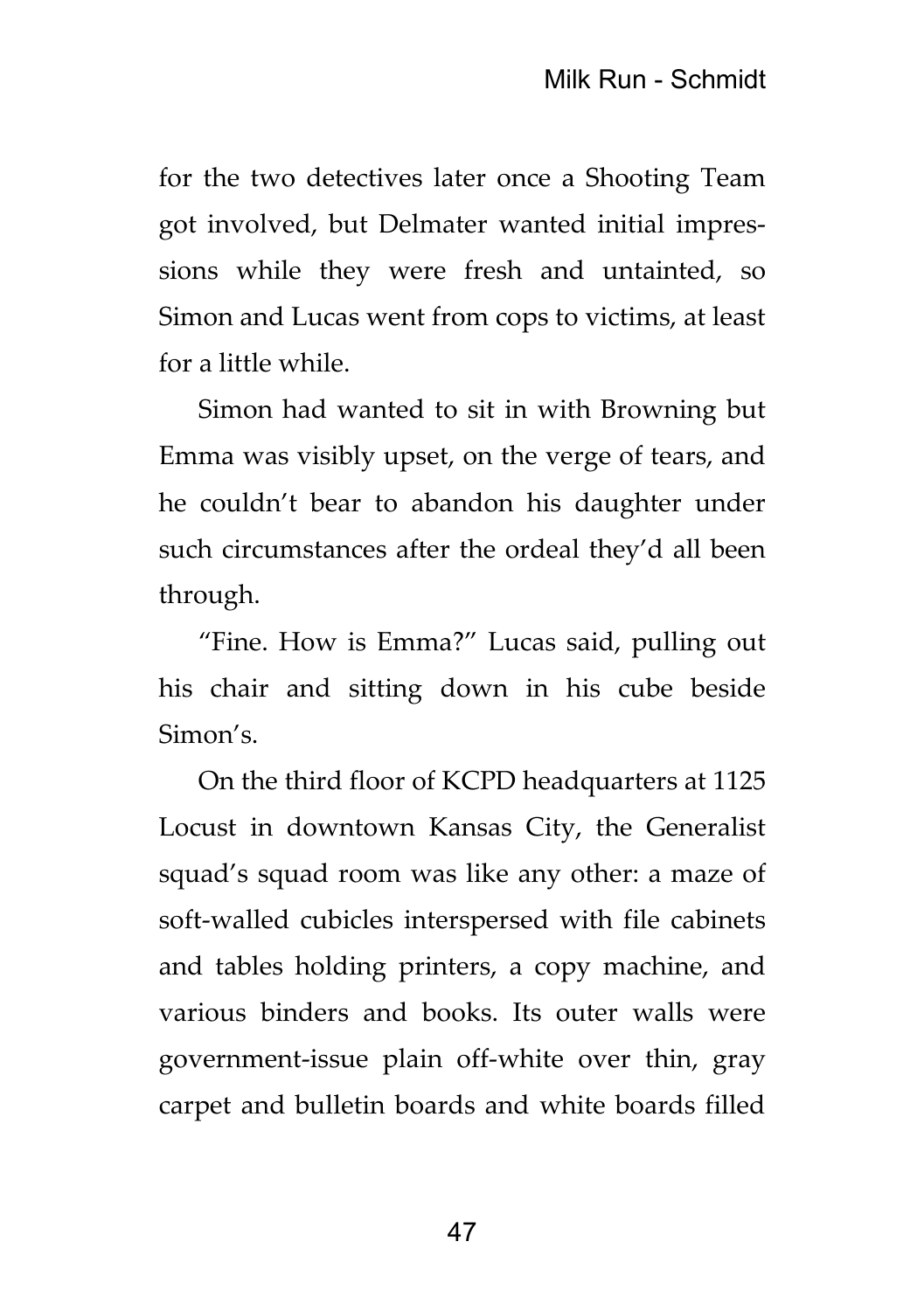for the two detectives later once a Shooting Team got involved, but Delmater wanted initial impressions while they were fresh and untainted, so Simon and Lucas went from cops to victims, at least for a little while.

Simon had wanted to sit in with Browning but Emma was visibly upset, on the verge of tears, and he couldn't bear to abandon his daughter under such circumstances after the ordeal they'd all been through.

"Fine. How is Emma?" Lucas said, pulling out his chair and sitting down in his cube beside Simon's.

On the third floor of KCPD headquarters at 1125 Locust in downtown Kansas City, the Generalist squad's squad room was like any other: a maze of soft-walled cubicles interspersed with file cabinets and tables holding printers, a copy machine, and various binders and books. Its outer walls were government-issue plain off-white over thin, gray carpet and bulletin boards and white boards filled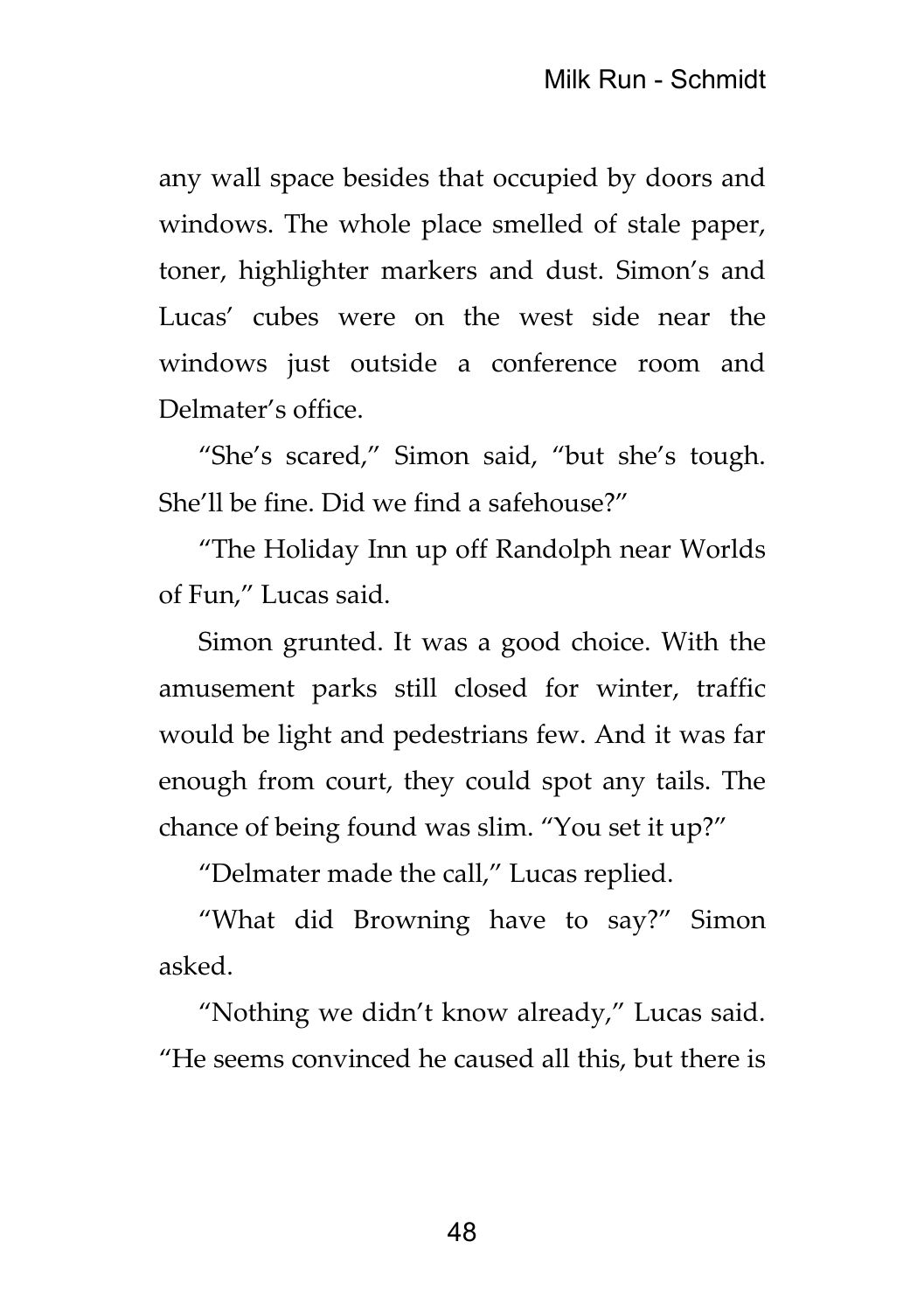any wall space besides that occupied by doors and windows. The whole place smelled of stale paper, toner, highlighter markers and dust. Simon's and Lucas' cubes were on the west side near the windows just outside a conference room and Delmater's office.

"She's scared," Simon said, "but she's tough. She'll be fine. Did we find a safehouse?"

"The Holiday Inn up off Randolph near Worlds of Fun," Lucas said.

Simon grunted. It was a good choice. With the amusement parks still closed for winter, traffic would be light and pedestrians few. And it was far enough from court, they could spot any tails. The chance of being found was slim. "You set it up?"

"Delmater made the call," Lucas replied.

"What did Browning have to say?" Simon asked.

"Nothing we didn't know already," Lucas said. "He seems convinced he caused all this, but there is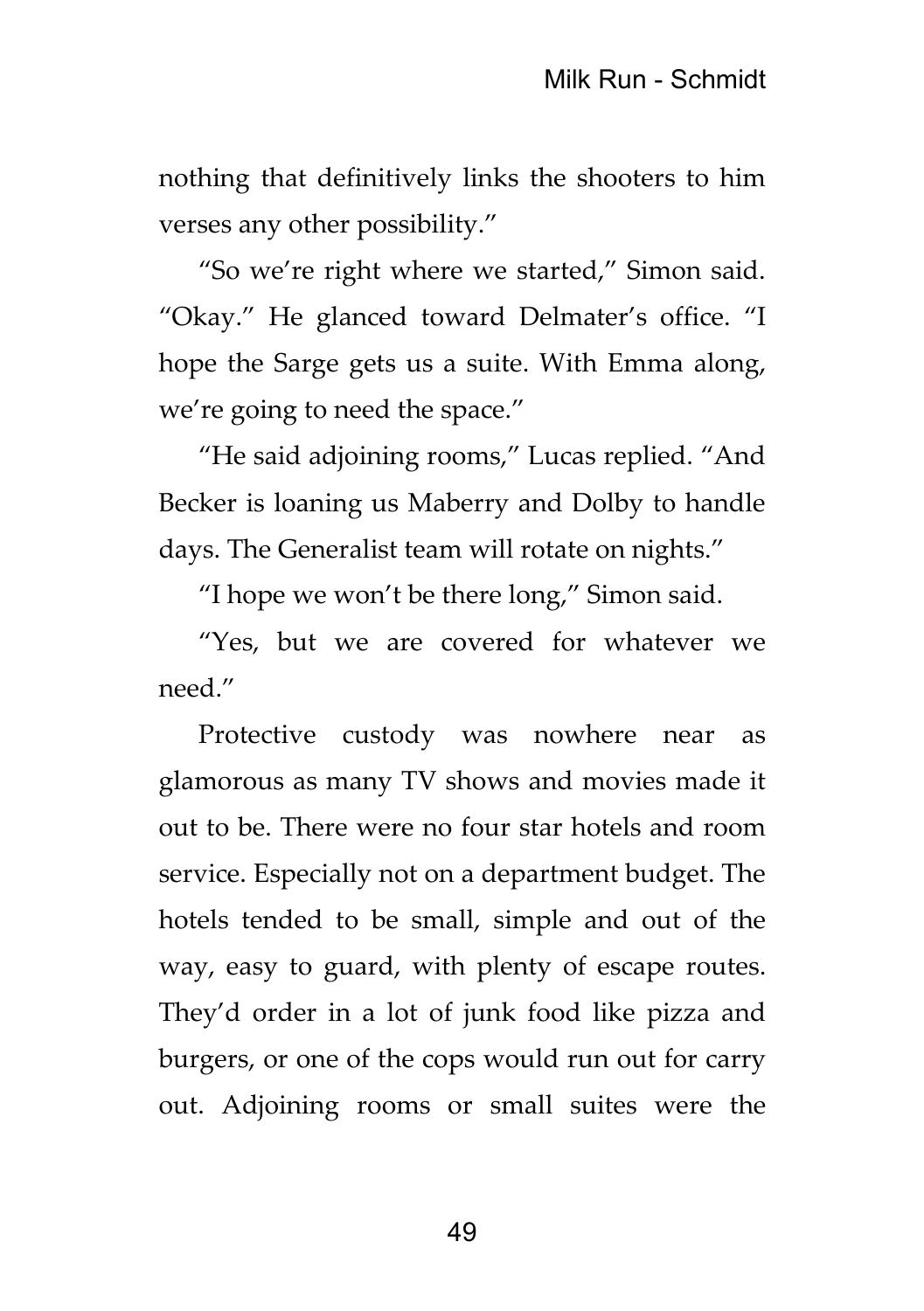nothing that definitively links the shooters to him verses any other possibility."

"So we're right where we started," Simon said. "Okay." He glanced toward Delmater's office. "I hope the Sarge gets us a suite. With Emma along, we're going to need the space."

"He said adjoining rooms," Lucas replied. "And Becker is loaning us Maberry and Dolby to handle days. The Generalist team will rotate on nights."

"I hope we won't be there long," Simon said.

"Yes, but we are covered for whatever we need."

Protective custody was nowhere near as glamorous as many TV shows and movies made it out to be. There were no four star hotels and room service. Especially not on a department budget. The hotels tended to be small, simple and out of the way, easy to guard, with plenty of escape routes. They'd order in a lot of junk food like pizza and burgers, or one of the cops would run out for carry out. Adjoining rooms or small suites were the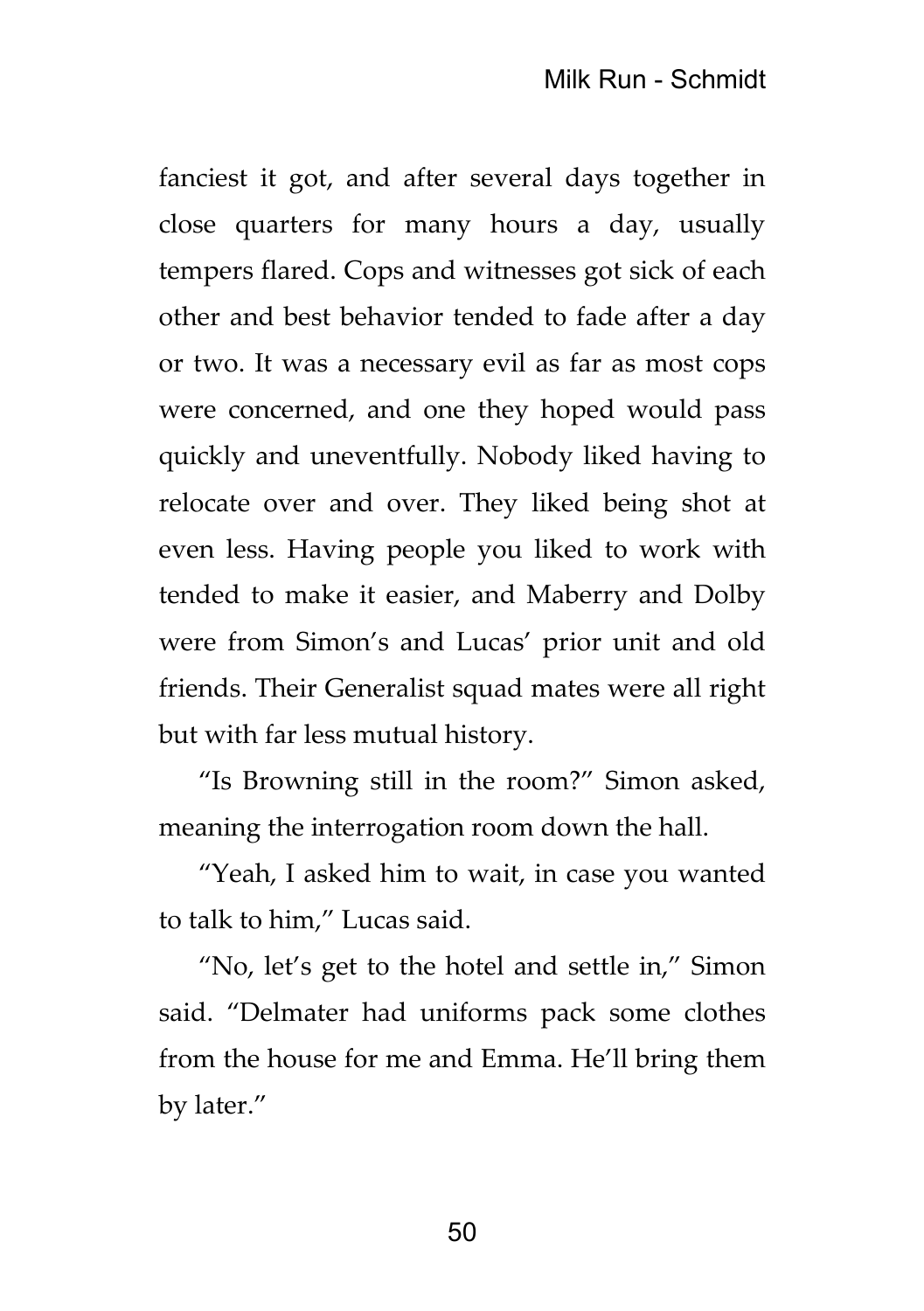fanciest it got, and after several days together in close quarters for many hours a day, usually tempers flared. Cops and witnesses got sick of each other and best behavior tended to fade after a day or two. It was a necessary evil as far as most cops were concerned, and one they hoped would pass quickly and uneventfully. Nobody liked having to relocate over and over. They liked being shot at even less. Having people you liked to work with tended to make it easier, and Maberry and Dolby were from Simon's and Lucas' prior unit and old friends. Their Generalist squad mates were all right but with far less mutual history.

"Is Browning still in the room?" Simon asked, meaning the interrogation room down the hall.

"Yeah, I asked him to wait, in case you wanted to talk to him," Lucas said.

"No, let's get to the hotel and settle in," Simon said. "Delmater had uniforms pack some clothes from the house for me and Emma. He'll bring them by later."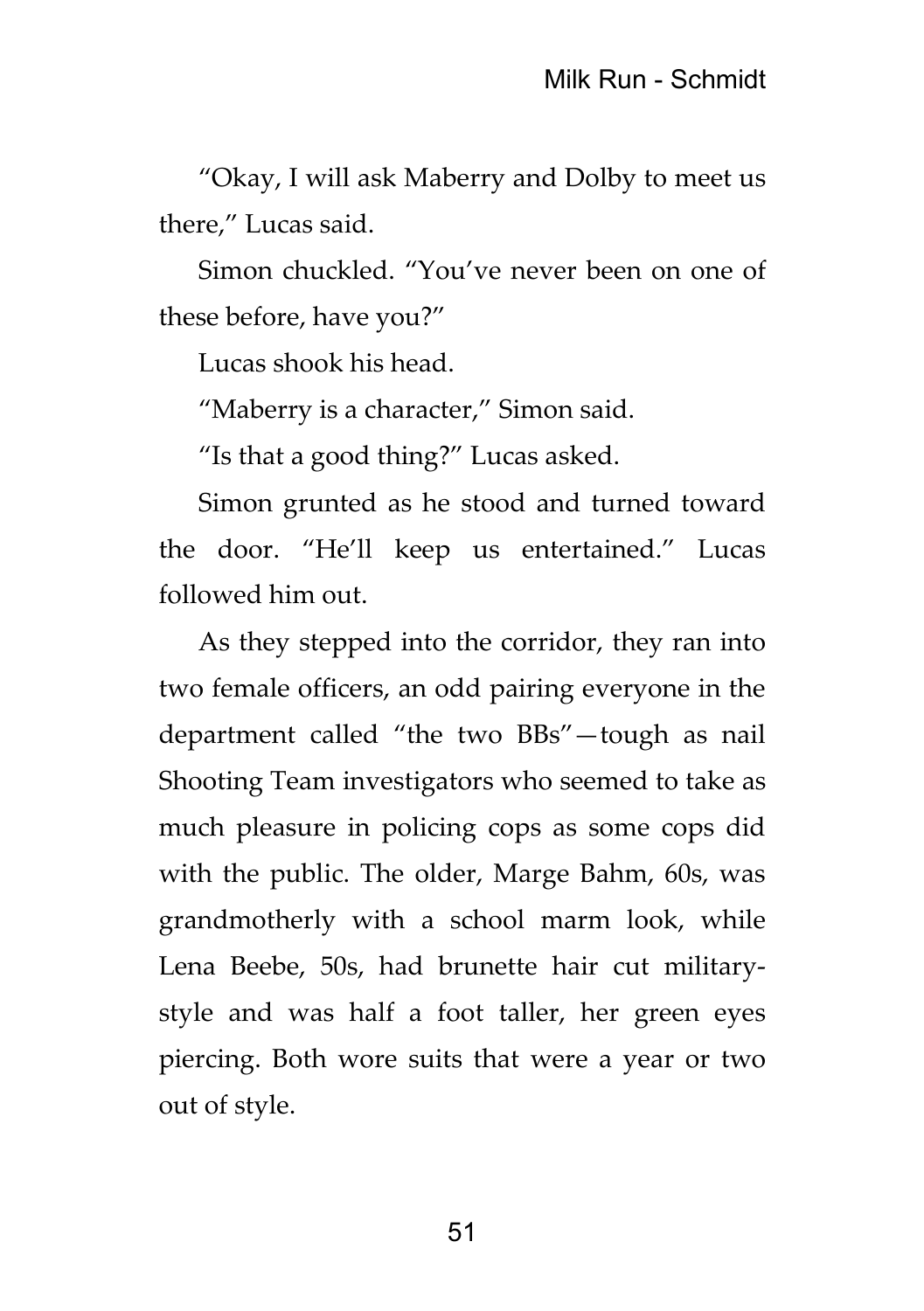"Okay, I will ask Maberry and Dolby to meet us there," Lucas said.

Simon chuckled. "You've never been on one of these before, have you?"

Lucas shook his head.

"Maberry is a character," Simon said.

"Is that a good thing?" Lucas asked.

Simon grunted as he stood and turned toward the door. "He'll keep us entertained." Lucas followed him out.

As they stepped into the corridor, they ran into two female officers, an odd pairing everyone in the department called "the two BBs"—tough as nail Shooting Team investigators who seemed to take as much pleasure in policing cops as some cops did with the public. The older, Marge Bahm, 60s, was grandmotherly with a school marm look, while Lena Beebe, 50s, had brunette hair cut militarystyle and was half a foot taller, her green eyes piercing. Both wore suits that were a year or two out of style.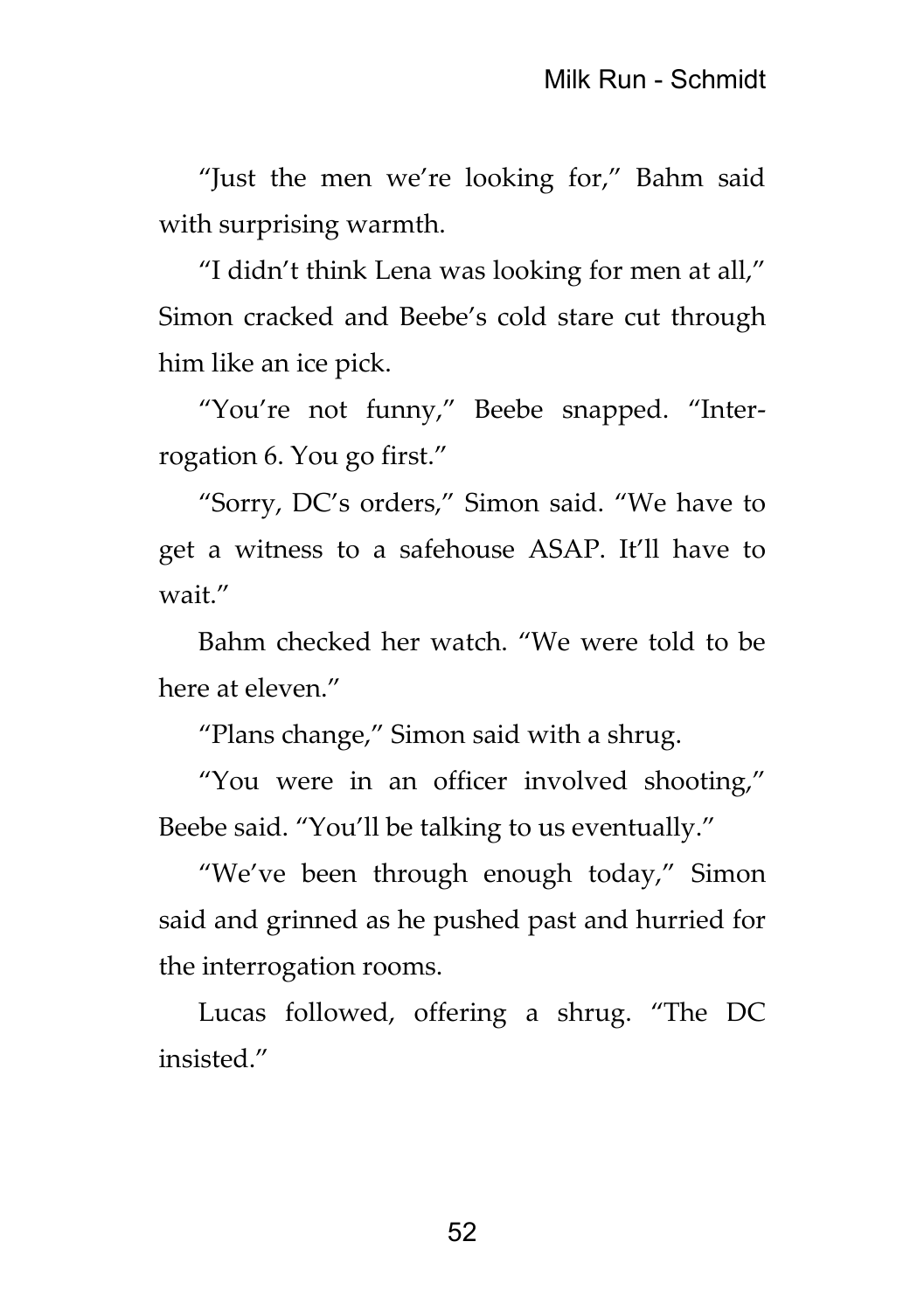"Just the men we're looking for," Bahm said with surprising warmth.

"I didn't think Lena was looking for men at all," Simon cracked and Beebe's cold stare cut through him like an ice pick.

"You're not funny," Beebe snapped. "Interrogation 6. You go first."

"Sorry, DC's orders," Simon said. "We have to get a witness to a safehouse ASAP. It'll have to wait."

Bahm checked her watch. "We were told to be here at eleven."

"Plans change," Simon said with a shrug.

"You were in an officer involved shooting," Beebe said. "You'll be talking to us eventually."

"We've been through enough today," Simon said and grinned as he pushed past and hurried for the interrogation rooms.

Lucas followed, offering a shrug. "The DC insisted."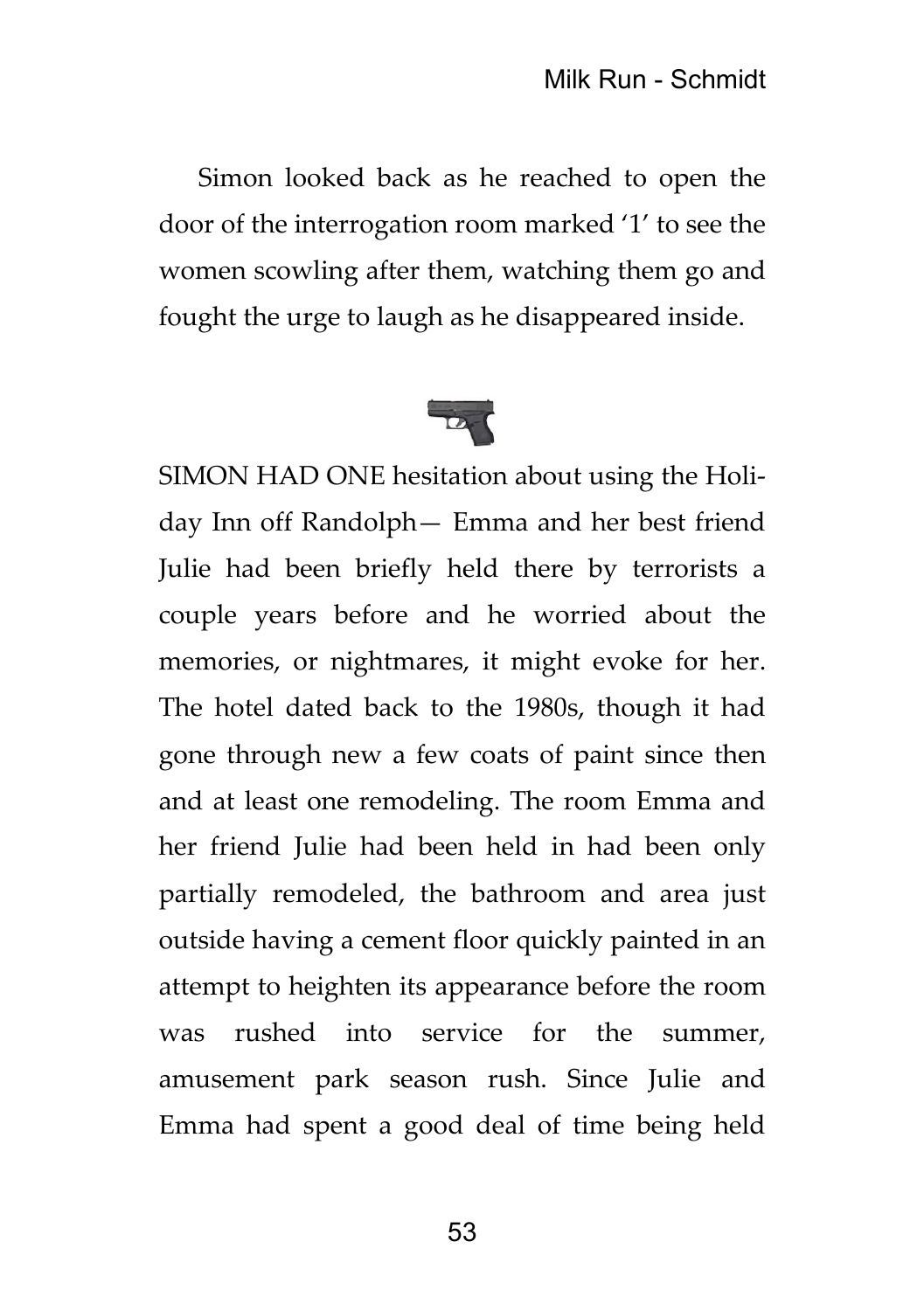Simon looked back as he reached to open the door of the interrogation room marked '1' to see the women scowling after them, watching them go and fought the urge to laugh as he disappeared inside.



SIMON HAD ONE hesitation about using the Holiday Inn off Randolph— Emma and her best friend Julie had been briefly held there by terrorists a couple years before and he worried about the memories, or nightmares, it might evoke for her. The hotel dated back to the 1980s, though it had gone through new a few coats of paint since then and at least one remodeling. The room Emma and her friend Julie had been held in had been only partially remodeled, the bathroom and area just outside having a cement floor quickly painted in an attempt to heighten its appearance before the room was rushed into service for the summer, amusement park season rush. Since Julie and Emma had spent a good deal of time being held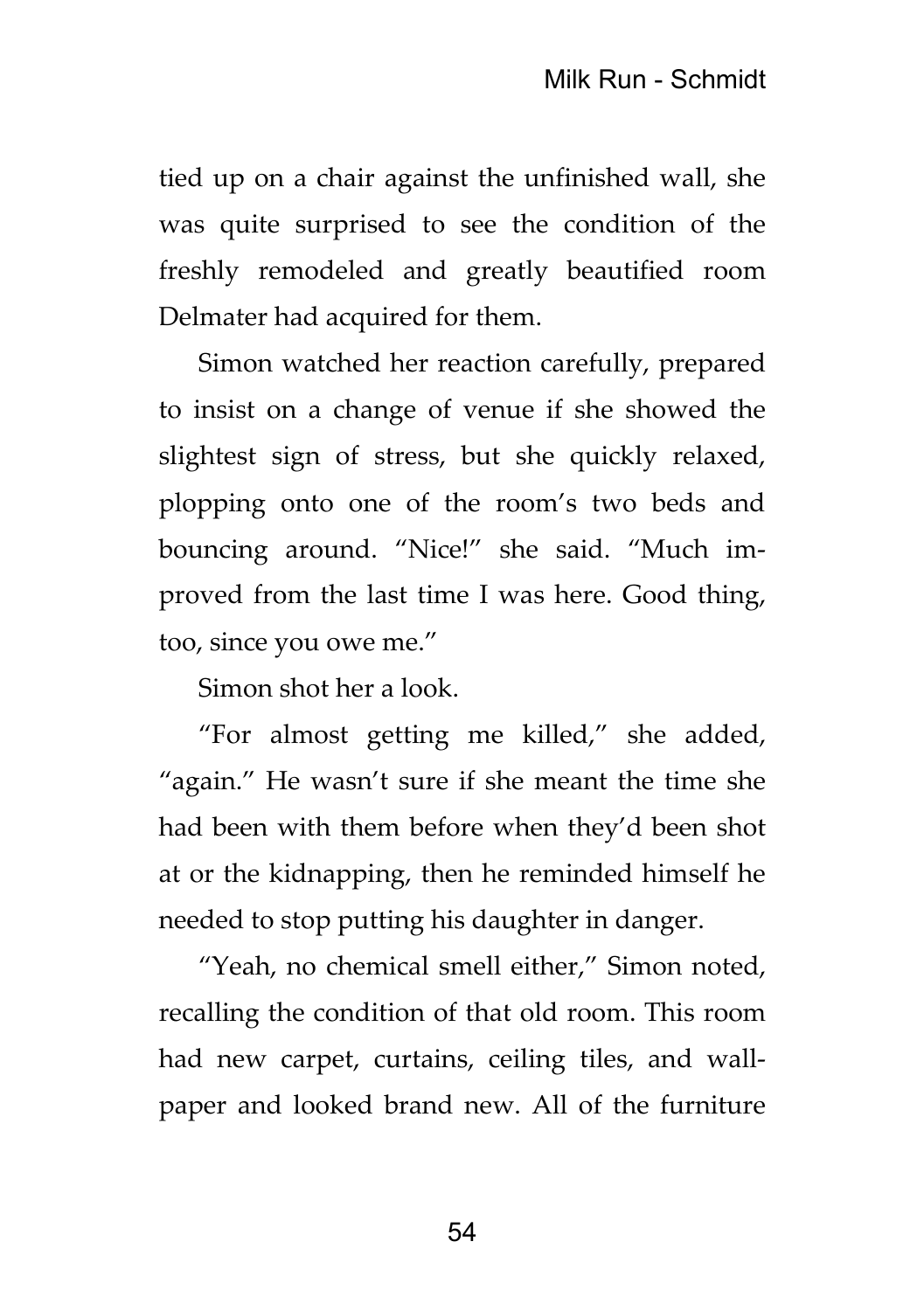tied up on a chair against the unfinished wall, she was quite surprised to see the condition of the freshly remodeled and greatly beautified room Delmater had acquired for them.

Simon watched her reaction carefully, prepared to insist on a change of venue if she showed the slightest sign of stress, but she quickly relaxed, plopping onto one of the room's two beds and bouncing around. "Nice!" she said. "Much improved from the last time I was here. Good thing, too, since you owe me."

Simon shot her a look.

"For almost getting me killed," she added, "again." He wasn't sure if she meant the time she had been with them before when they'd been shot at or the kidnapping, then he reminded himself he needed to stop putting his daughter in danger.

"Yeah, no chemical smell either," Simon noted, recalling the condition of that old room. This room had new carpet, curtains, ceiling tiles, and wallpaper and looked brand new. All of the furniture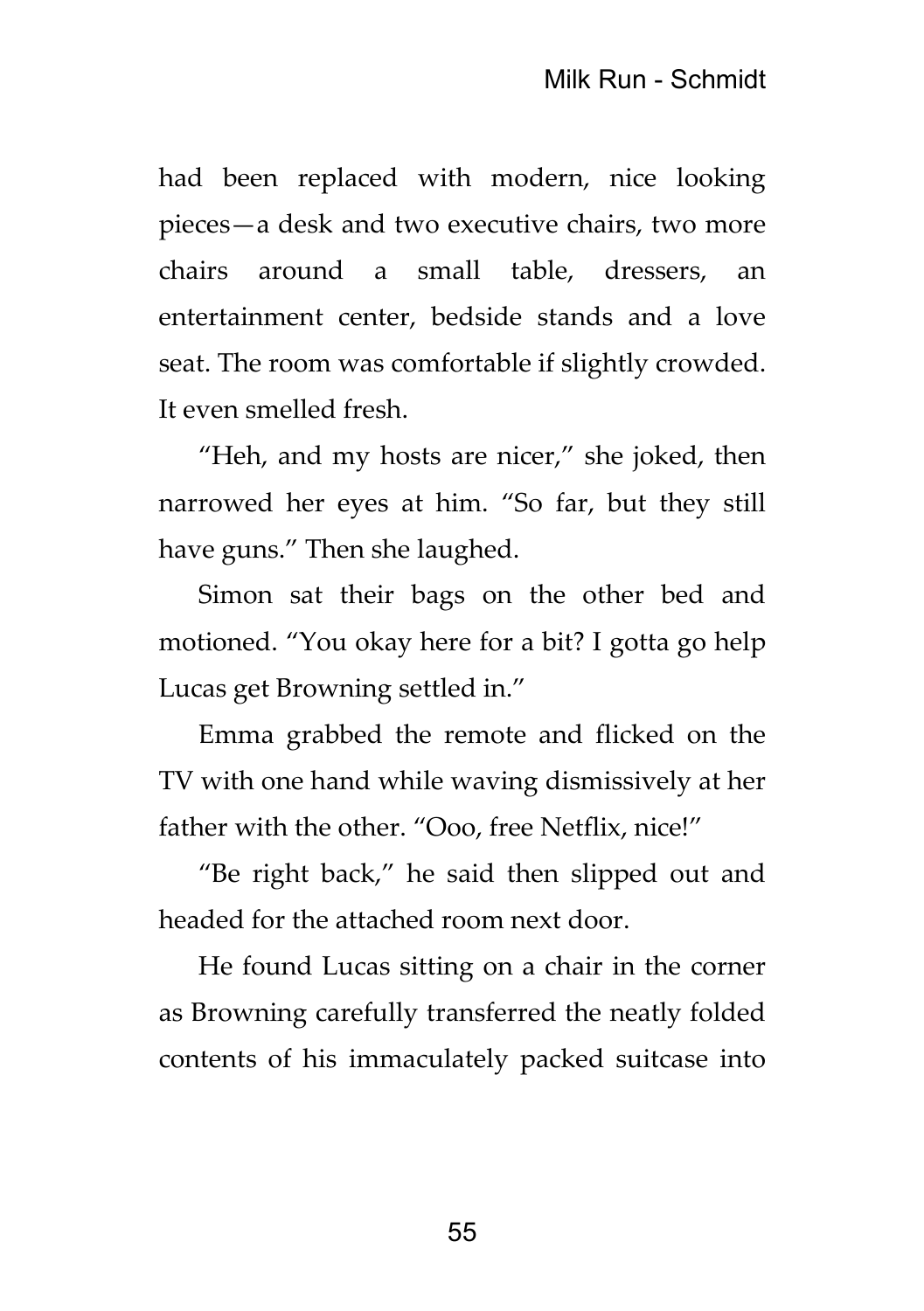had been replaced with modern, nice looking pieces—a desk and two executive chairs, two more chairs around a small table, dressers, an entertainment center, bedside stands and a love seat. The room was comfortable if slightly crowded. It even smelled fresh.

"Heh, and my hosts are nicer," she joked, then narrowed her eyes at him. "So far, but they still have guns." Then she laughed.

Simon sat their bags on the other bed and motioned. "You okay here for a bit? I gotta go help Lucas get Browning settled in."

Emma grabbed the remote and flicked on the TV with one hand while waving dismissively at her father with the other. "Ooo, free Netflix, nice!"

"Be right back," he said then slipped out and headed for the attached room next door.

He found Lucas sitting on a chair in the corner as Browning carefully transferred the neatly folded contents of his immaculately packed suitcase into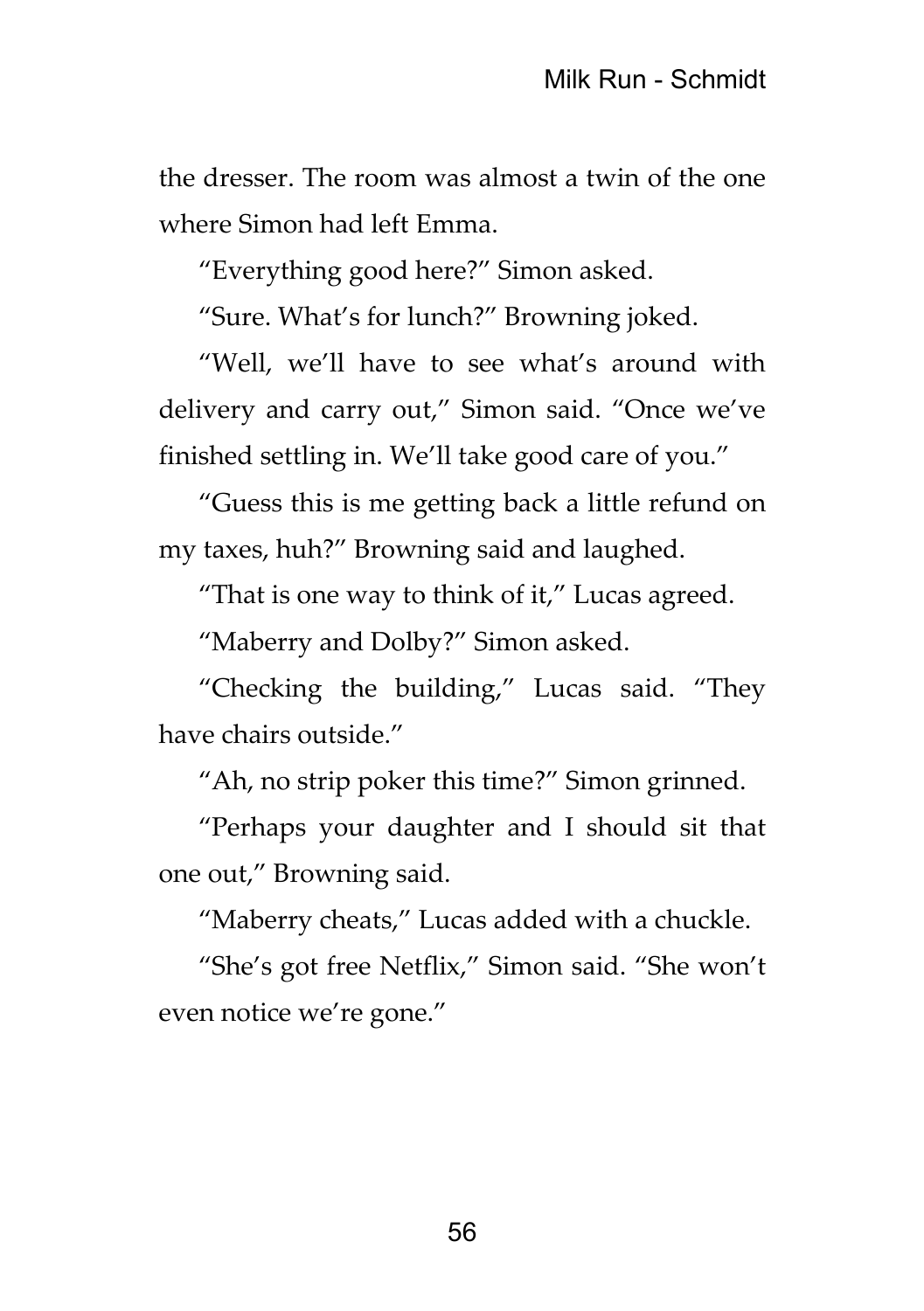the dresser. The room was almost a twin of the one where Simon had left Emma.

"Everything good here?" Simon asked.

"Sure. What's for lunch?" Browning joked.

"Well, we'll have to see what's around with delivery and carry out," Simon said. "Once we've finished settling in. We'll take good care of you."

"Guess this is me getting back a little refund on my taxes, huh?" Browning said and laughed.

"That is one way to think of it," Lucas agreed.

"Maberry and Dolby?" Simon asked.

"Checking the building," Lucas said. "They have chairs outside."

"Ah, no strip poker this time?" Simon grinned.

"Perhaps your daughter and I should sit that one out," Browning said.

"Maberry cheats," Lucas added with a chuckle.

"She's got free Netflix," Simon said. "She won't even notice we're gone."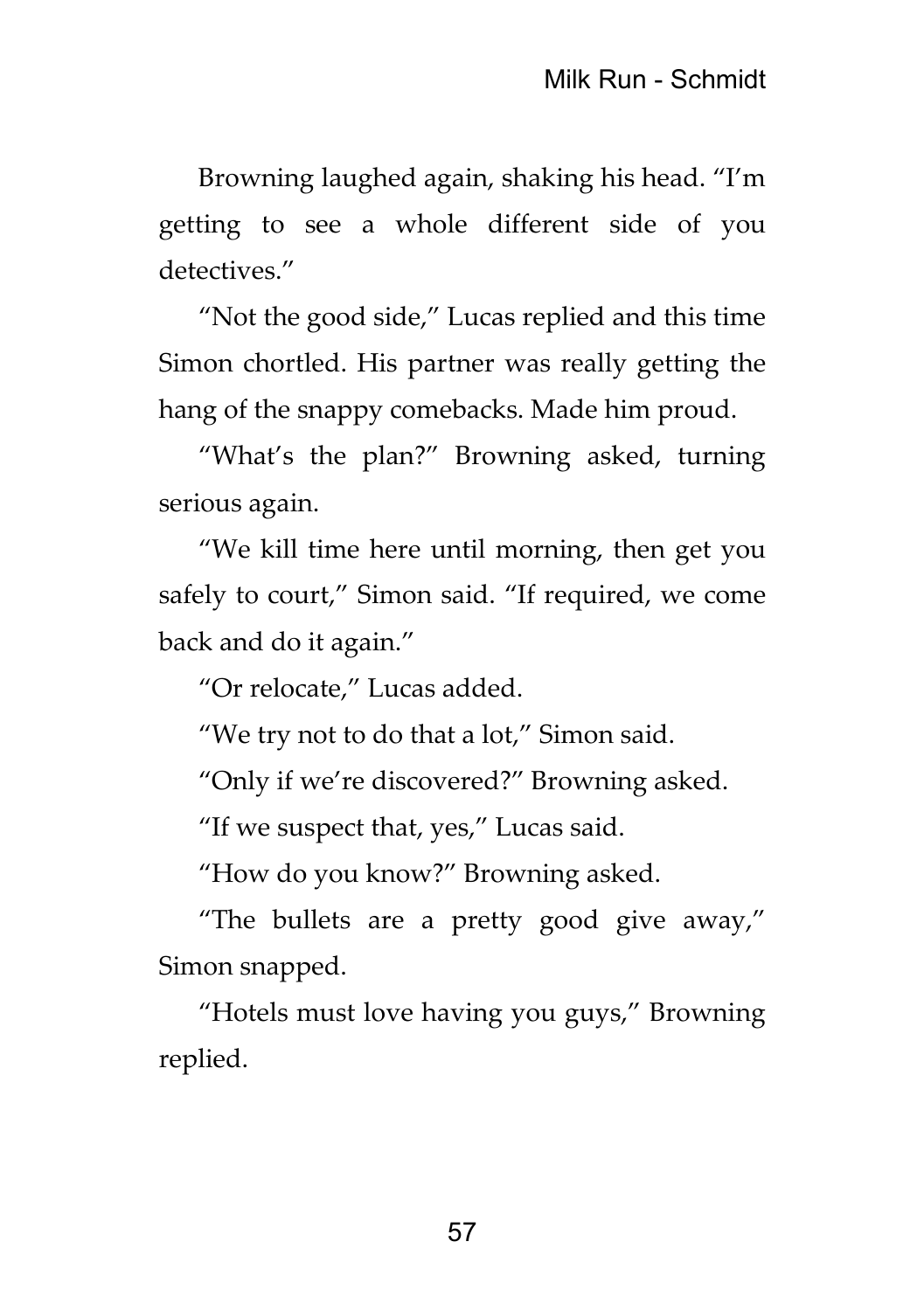Browning laughed again, shaking his head. "I'm getting to see a whole different side of you detectives."

"Not the good side," Lucas replied and this time Simon chortled. His partner was really getting the hang of the snappy comebacks. Made him proud.

"What's the plan?" Browning asked, turning serious again.

"We kill time here until morning, then get you safely to court," Simon said. "If required, we come back and do it again."

"Or relocate," Lucas added.

"We try not to do that a lot," Simon said.

"Only if we're discovered?" Browning asked.

"If we suspect that, yes," Lucas said.

"How do you know?" Browning asked.

"The bullets are a pretty good give away," Simon snapped.

"Hotels must love having you guys," Browning replied.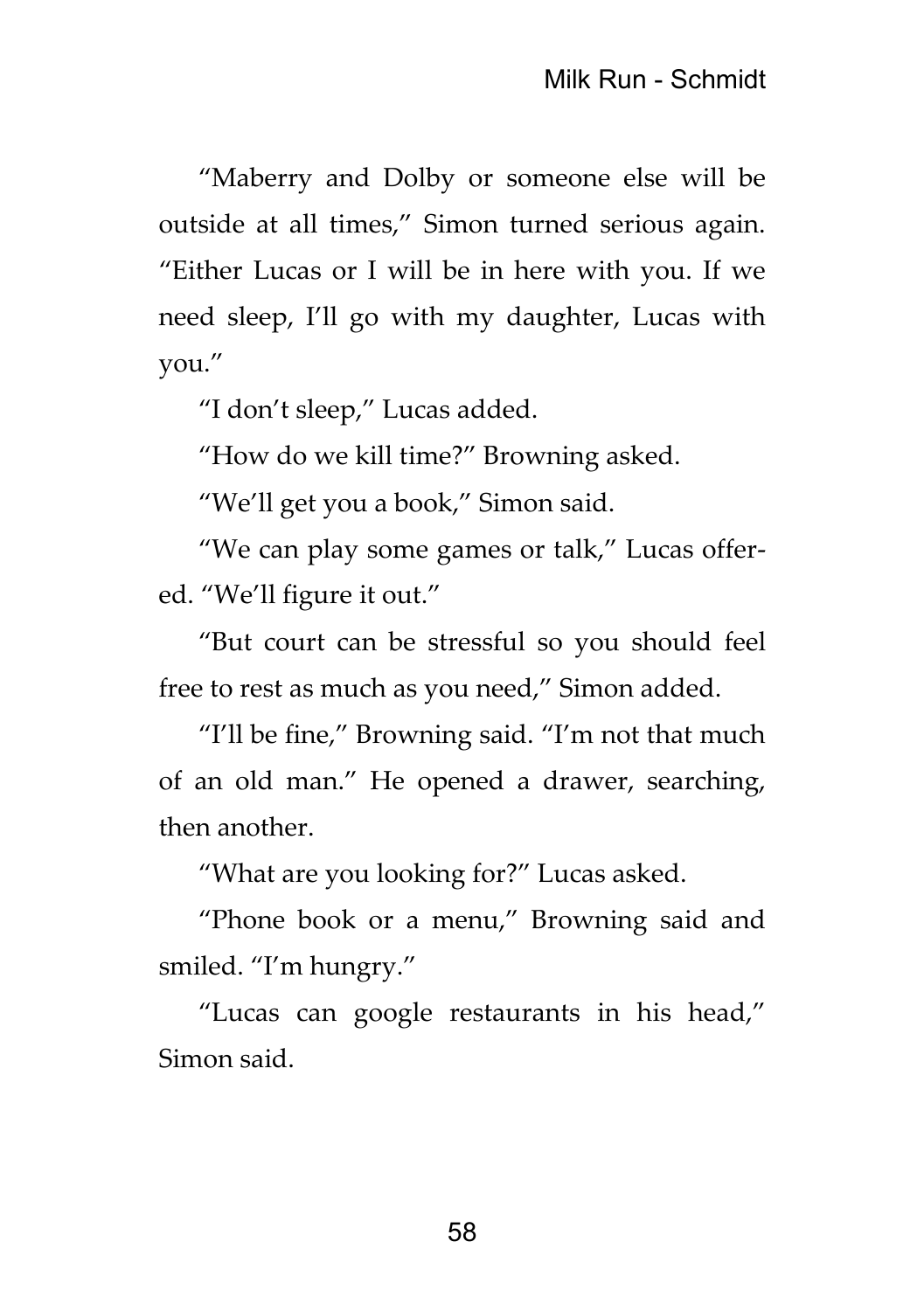"Maberry and Dolby or someone else will be outside at all times," Simon turned serious again. "Either Lucas or I will be in here with you. If we need sleep, I'll go with my daughter, Lucas with you."

"I don't sleep," Lucas added.

"How do we kill time?" Browning asked.

"We'll get you a book," Simon said.

"We can play some games or talk," Lucas offered. "We'll figure it out."

"But court can be stressful so you should feel free to rest as much as you need," Simon added.

"I'll be fine," Browning said. "I'm not that much of an old man." He opened a drawer, searching, then another.

"What are you looking for?" Lucas asked.

"Phone book or a menu," Browning said and smiled. "I'm hungry."

"Lucas can google restaurants in his head," Simon said.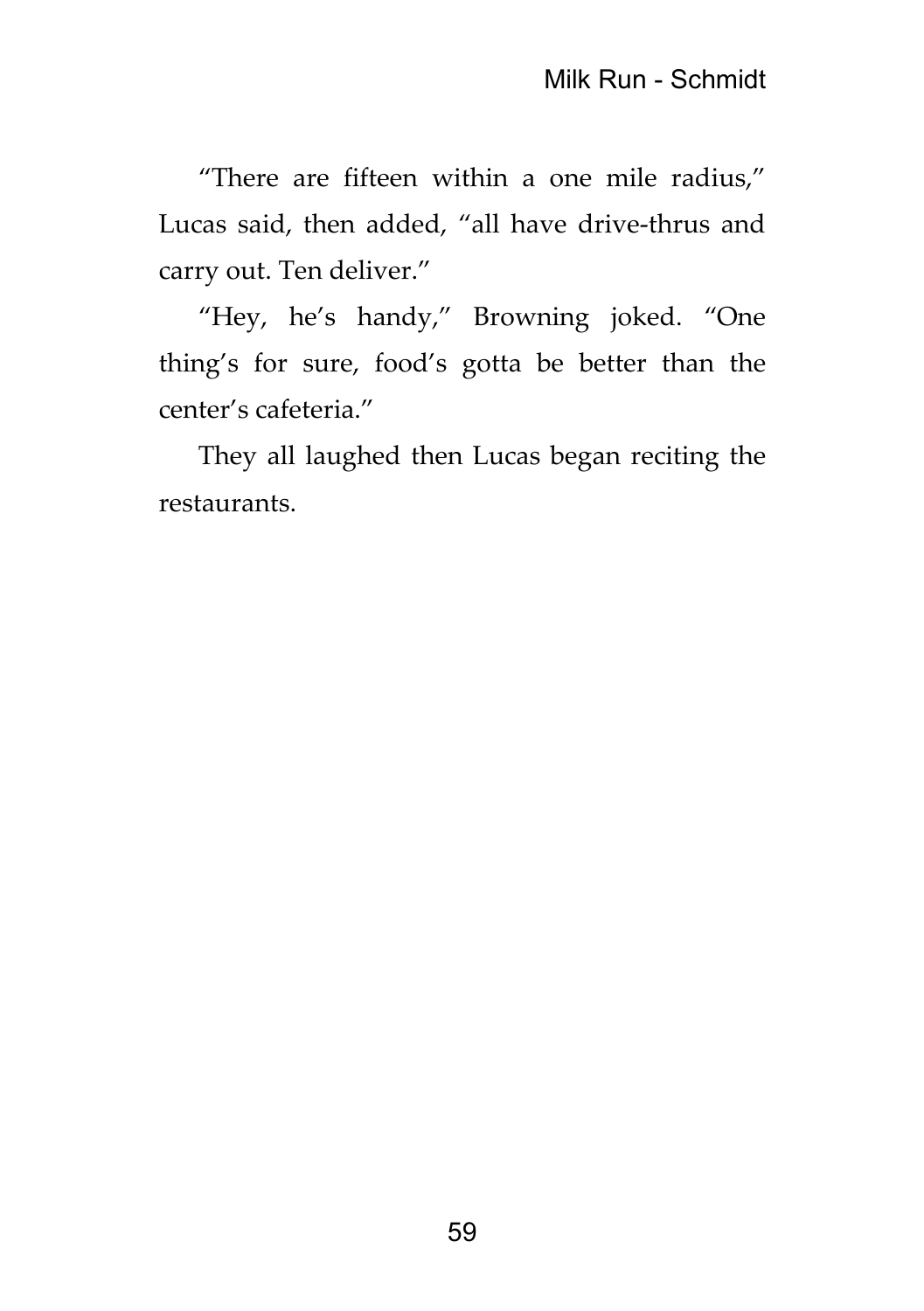"There are fifteen within a one mile radius," Lucas said, then added, "all have drive-thrus and carry out. Ten deliver."

"Hey, he's handy," Browning joked. "One thing's for sure, food's gotta be better than the center's cafeteria."

They all laughed then Lucas began reciting the restaurants.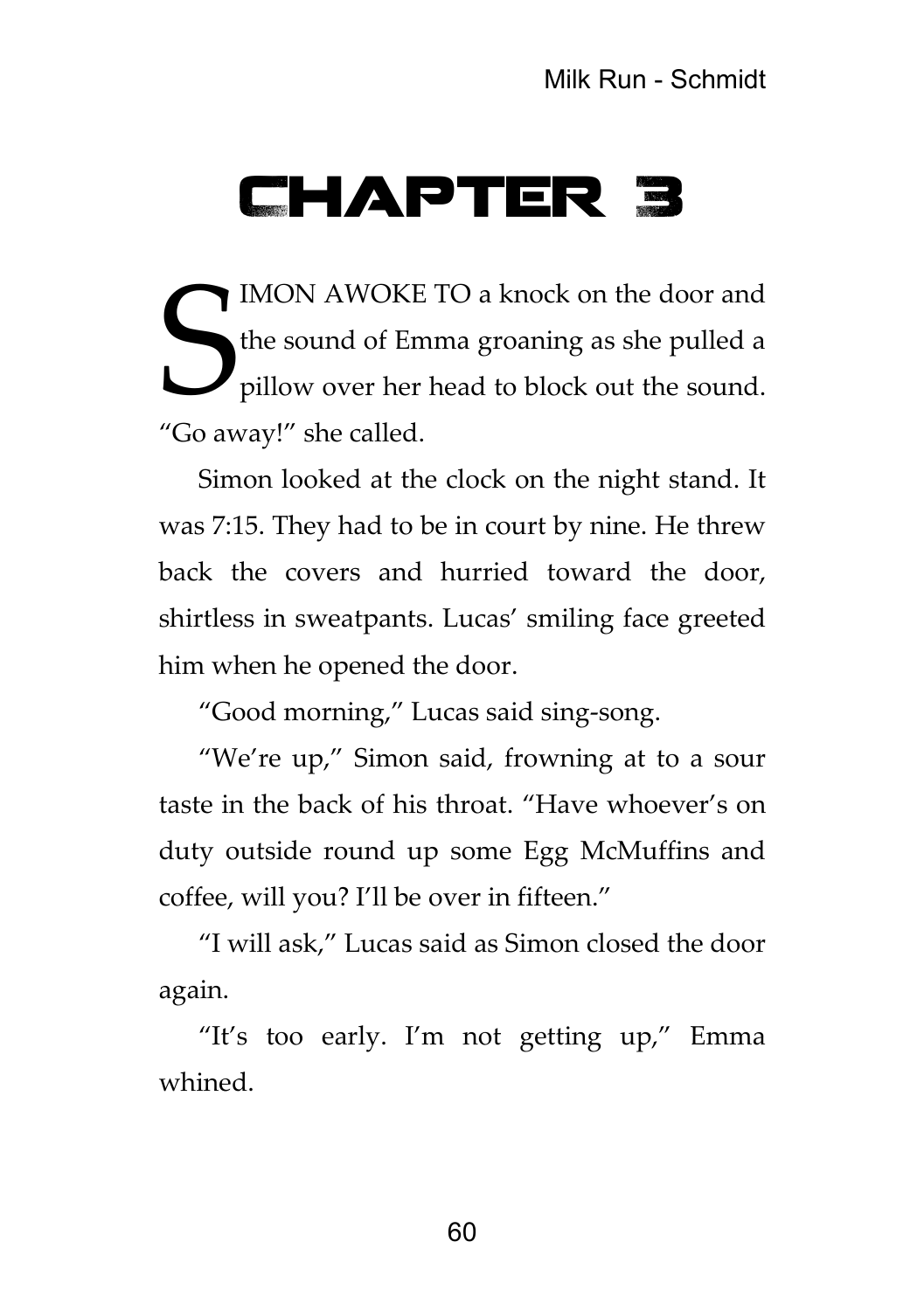## Chapter 3

IMON AWOKE TO a knock on the door and<br>the sound of Emma groaning as she pulled a<br>pillow over her head to block out the sound. the sound of Emma groaning as she pulled a pillow over her head to block out the sound. "Go away!" she called.

Simon looked at the clock on the night stand. It was 7:15. They had to be in court by nine. He threw back the covers and hurried toward the door, shirtless in sweatpants. Lucas' smiling face greeted him when he opened the door.

"Good morning," Lucas said sing-song.

"We're up," Simon said, frowning at to a sour taste in the back of his throat. "Have whoever's on duty outside round up some Egg McMuffins and coffee, will you? I'll be over in fifteen."

"I will ask," Lucas said as Simon closed the door again.

"It's too early. I'm not getting up," Emma whined.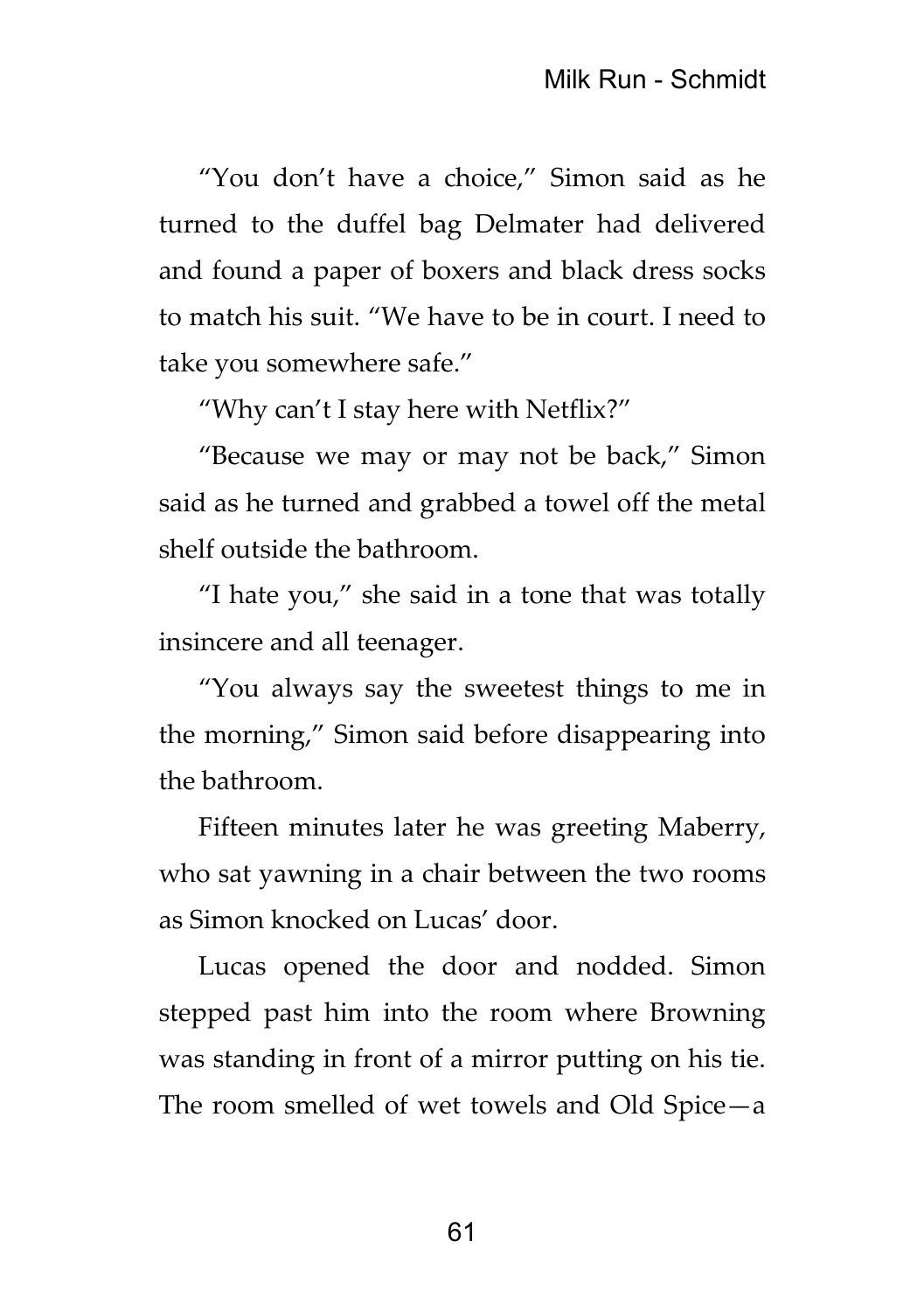"You don't have a choice," Simon said as he turned to the duffel bag Delmater had delivered and found a paper of boxers and black dress socks to match his suit. "We have to be in court. I need to take you somewhere safe."

"Why can't I stay here with Netflix?"

"Because we may or may not be back," Simon said as he turned and grabbed a towel off the metal shelf outside the bathroom.

"I hate you," she said in a tone that was totally insincere and all teenager.

"You always say the sweetest things to me in the morning," Simon said before disappearing into the bathroom.

Fifteen minutes later he was greeting Maberry, who sat yawning in a chair between the two rooms as Simon knocked on Lucas' door.

Lucas opened the door and nodded. Simon stepped past him into the room where Browning was standing in front of a mirror putting on his tie. The room smelled of wet towels and Old Spice—a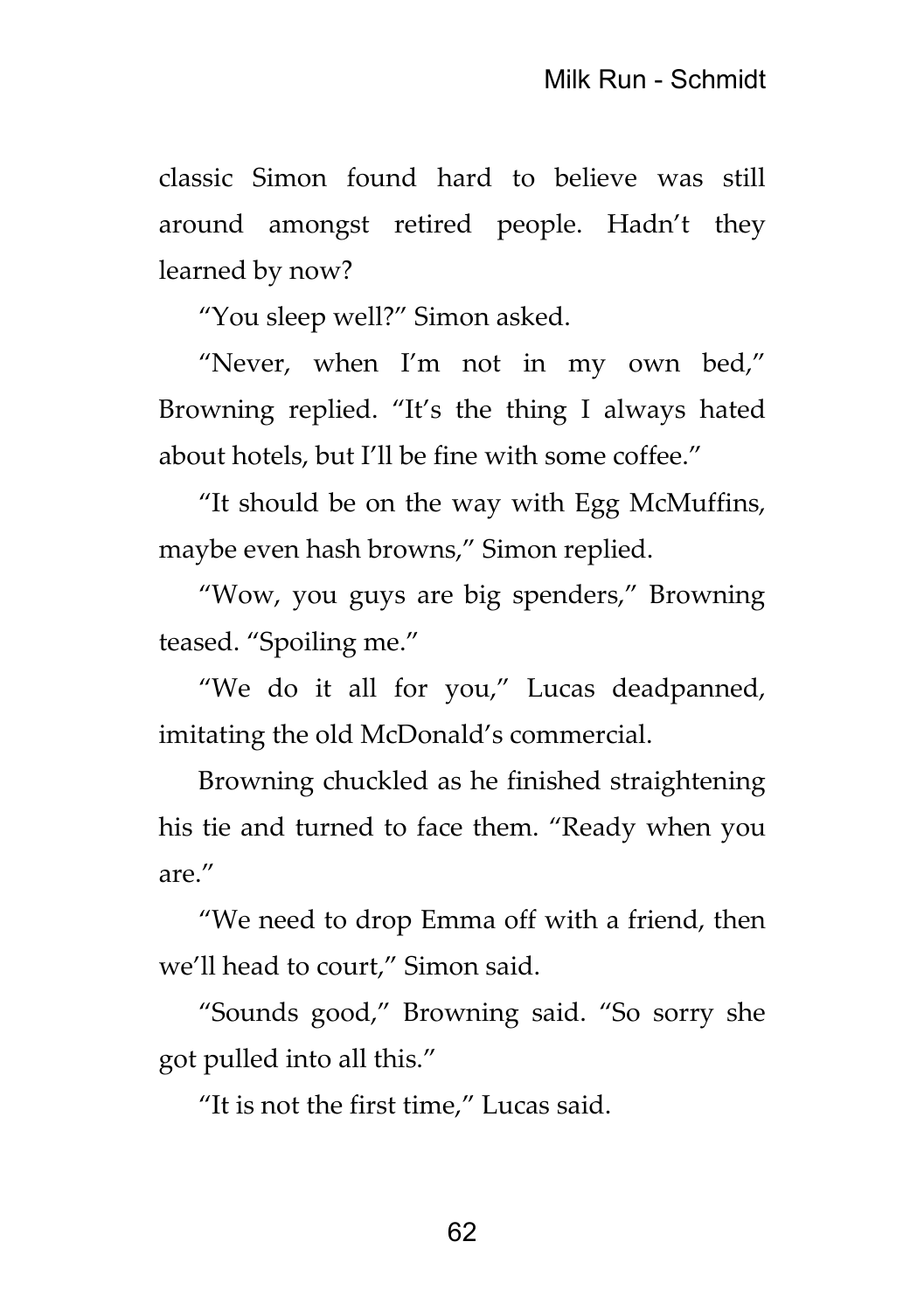classic Simon found hard to believe was still around amongst retired people. Hadn't they learned by now?

"You sleep well?" Simon asked.

"Never, when I'm not in my own bed," Browning replied. "It's the thing I always hated about hotels, but I'll be fine with some coffee."

"It should be on the way with Egg McMuffins, maybe even hash browns," Simon replied.

"Wow, you guys are big spenders," Browning teased. "Spoiling me."

"We do it all for you," Lucas deadpanned, imitating the old McDonald's commercial.

Browning chuckled as he finished straightening his tie and turned to face them. "Ready when you are."

"We need to drop Emma off with a friend, then we'll head to court," Simon said.

"Sounds good," Browning said. "So sorry she got pulled into all this."

"It is not the first time," Lucas said.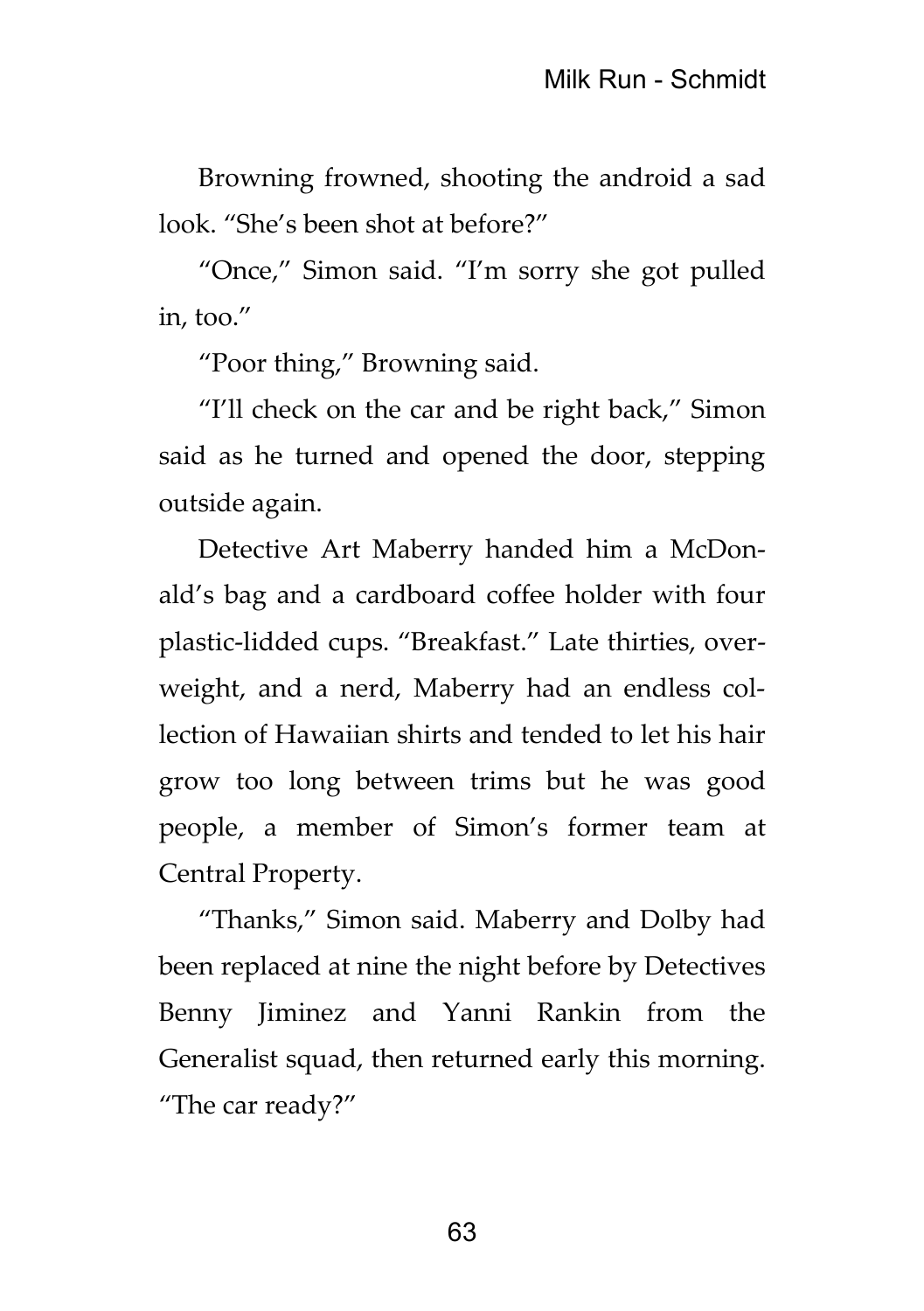Browning frowned, shooting the android a sad look. "She's been shot at before?"

"Once," Simon said. "I'm sorry she got pulled in, too."

"Poor thing," Browning said.

"I'll check on the car and be right back," Simon said as he turned and opened the door, stepping outside again.

Detective Art Maberry handed him a McDonald's bag and a cardboard coffee holder with four plastic-lidded cups. "Breakfast." Late thirties, overweight, and a nerd, Maberry had an endless collection of Hawaiian shirts and tended to let his hair grow too long between trims but he was good people, a member of Simon's former team at Central Property.

"Thanks," Simon said. Maberry and Dolby had been replaced at nine the night before by Detectives Benny Jiminez and Yanni Rankin from the Generalist squad, then returned early this morning. "The car ready?"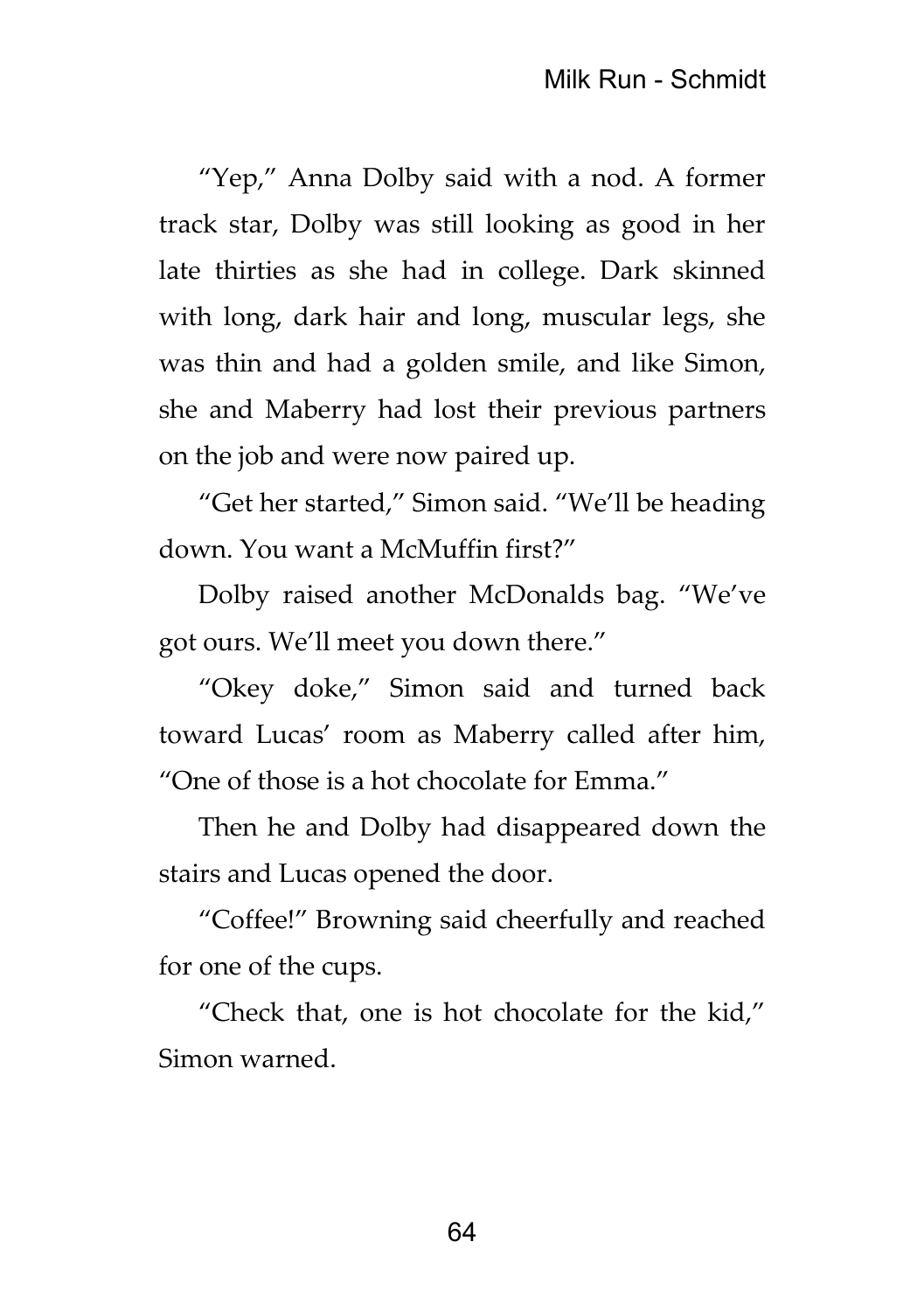"Yep," Anna Dolby said with a nod. A former track star, Dolby was still looking as good in her late thirties as she had in college. Dark skinned with long, dark hair and long, muscular legs, she was thin and had a golden smile, and like Simon, she and Maberry had lost their previous partners on the job and were now paired up.

"Get her started," Simon said. "We'll be heading down. You want a McMuffin first?"

Dolby raised another McDonalds bag. "We've got ours. We'll meet you down there."

"Okey doke," Simon said and turned back toward Lucas' room as Maberry called after him, "One of those is a hot chocolate for Emma."

Then he and Dolby had disappeared down the stairs and Lucas opened the door.

"Coffee!" Browning said cheerfully and reached for one of the cups.

"Check that, one is hot chocolate for the kid," Simon warned.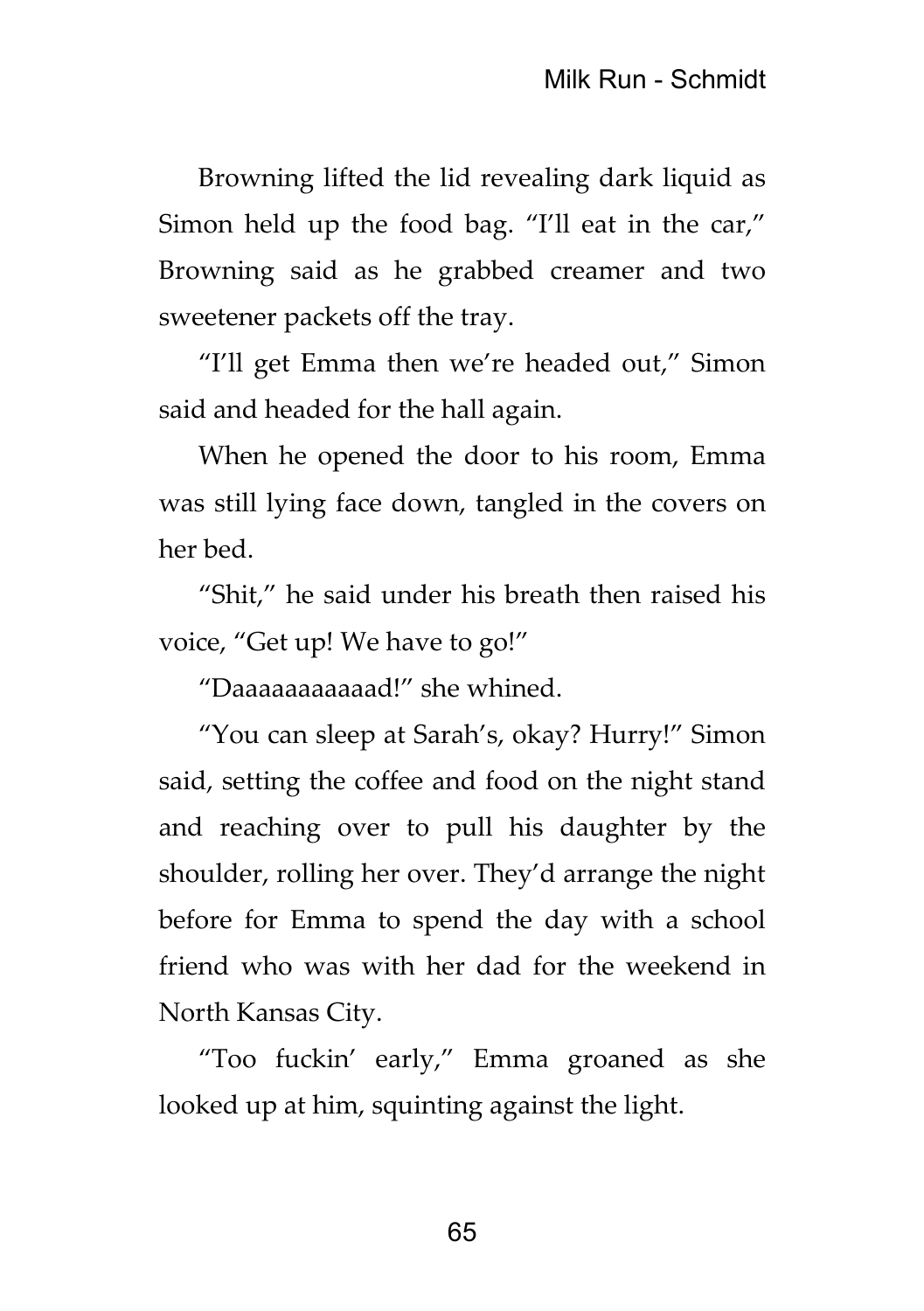Browning lifted the lid revealing dark liquid as Simon held up the food bag. "I'll eat in the car," Browning said as he grabbed creamer and two sweetener packets off the tray.

"I'll get Emma then we're headed out," Simon said and headed for the hall again.

When he opened the door to his room, Emma was still lying face down, tangled in the covers on her bed.

"Shit," he said under his breath then raised his voice, "Get up! We have to go!"

"Daaaaaaaaaaad!" she whined.

"You can sleep at Sarah's, okay? Hurry!" Simon said, setting the coffee and food on the night stand and reaching over to pull his daughter by the shoulder, rolling her over. They'd arrange the night before for Emma to spend the day with a school friend who was with her dad for the weekend in North Kansas City.

"Too fuckin' early," Emma groaned as she looked up at him, squinting against the light.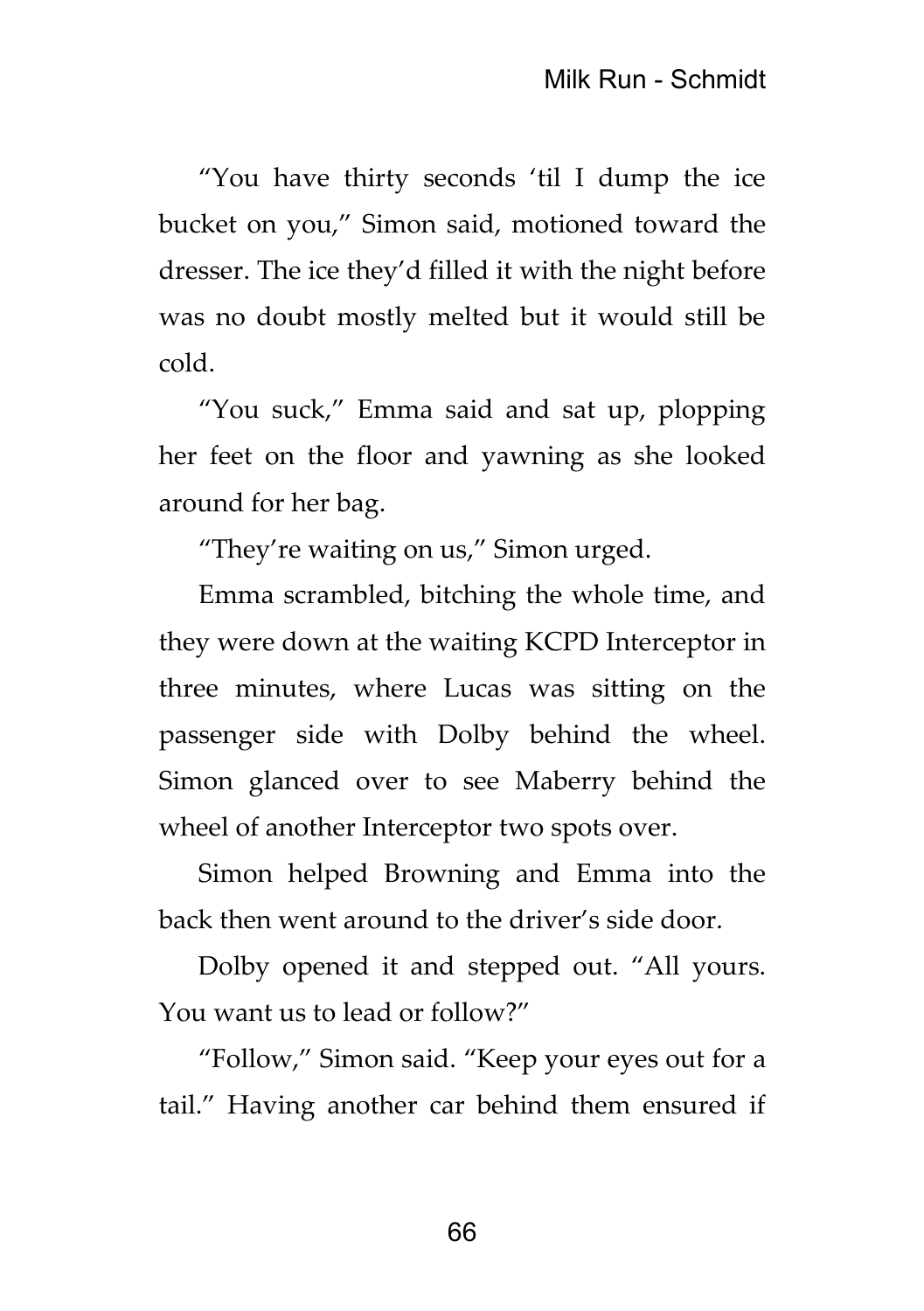"You have thirty seconds 'til I dump the ice bucket on you," Simon said, motioned toward the dresser. The ice they'd filled it with the night before was no doubt mostly melted but it would still be cold.

"You suck," Emma said and sat up, plopping her feet on the floor and yawning as she looked around for her bag.

"They're waiting on us," Simon urged.

Emma scrambled, bitching the whole time, and they were down at the waiting KCPD Interceptor in three minutes, where Lucas was sitting on the passenger side with Dolby behind the wheel. Simon glanced over to see Maberry behind the wheel of another Interceptor two spots over.

Simon helped Browning and Emma into the back then went around to the driver's side door.

Dolby opened it and stepped out. "All yours. You want us to lead or follow?"

"Follow," Simon said. "Keep your eyes out for a tail." Having another car behind them ensured if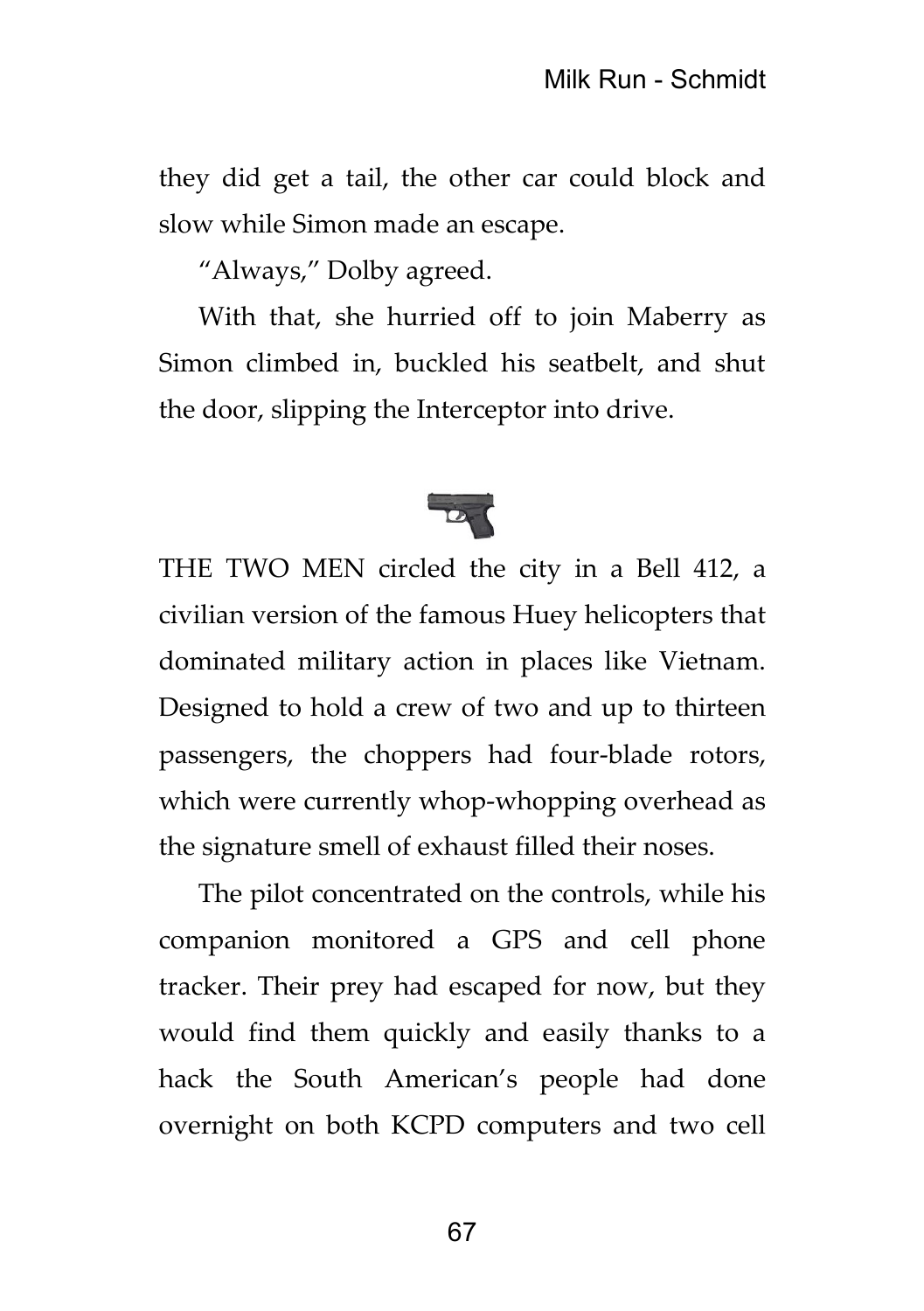they did get a tail, the other car could block and slow while Simon made an escape.

"Always," Dolby agreed.

With that, she hurried off to join Maberry as Simon climbed in, buckled his seatbelt, and shut the door, slipping the Interceptor into drive.



THE TWO MEN circled the city in a Bell 412, a civilian version of the famous Huey helicopters that dominated military action in places like Vietnam. Designed to hold a crew of two and up to thirteen passengers, the choppers had four-blade rotors, which were currently whop-whopping overhead as the signature smell of exhaust filled their noses.

The pilot concentrated on the controls, while his companion monitored a GPS and cell phone tracker. Their prey had escaped for now, but they would find them quickly and easily thanks to a hack the South American's people had done overnight on both KCPD computers and two cell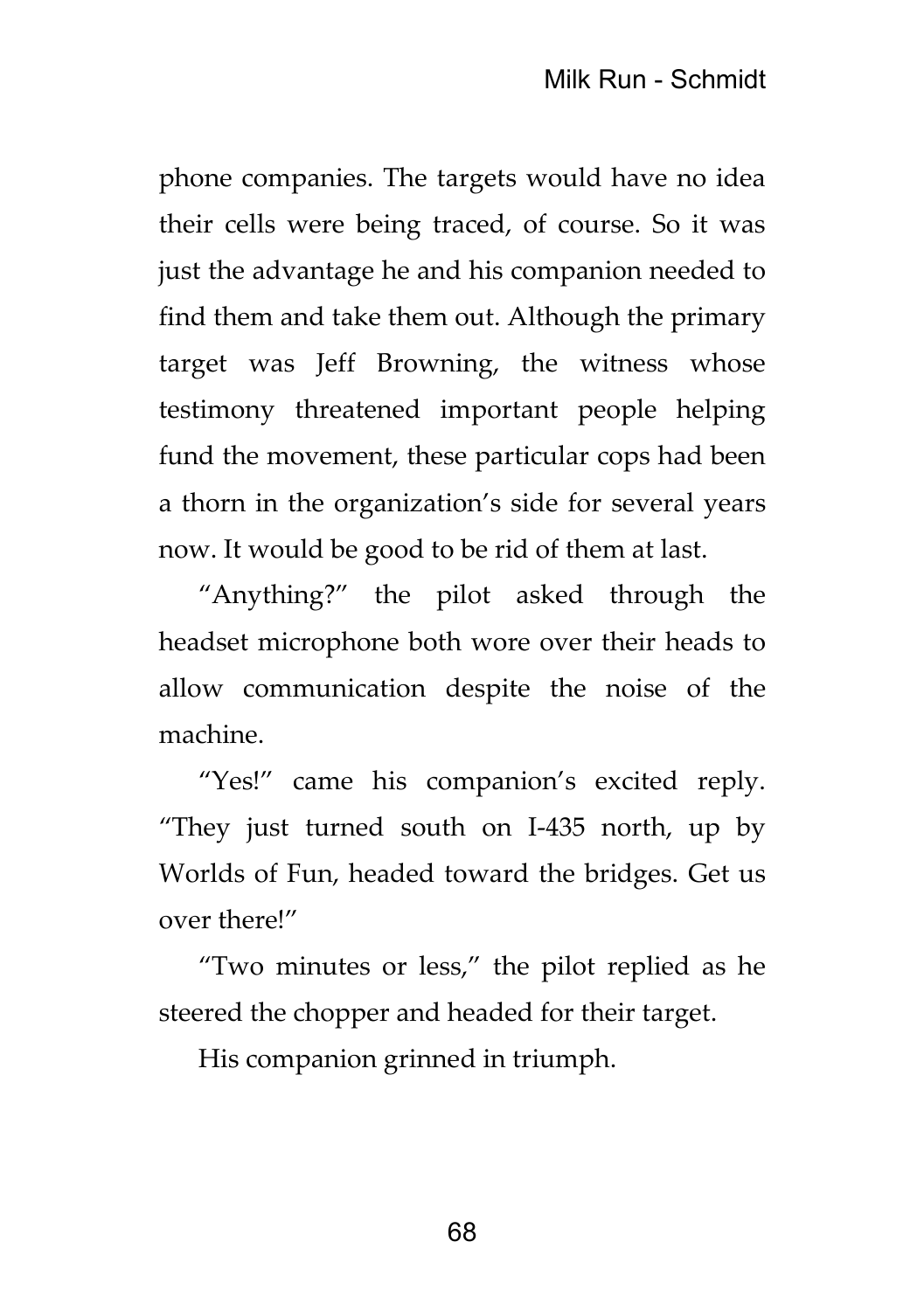phone companies. The targets would have no idea their cells were being traced, of course. So it was just the advantage he and his companion needed to find them and take them out. Although the primary target was Jeff Browning, the witness whose testimony threatened important people helping fund the movement, these particular cops had been a thorn in the organization's side for several years now. It would be good to be rid of them at last.

"Anything?" the pilot asked through the headset microphone both wore over their heads to allow communication despite the noise of the machine.

"Yes!" came his companion's excited reply. "They just turned south on I-435 north, up by Worlds of Fun, headed toward the bridges. Get us over there!"

"Two minutes or less," the pilot replied as he steered the chopper and headed for their target.

His companion grinned in triumph.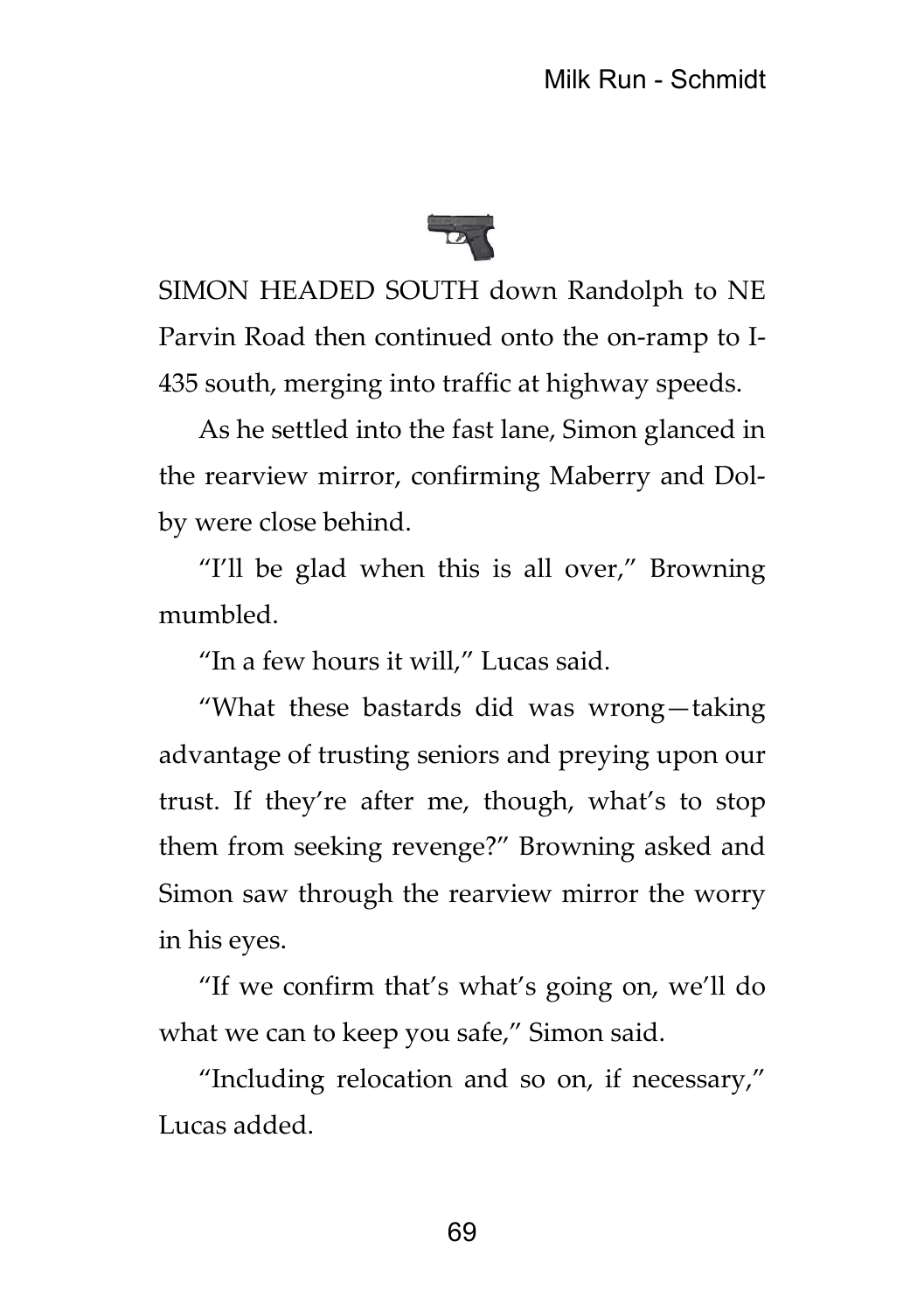

SIMON HEADED SOUTH down Randolph to NE Parvin Road then continued onto the on-ramp to I-435 south, merging into traffic at highway speeds.

As he settled into the fast lane, Simon glanced in the rearview mirror, confirming Maberry and Dolby were close behind.

"I'll be glad when this is all over," Browning mumbled.

"In a few hours it will," Lucas said.

"What these bastards did was wrong—taking advantage of trusting seniors and preying upon our trust. If they're after me, though, what's to stop them from seeking revenge?" Browning asked and Simon saw through the rearview mirror the worry in his eyes.

"If we confirm that's what's going on, we'll do what we can to keep you safe," Simon said.

"Including relocation and so on, if necessary," Lucas added.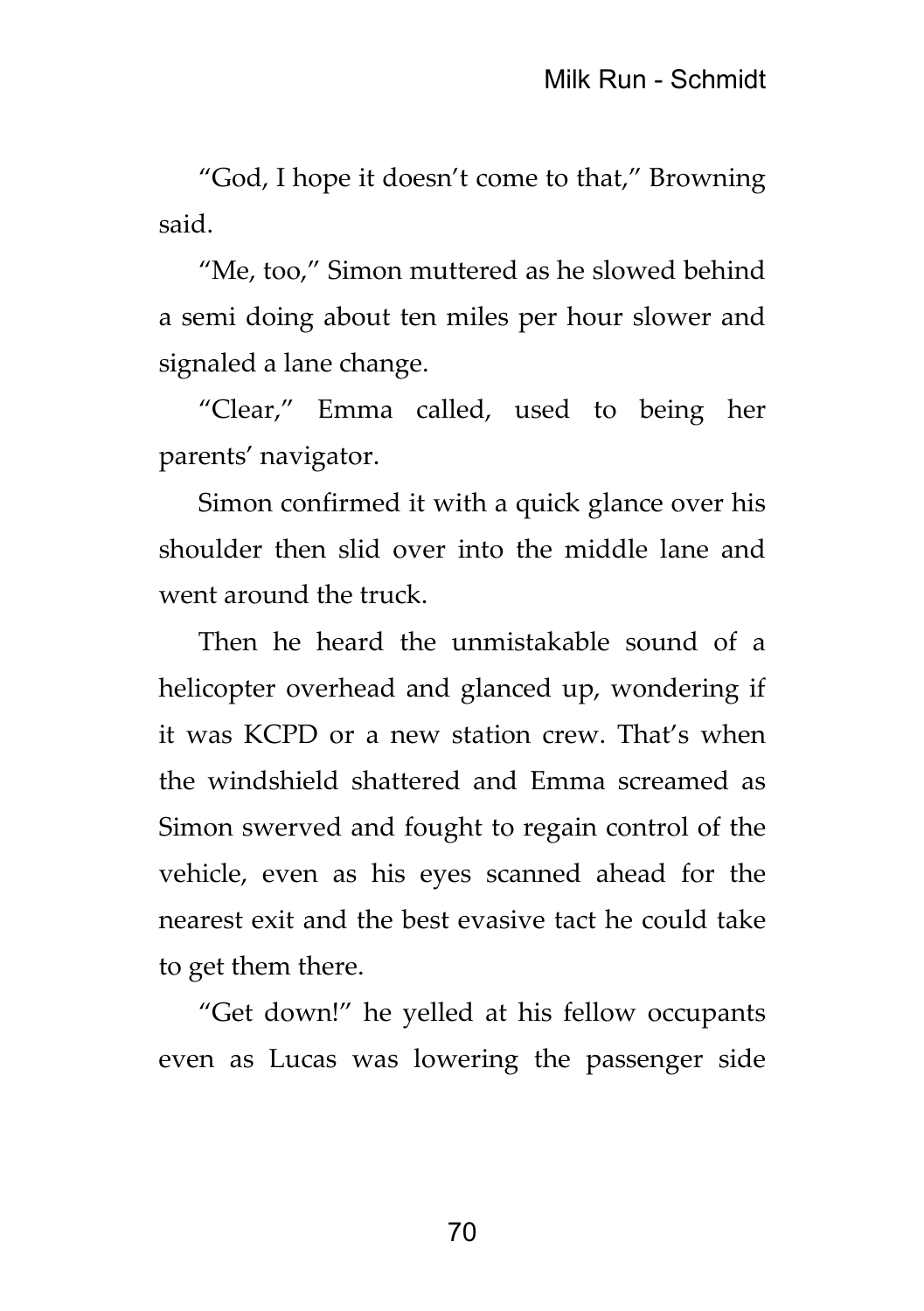"God, I hope it doesn't come to that," Browning said.

"Me, too," Simon muttered as he slowed behind a semi doing about ten miles per hour slower and signaled a lane change.

"Clear," Emma called, used to being her parents' navigator.

Simon confirmed it with a quick glance over his shoulder then slid over into the middle lane and went around the truck.

Then he heard the unmistakable sound of a helicopter overhead and glanced up, wondering if it was KCPD or a new station crew. That's when the windshield shattered and Emma screamed as Simon swerved and fought to regain control of the vehicle, even as his eyes scanned ahead for the nearest exit and the best evasive tact he could take to get them there.

"Get down!" he yelled at his fellow occupants even as Lucas was lowering the passenger side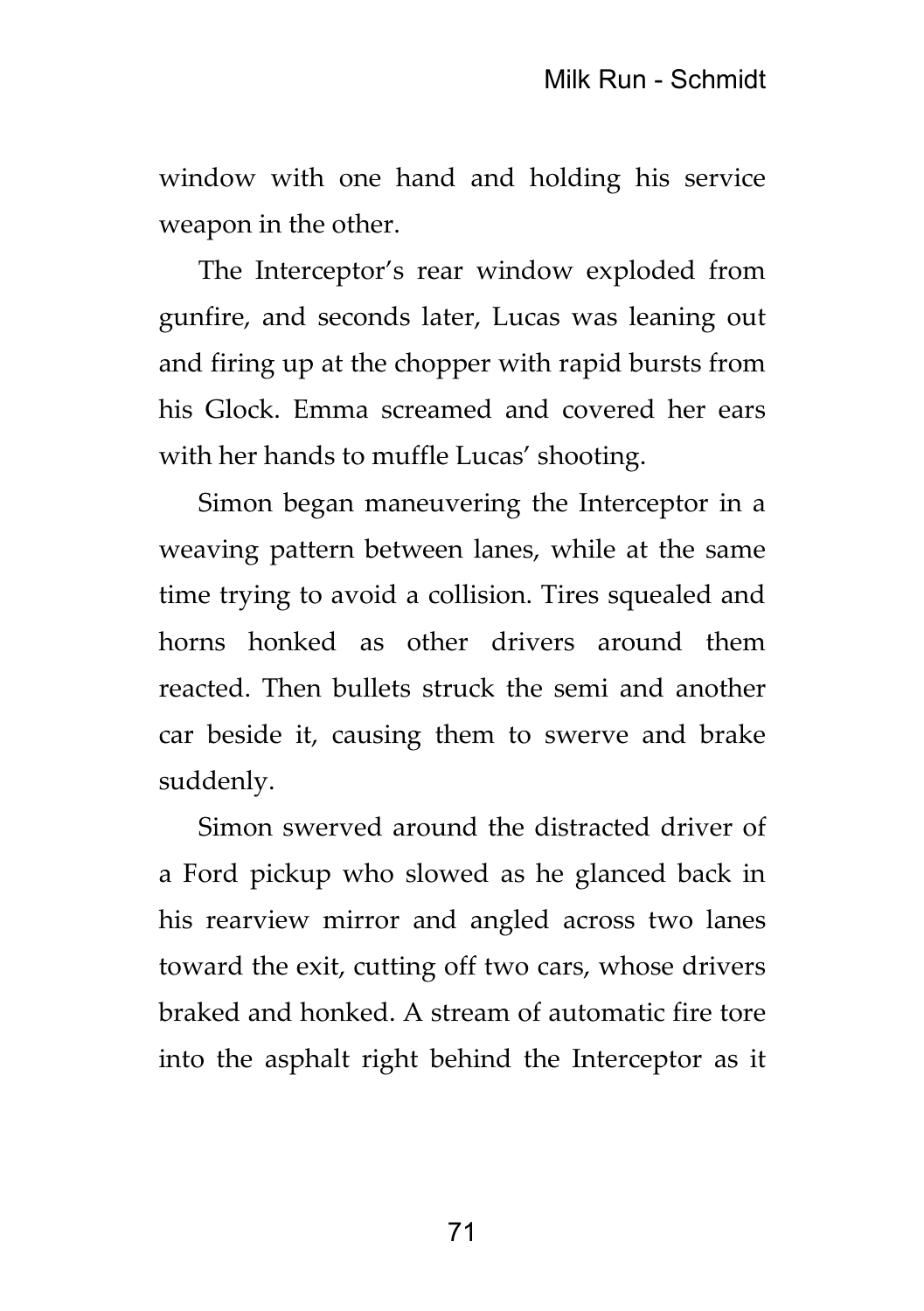window with one hand and holding his service weapon in the other.

The Interceptor's rear window exploded from gunfire, and seconds later, Lucas was leaning out and firing up at the chopper with rapid bursts from his Glock. Emma screamed and covered her ears with her hands to muffle Lucas' shooting.

Simon began maneuvering the Interceptor in a weaving pattern between lanes, while at the same time trying to avoid a collision. Tires squealed and horns honked as other drivers around them reacted. Then bullets struck the semi and another car beside it, causing them to swerve and brake suddenly.

Simon swerved around the distracted driver of a Ford pickup who slowed as he glanced back in his rearview mirror and angled across two lanes toward the exit, cutting off two cars, whose drivers braked and honked. A stream of automatic fire tore into the asphalt right behind the Interceptor as it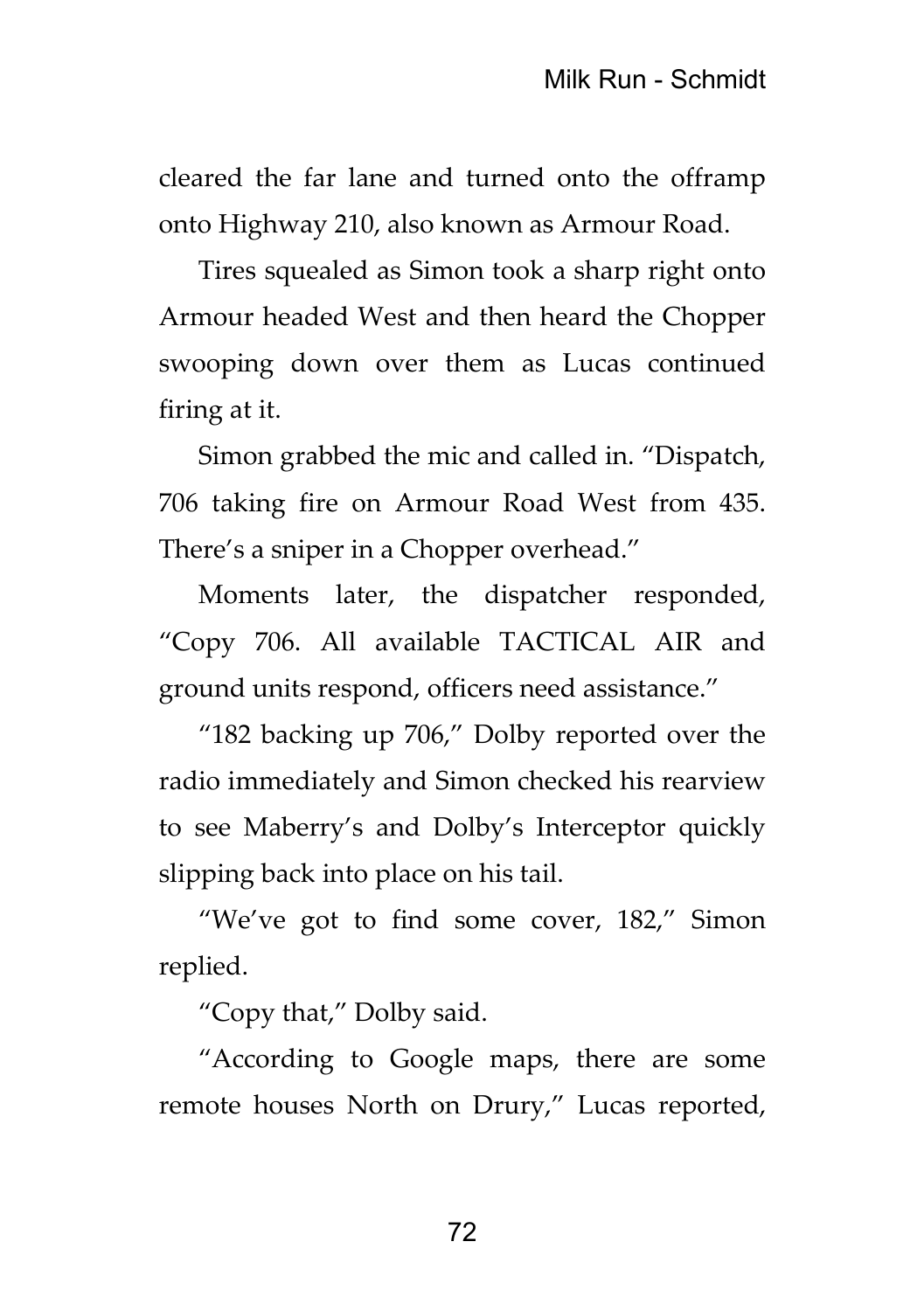cleared the far lane and turned onto the offramp onto Highway 210, also known as Armour Road.

Tires squealed as Simon took a sharp right onto Armour headed West and then heard the Chopper swooping down over them as Lucas continued firing at it.

Simon grabbed the mic and called in. "Dispatch, 706 taking fire on Armour Road West from 435. There's a sniper in a Chopper overhead."

Moments later, the dispatcher responded, "Copy 706. All available TACTICAL AIR and ground units respond, officers need assistance."

"182 backing up 706," Dolby reported over the radio immediately and Simon checked his rearview to see Maberry's and Dolby's Interceptor quickly slipping back into place on his tail.

"We've got to find some cover, 182," Simon replied.

"Copy that," Dolby said.

"According to Google maps, there are some remote houses North on Drury," Lucas reported,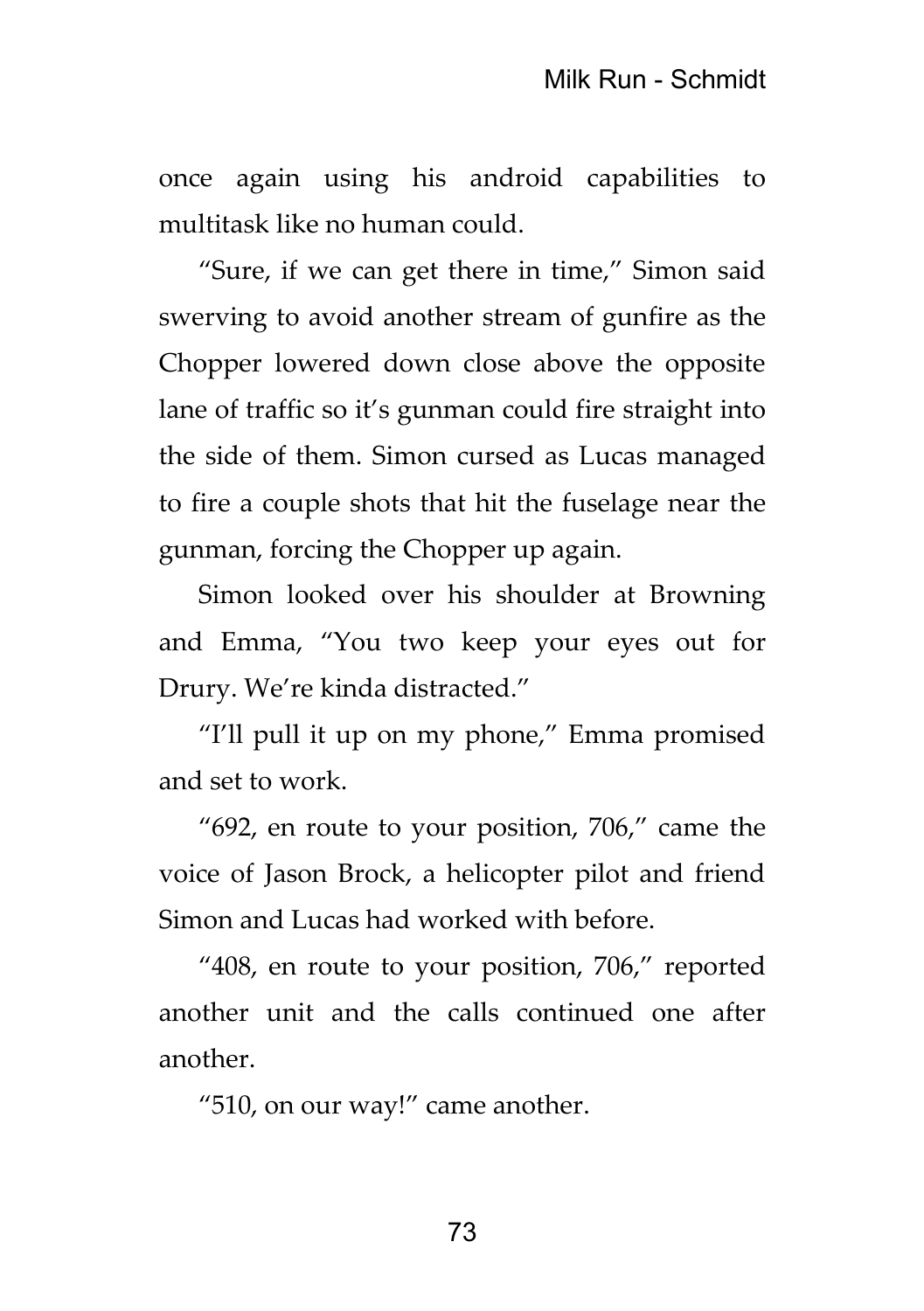once again using his android capabilities to multitask like no human could.

"Sure, if we can get there in time," Simon said swerving to avoid another stream of gunfire as the Chopper lowered down close above the opposite lane of traffic so it's gunman could fire straight into the side of them. Simon cursed as Lucas managed to fire a couple shots that hit the fuselage near the gunman, forcing the Chopper up again.

Simon looked over his shoulder at Browning and Emma, "You two keep your eyes out for Drury. We're kinda distracted."

"I'll pull it up on my phone," Emma promised and set to work.

"692, en route to your position, 706," came the voice of Jason Brock, a helicopter pilot and friend Simon and Lucas had worked with before.

"408, en route to your position, 706," reported another unit and the calls continued one after another.

"510, on our way!" came another.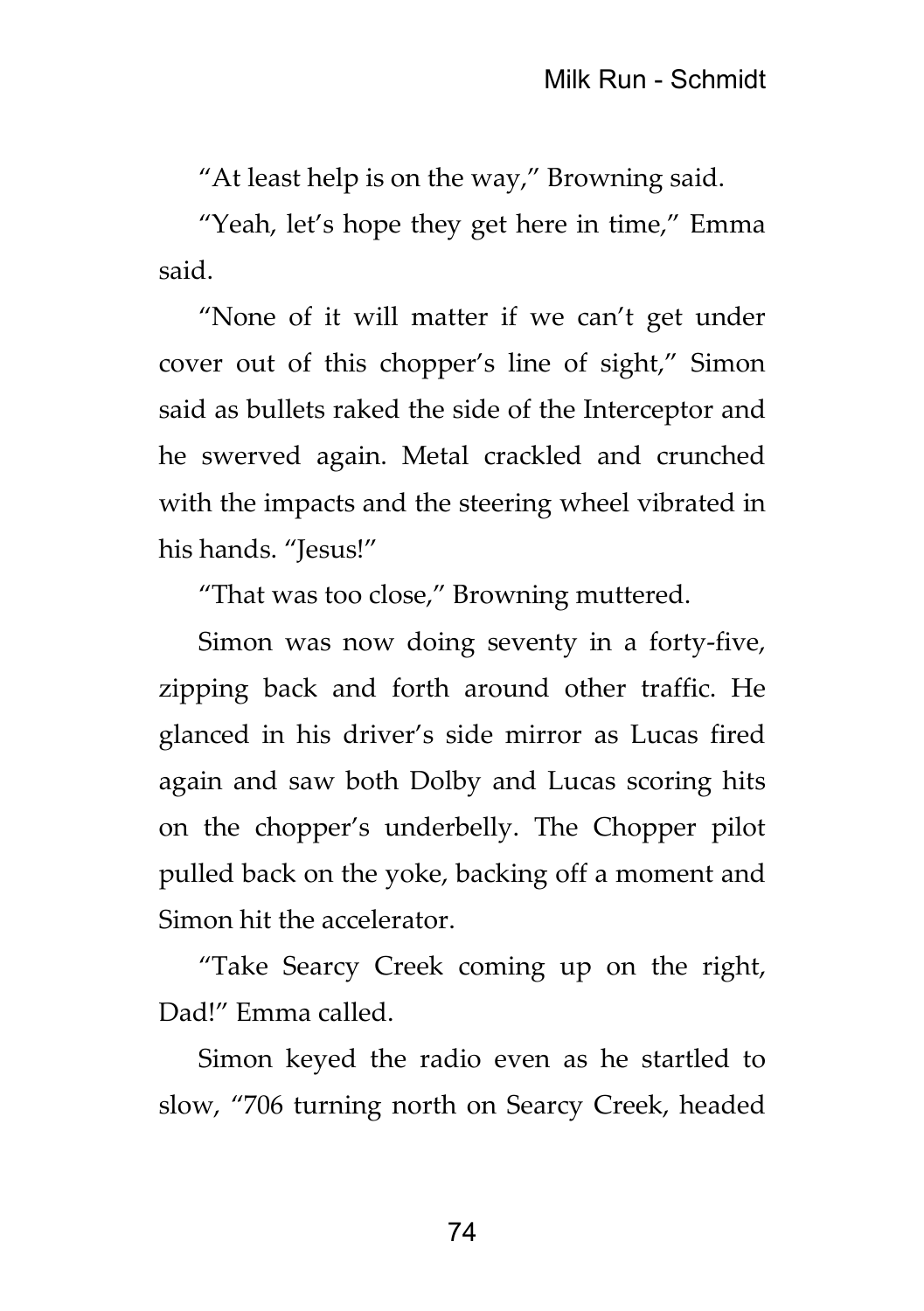"At least help is on the way," Browning said.

"Yeah, let's hope they get here in time," Emma said.

"None of it will matter if we can't get under cover out of this chopper's line of sight," Simon said as bullets raked the side of the Interceptor and he swerved again. Metal crackled and crunched with the impacts and the steering wheel vibrated in his hands. "Jesus!"

"That was too close," Browning muttered.

Simon was now doing seventy in a forty-five, zipping back and forth around other traffic. He glanced in his driver's side mirror as Lucas fired again and saw both Dolby and Lucas scoring hits on the chopper's underbelly. The Chopper pilot pulled back on the yoke, backing off a moment and Simon hit the accelerator.

"Take Searcy Creek coming up on the right, Dad!" Emma called.

Simon keyed the radio even as he startled to slow, "706 turning north on Searcy Creek, headed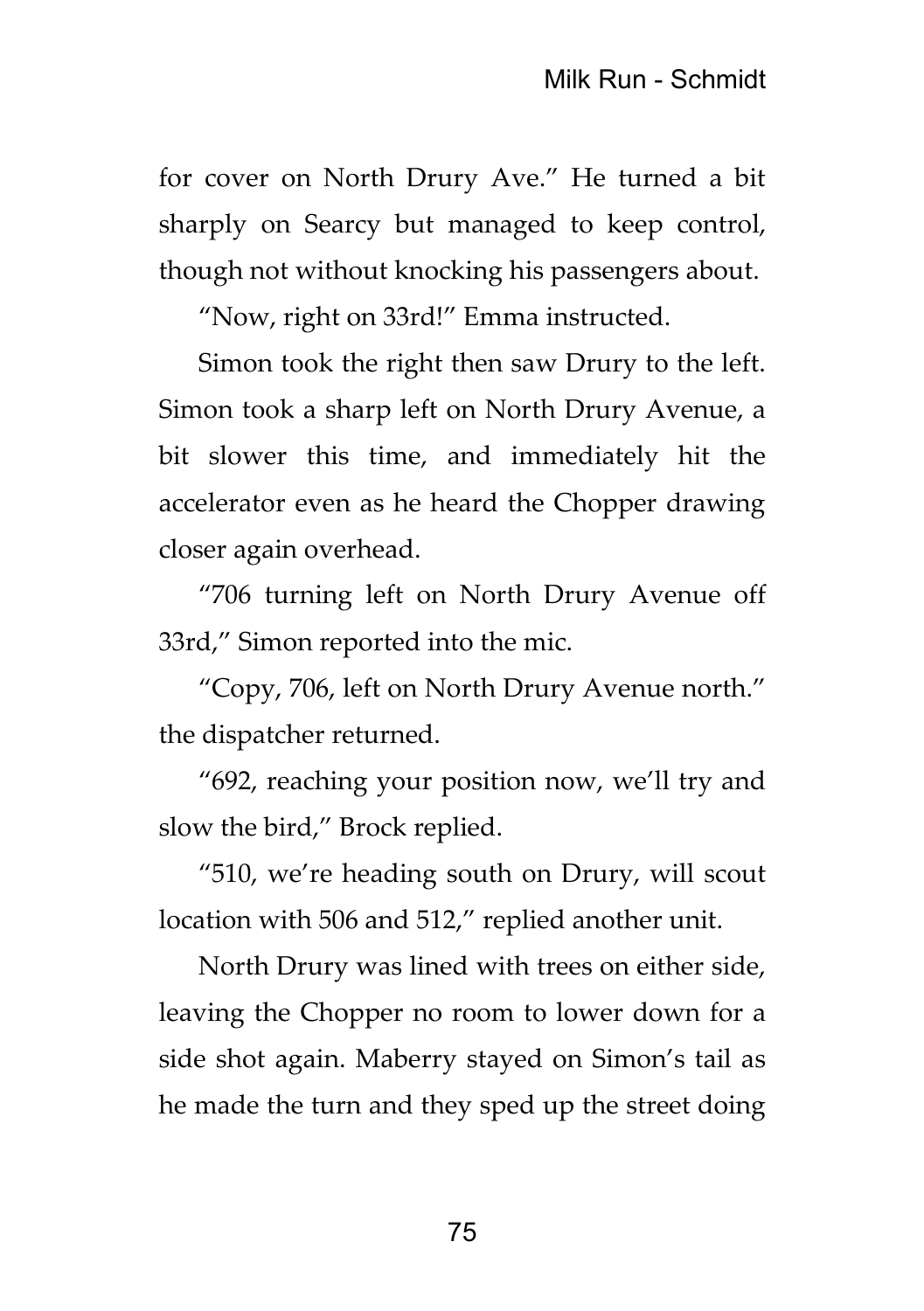for cover on North Drury Ave." He turned a bit sharply on Searcy but managed to keep control, though not without knocking his passengers about.

"Now, right on 33rd!" Emma instructed.

Simon took the right then saw Drury to the left. Simon took a sharp left on North Drury Avenue, a bit slower this time, and immediately hit the accelerator even as he heard the Chopper drawing closer again overhead.

"706 turning left on North Drury Avenue off 33rd," Simon reported into the mic.

"Copy, 706, left on North Drury Avenue north." the dispatcher returned.

"692, reaching your position now, we'll try and slow the bird," Brock replied.

"510, we're heading south on Drury, will scout location with 506 and 512," replied another unit.

North Drury was lined with trees on either side, leaving the Chopper no room to lower down for a side shot again. Maberry stayed on Simon's tail as he made the turn and they sped up the street doing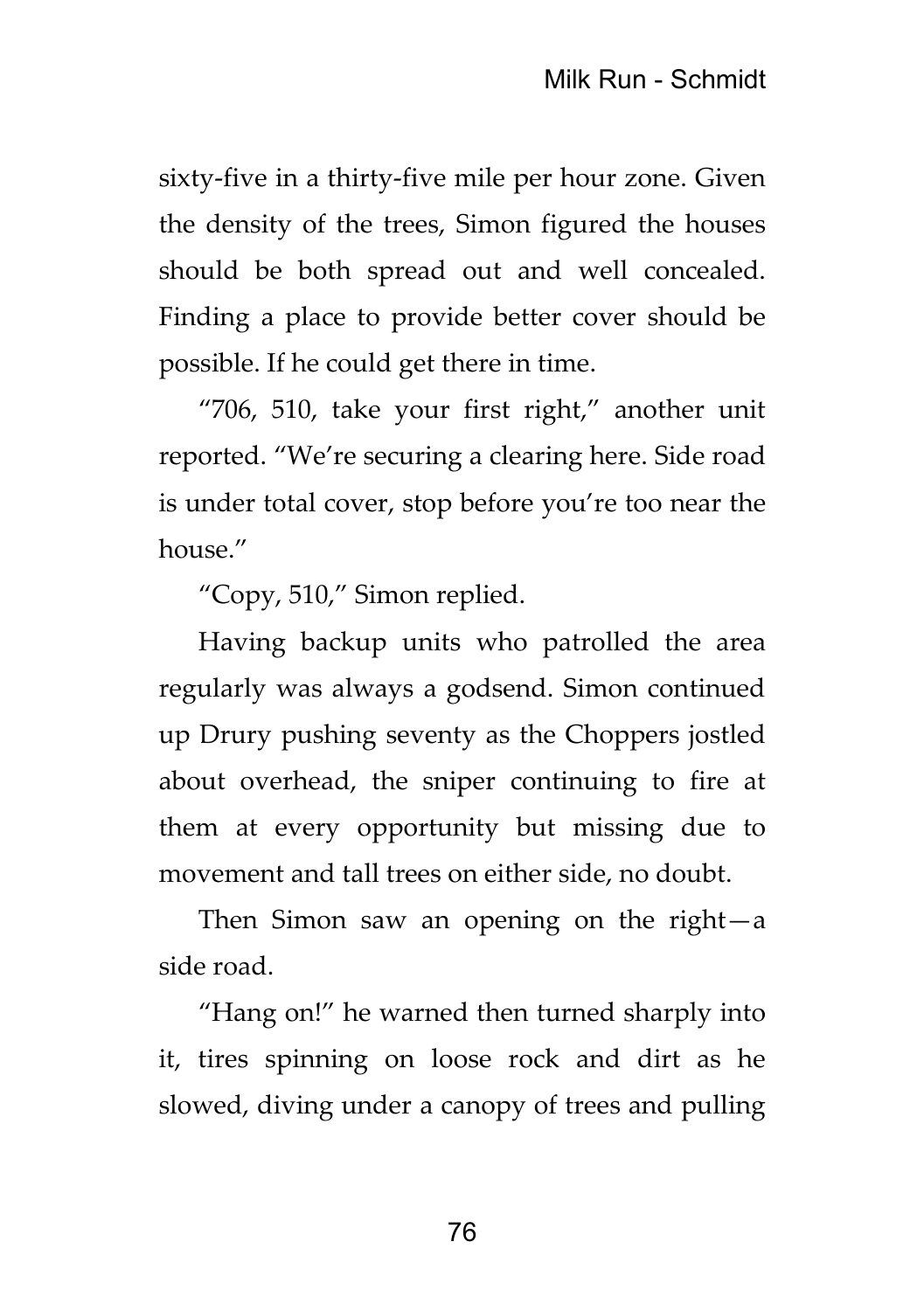sixty-five in a thirty-five mile per hour zone. Given the density of the trees, Simon figured the houses should be both spread out and well concealed. Finding a place to provide better cover should be possible. If he could get there in time.

"706, 510, take your first right," another unit reported. "We're securing a clearing here. Side road is under total cover, stop before you're too near the house."

"Copy, 510," Simon replied.

Having backup units who patrolled the area regularly was always a godsend. Simon continued up Drury pushing seventy as the Choppers jostled about overhead, the sniper continuing to fire at them at every opportunity but missing due to movement and tall trees on either side, no doubt.

Then Simon saw an opening on the right—a side road.

"Hang on!" he warned then turned sharply into it, tires spinning on loose rock and dirt as he slowed, diving under a canopy of trees and pulling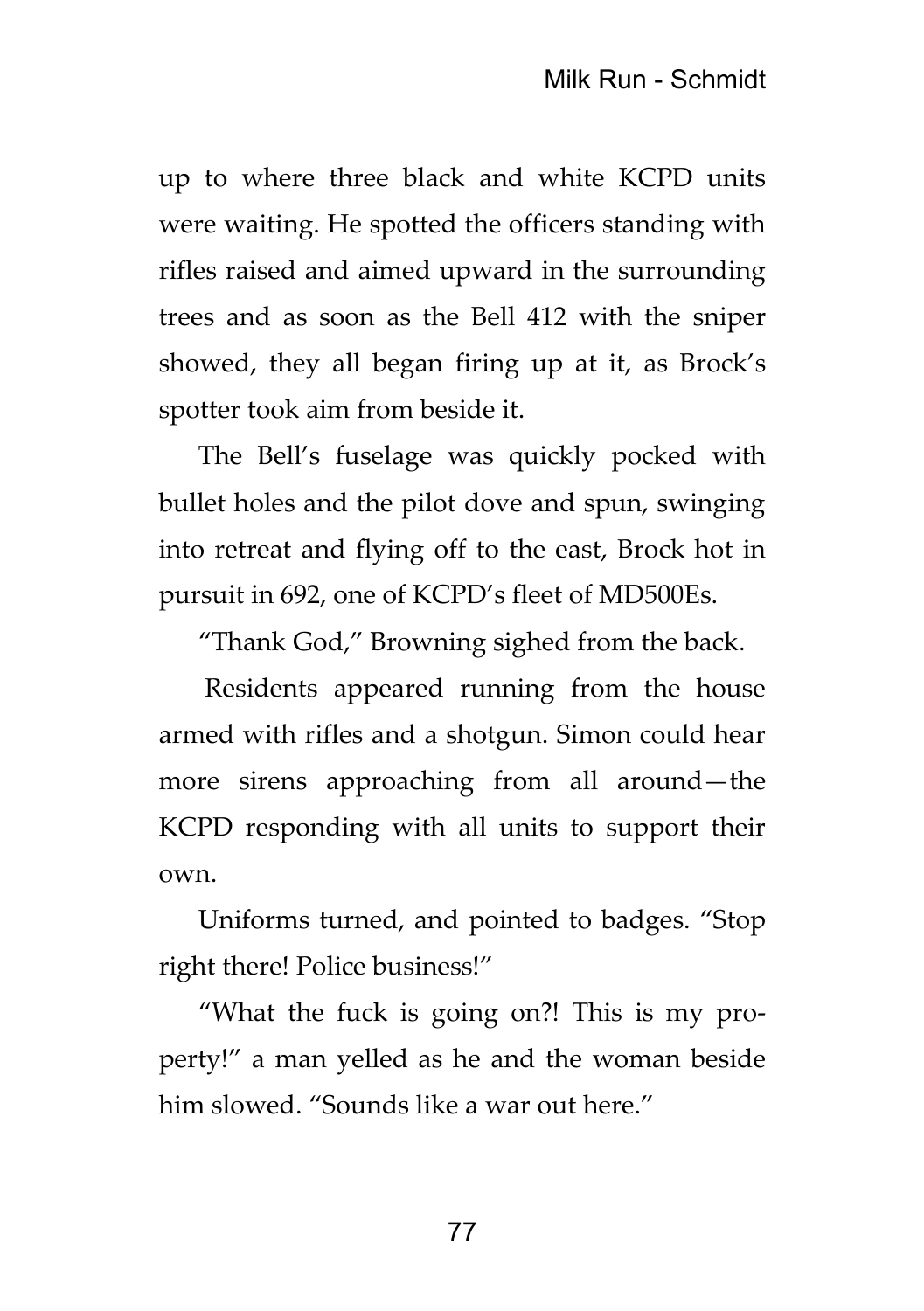up to where three black and white KCPD units were waiting. He spotted the officers standing with rifles raised and aimed upward in the surrounding trees and as soon as the Bell 412 with the sniper showed, they all began firing up at it, as Brock's spotter took aim from beside it.

The Bell's fuselage was quickly pocked with bullet holes and the pilot dove and spun, swinging into retreat and flying off to the east, Brock hot in pursuit in 692, one of KCPD's fleet of MD500Es.

"Thank God," Browning sighed from the back.

Residents appeared running from the house armed with rifles and a shotgun. Simon could hear more sirens approaching from all around—the KCPD responding with all units to support their own.

Uniforms turned, and pointed to badges. "Stop right there! Police business!"

"What the fuck is going on?! This is my property!" a man yelled as he and the woman beside him slowed. "Sounds like a war out here."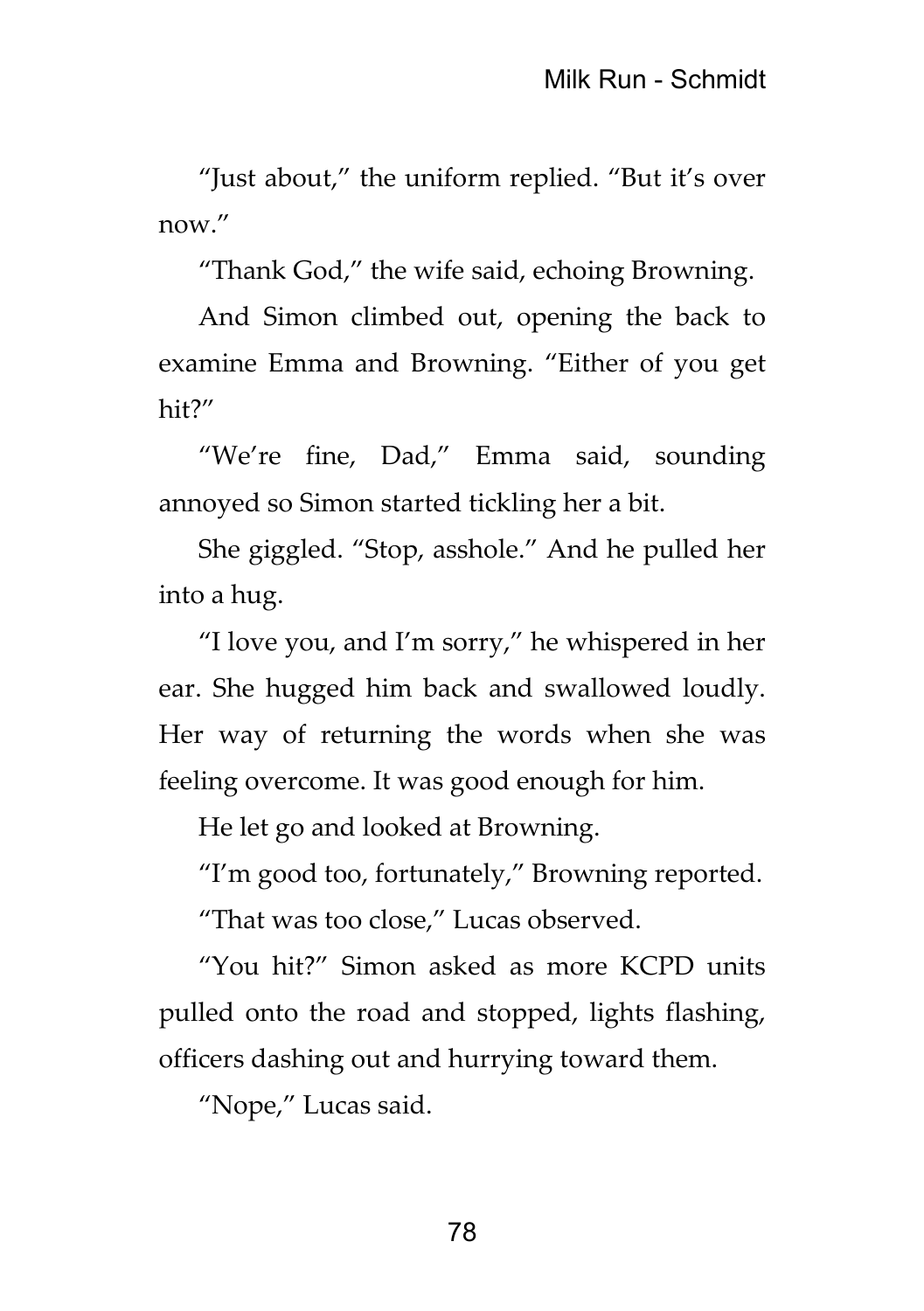"Just about," the uniform replied. "But it's over now."

"Thank God," the wife said, echoing Browning.

And Simon climbed out, opening the back to examine Emma and Browning. "Either of you get hit?"

"We're fine, Dad," Emma said, sounding annoyed so Simon started tickling her a bit.

She giggled. "Stop, asshole." And he pulled her into a hug.

"I love you, and I'm sorry," he whispered in her ear. She hugged him back and swallowed loudly. Her way of returning the words when she was feeling overcome. It was good enough for him.

He let go and looked at Browning.

"I'm good too, fortunately," Browning reported.

"That was too close," Lucas observed.

"You hit?" Simon asked as more KCPD units pulled onto the road and stopped, lights flashing, officers dashing out and hurrying toward them.

"Nope," Lucas said.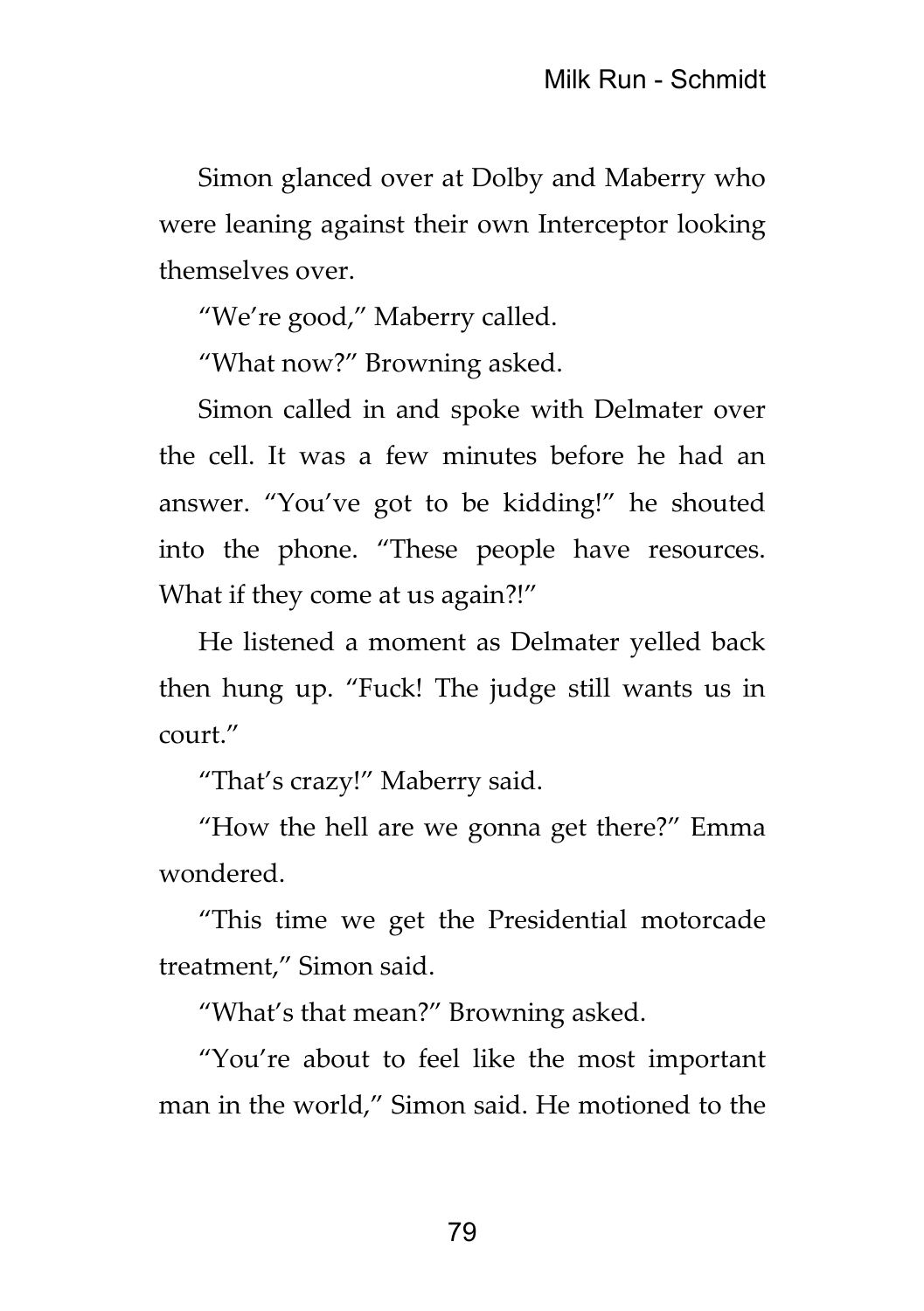Simon glanced over at Dolby and Maberry who were leaning against their own Interceptor looking themselves over.

"We're good," Maberry called.

"What now?" Browning asked.

Simon called in and spoke with Delmater over the cell. It was a few minutes before he had an answer. "You've got to be kidding!" he shouted into the phone. "These people have resources. What if they come at us again?!"

He listened a moment as Delmater yelled back then hung up. "Fuck! The judge still wants us in court."

"That's crazy!" Maberry said.

"How the hell are we gonna get there?" Emma wondered.

"This time we get the Presidential motorcade treatment," Simon said.

"What's that mean?" Browning asked.

"You're about to feel like the most important man in the world," Simon said. He motioned to the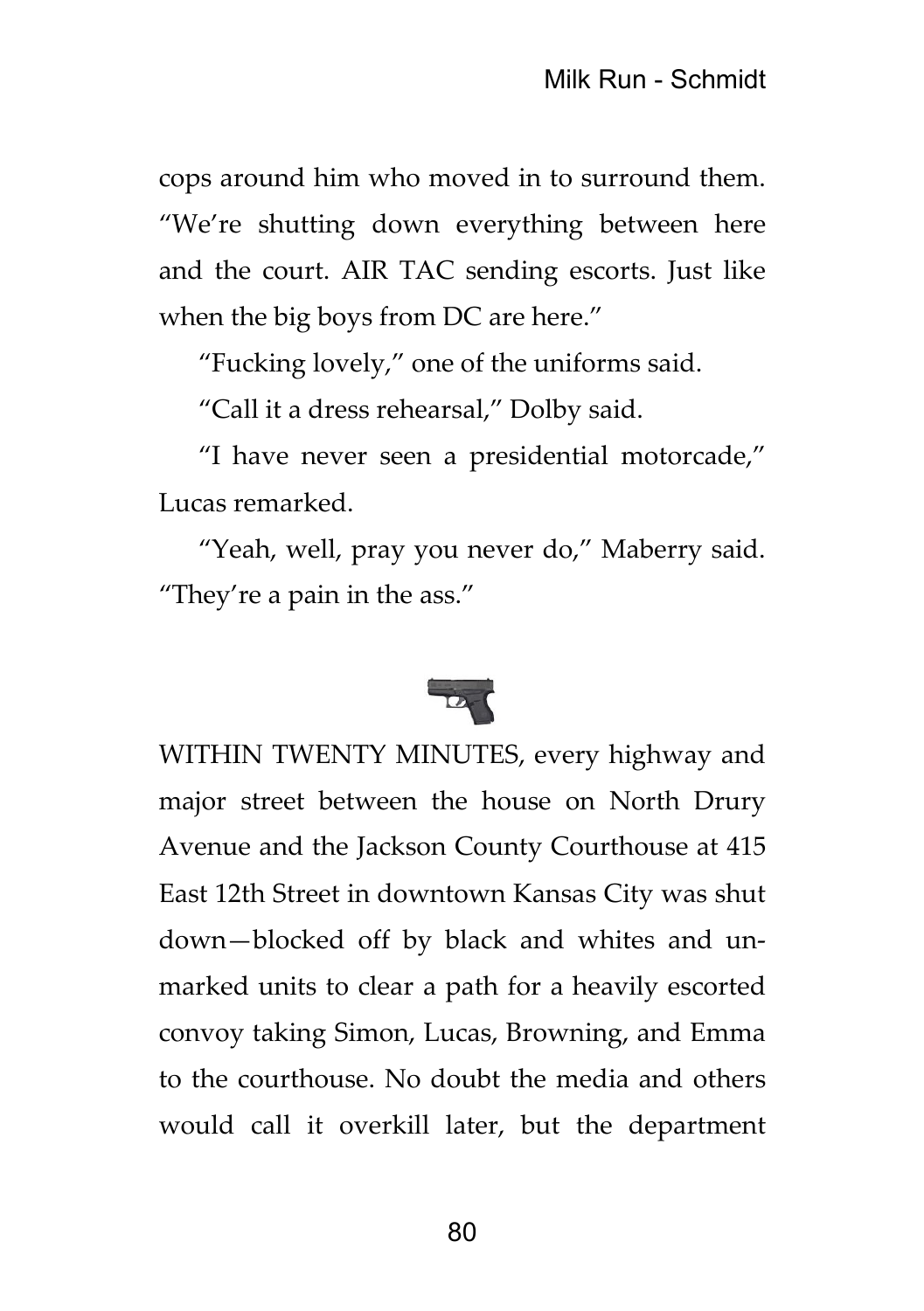cops around him who moved in to surround them. "We're shutting down everything between here and the court. AIR TAC sending escorts. Just like when the big boys from DC are here."

"Fucking lovely," one of the uniforms said.

"Call it a dress rehearsal," Dolby said.

"I have never seen a presidential motorcade," Lucas remarked.

"Yeah, well, pray you never do," Maberry said. "They're a pain in the ass."



WITHIN TWENTY MINUTES, every highway and major street between the house on North Drury Avenue and the Jackson County Courthouse at 415 East 12th Street in downtown Kansas City was shut down—blocked off by black and whites and unmarked units to clear a path for a heavily escorted convoy taking Simon, Lucas, Browning, and Emma to the courthouse. No doubt the media and others would call it overkill later, but the department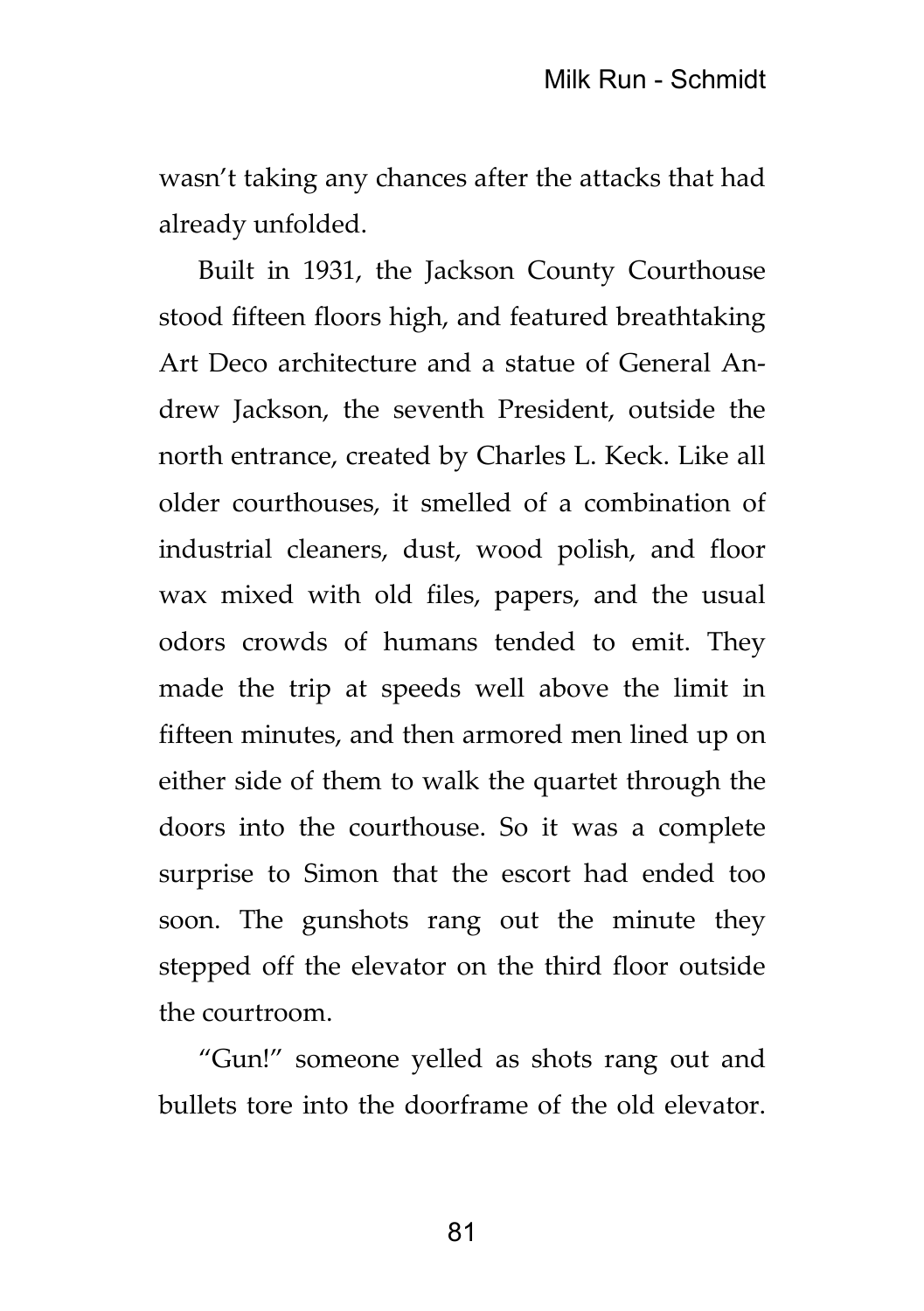wasn't taking any chances after the attacks that had already unfolded.

Built in 1931, the Jackson County Courthouse stood fifteen floors high, and featured breathtaking Art Deco architecture and a statue of General Andrew Jackson, the seventh President, outside the north entrance, created by Charles L. Keck. Like all older courthouses, it smelled of a combination of industrial cleaners, dust, wood polish, and floor wax mixed with old files, papers, and the usual odors crowds of humans tended to emit. They made the trip at speeds well above the limit in fifteen minutes, and then armored men lined up on either side of them to walk the quartet through the doors into the courthouse. So it was a complete surprise to Simon that the escort had ended too soon. The gunshots rang out the minute they stepped off the elevator on the third floor outside the courtroom.

"Gun!" someone yelled as shots rang out and bullets tore into the doorframe of the old elevator.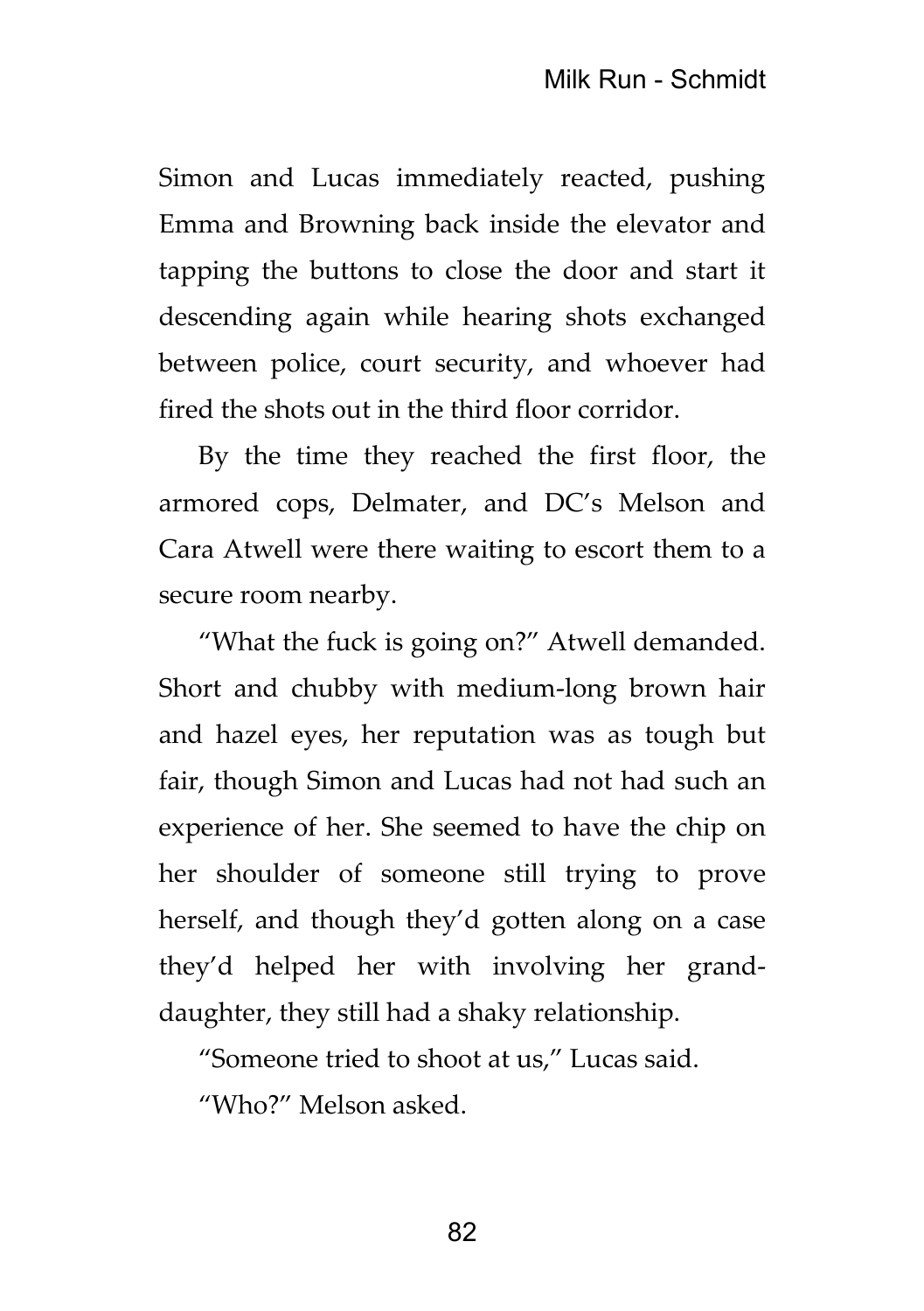Simon and Lucas immediately reacted, pushing Emma and Browning back inside the elevator and tapping the buttons to close the door and start it descending again while hearing shots exchanged between police, court security, and whoever had fired the shots out in the third floor corridor.

By the time they reached the first floor, the armored cops, Delmater, and DC's Melson and Cara Atwell were there waiting to escort them to a secure room nearby.

"What the fuck is going on?" Atwell demanded. Short and chubby with medium-long brown hair and hazel eyes, her reputation was as tough but fair, though Simon and Lucas had not had such an experience of her. She seemed to have the chip on her shoulder of someone still trying to prove herself, and though they'd gotten along on a case they'd helped her with involving her granddaughter, they still had a shaky relationship.

"Someone tried to shoot at us," Lucas said.

"Who?" Melson asked.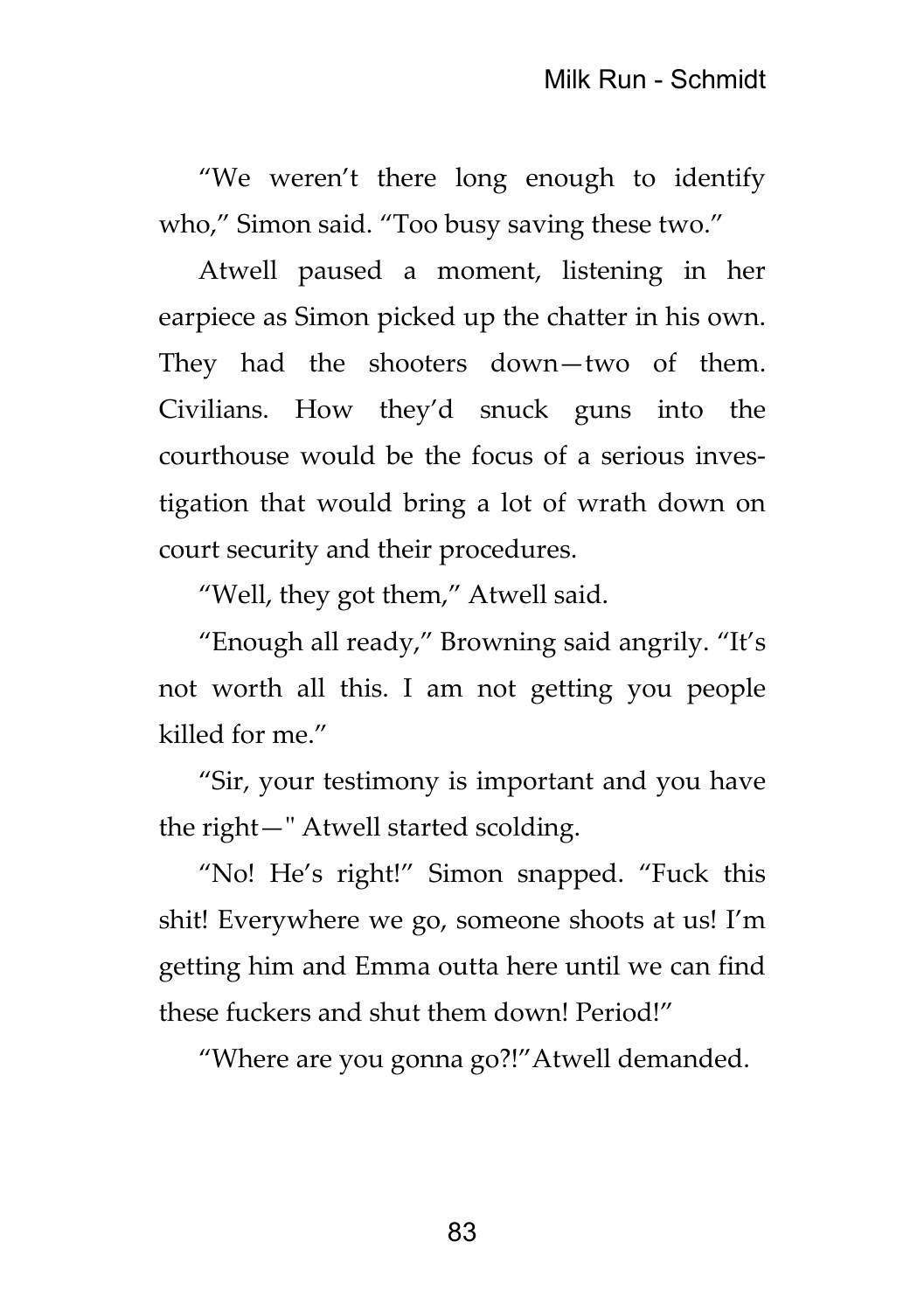"We weren't there long enough to identify who," Simon said. "Too busy saving these two."

Atwell paused a moment, listening in her earpiece as Simon picked up the chatter in his own. They had the shooters down—two of them. Civilians. How they'd snuck guns into the courthouse would be the focus of a serious investigation that would bring a lot of wrath down on court security and their procedures.

"Well, they got them," Atwell said.

"Enough all ready," Browning said angrily. "It's not worth all this. I am not getting you people killed for me."

"Sir, your testimony is important and you have the right—" Atwell started scolding.

"No! He's right!" Simon snapped. "Fuck this shit! Everywhere we go, someone shoots at us! I'm getting him and Emma outta here until we can find these fuckers and shut them down! Period!"

"Where are you gonna go?!"Atwell demanded.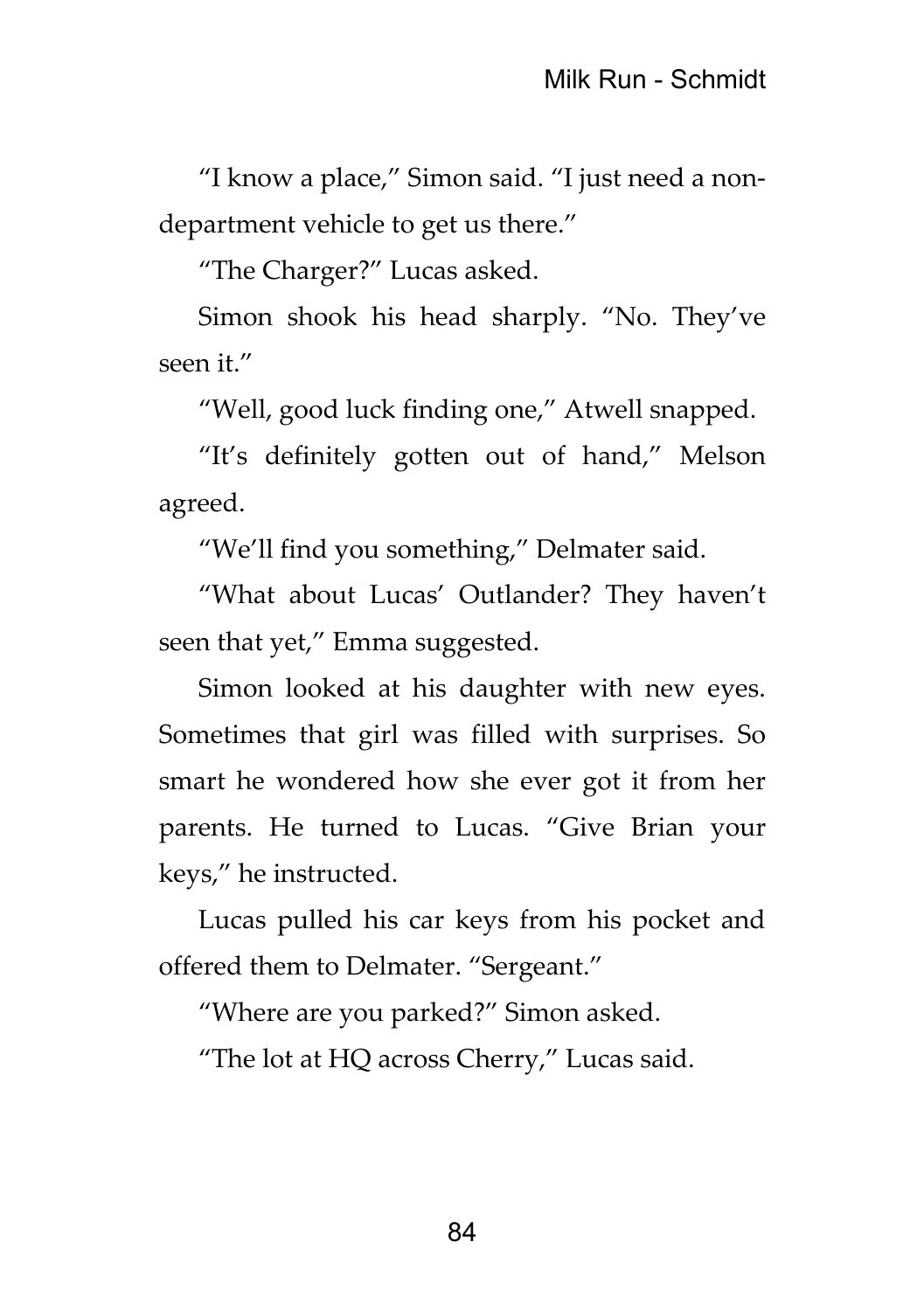"I know a place," Simon said. "I just need a nondepartment vehicle to get us there."

"The Charger?" Lucas asked.

Simon shook his head sharply. "No. They've seen it."

"Well, good luck finding one," Atwell snapped.

"It's definitely gotten out of hand," Melson agreed.

"We'll find you something," Delmater said.

"What about Lucas' Outlander? They haven't seen that yet," Emma suggested.

Simon looked at his daughter with new eyes. Sometimes that girl was filled with surprises. So smart he wondered how she ever got it from her parents. He turned to Lucas. "Give Brian your keys," he instructed.

Lucas pulled his car keys from his pocket and offered them to Delmater. "Sergeant."

"Where are you parked?" Simon asked.

"The lot at HQ across Cherry," Lucas said.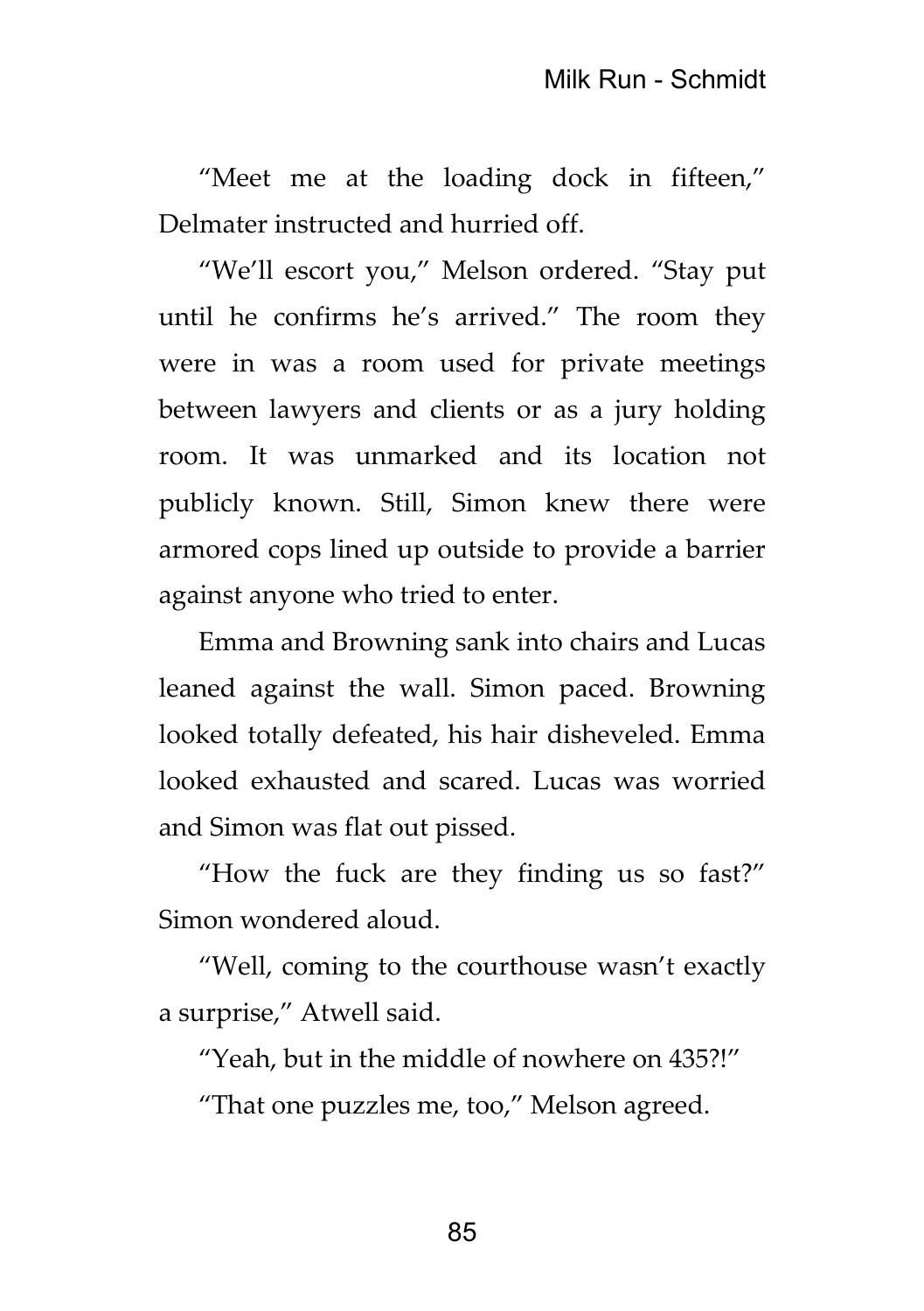"Meet me at the loading dock in fifteen," Delmater instructed and hurried off.

"We'll escort you," Melson ordered. "Stay put until he confirms he's arrived." The room they were in was a room used for private meetings between lawyers and clients or as a jury holding room. It was unmarked and its location not publicly known. Still, Simon knew there were armored cops lined up outside to provide a barrier against anyone who tried to enter.

Emma and Browning sank into chairs and Lucas leaned against the wall. Simon paced. Browning looked totally defeated, his hair disheveled. Emma looked exhausted and scared. Lucas was worried and Simon was flat out pissed.

"How the fuck are they finding us so fast?" Simon wondered aloud.

"Well, coming to the courthouse wasn't exactly a surprise," Atwell said.

"Yeah, but in the middle of nowhere on 435?!"

"That one puzzles me, too," Melson agreed.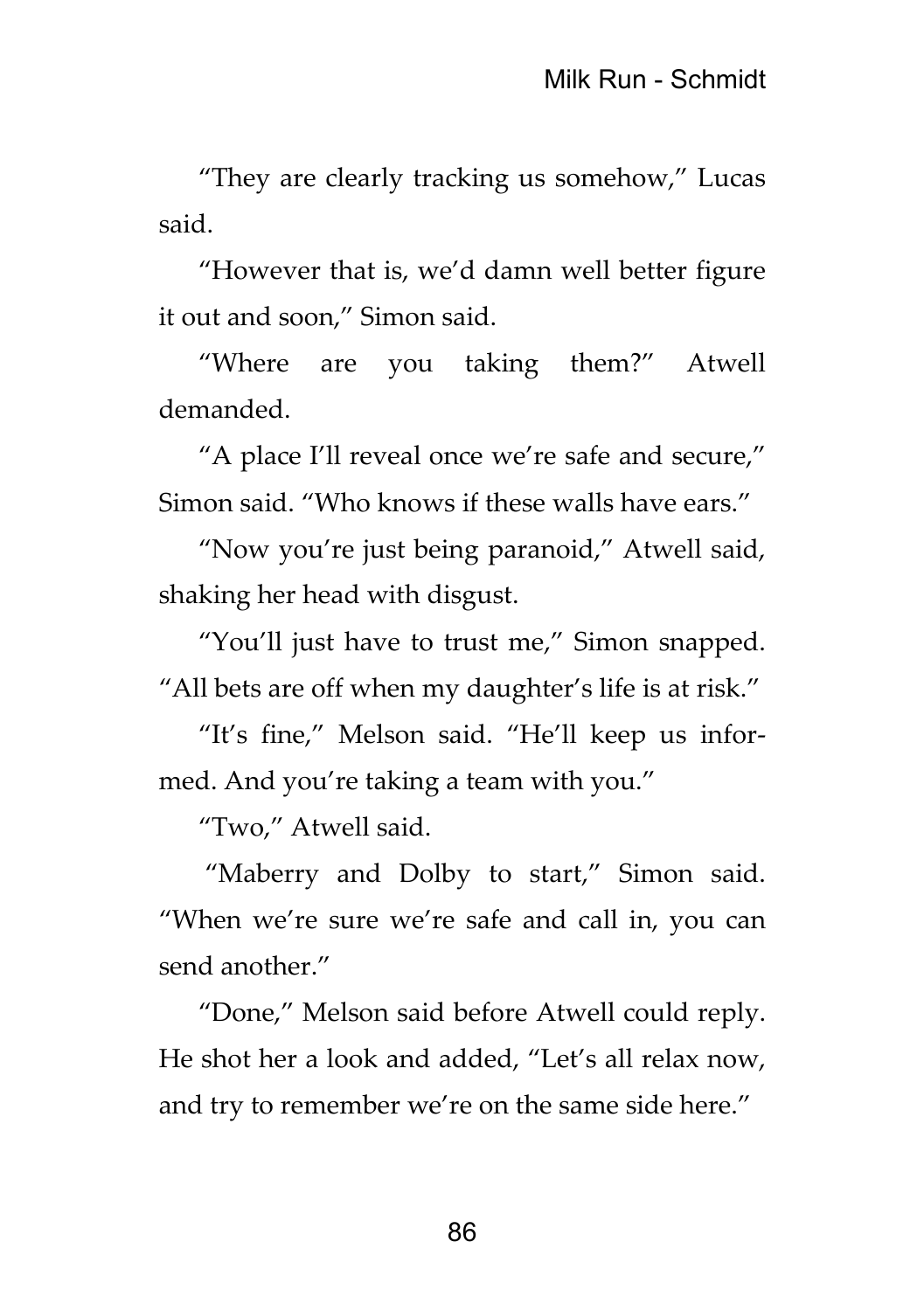"They are clearly tracking us somehow," Lucas said.

"However that is, we'd damn well better figure it out and soon," Simon said.

"Where are you taking them?" Atwell demanded.

"A place I'll reveal once we're safe and secure," Simon said. "Who knows if these walls have ears."

"Now you're just being paranoid," Atwell said, shaking her head with disgust.

"You'll just have to trust me," Simon snapped. "All bets are off when my daughter's life is at risk."

"It's fine," Melson said. "He'll keep us informed. And you're taking a team with you."

"Two," Atwell said.

"Maberry and Dolby to start," Simon said. "When we're sure we're safe and call in, you can send another."

"Done," Melson said before Atwell could reply. He shot her a look and added, "Let's all relax now, and try to remember we're on the same side here."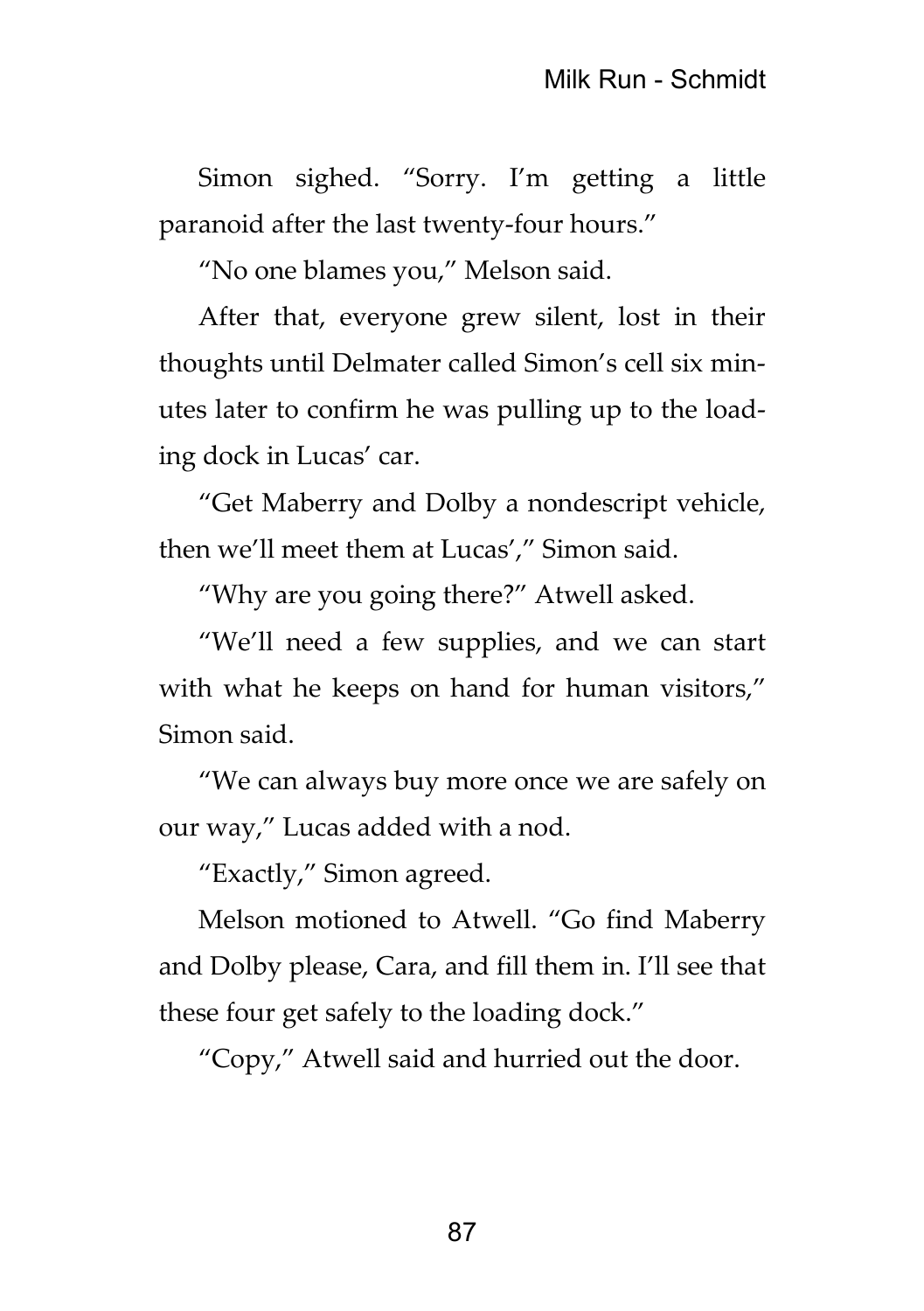Simon sighed. "Sorry. I'm getting a little paranoid after the last twenty-four hours."

"No one blames you," Melson said.

After that, everyone grew silent, lost in their thoughts until Delmater called Simon's cell six minutes later to confirm he was pulling up to the loading dock in Lucas' car.

"Get Maberry and Dolby a nondescript vehicle, then we'll meet them at Lucas'," Simon said.

"Why are you going there?" Atwell asked.

"We'll need a few supplies, and we can start with what he keeps on hand for human visitors," Simon said.

"We can always buy more once we are safely on our way," Lucas added with a nod.

"Exactly," Simon agreed.

Melson motioned to Atwell. "Go find Maberry and Dolby please, Cara, and fill them in. I'll see that these four get safely to the loading dock."

"Copy," Atwell said and hurried out the door.